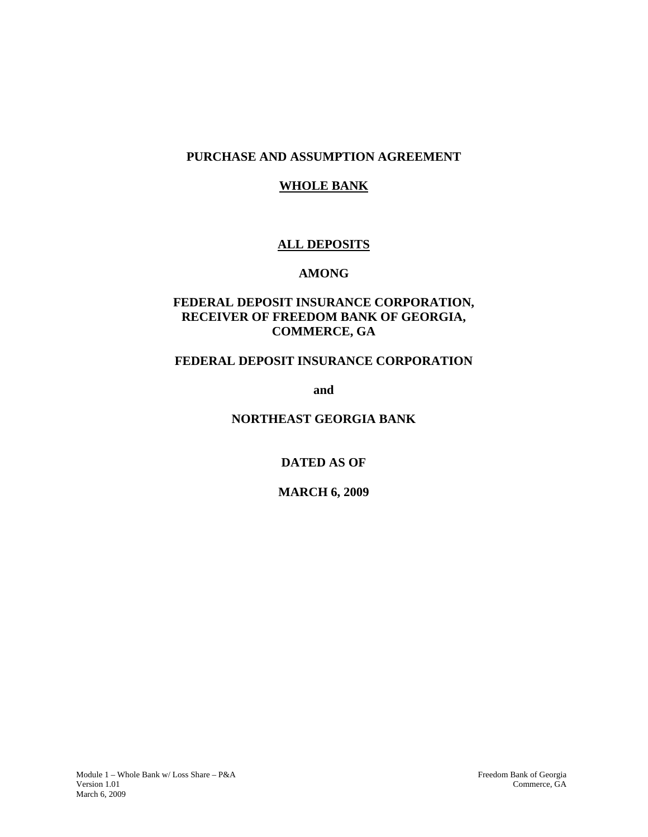### **PURCHASE AND ASSUMPTION AGREEMENT**

### **WHOLE BANK**

### **ALL DEPOSITS**

### **AMONG**

## **FEDERAL DEPOSIT INSURANCE CORPORATION, RECEIVER OF FREEDOM BANK OF GEORGIA, COMMERCE, GA**

#### **FEDERAL DEPOSIT INSURANCE CORPORATION**

**and** 

 **NORTHEAST GEORGIA BANK**

**DATED AS OF**

**MARCH 6, 2009**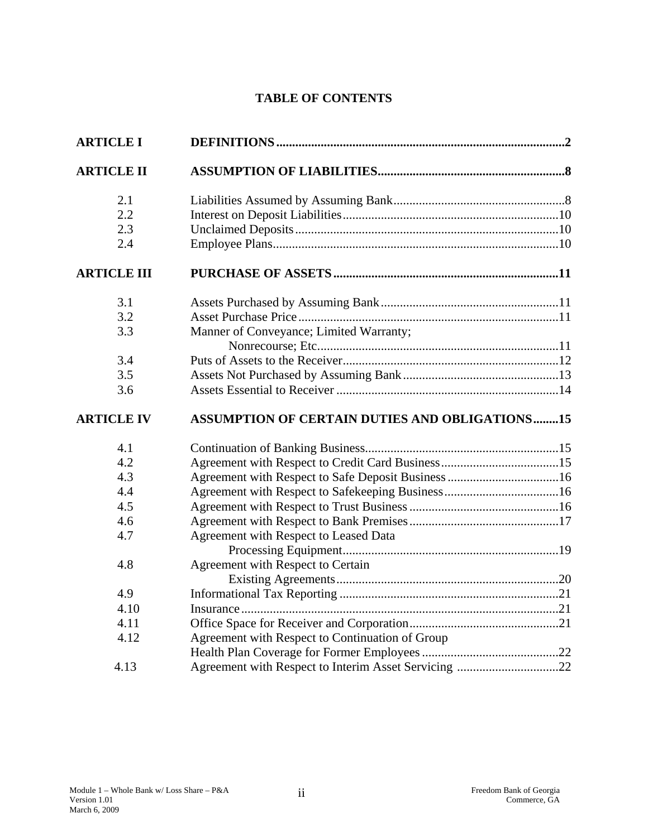# **TABLE OF CONTENTS**

| <b>ARTICLE I</b>   |                                                       |
|--------------------|-------------------------------------------------------|
| <b>ARTICLE II</b>  |                                                       |
| 2.1                |                                                       |
| 2.2                |                                                       |
| 2.3                |                                                       |
| 2.4                |                                                       |
| <b>ARTICLE III</b> |                                                       |
| 3.1                |                                                       |
| 3.2                |                                                       |
| 3.3                | Manner of Conveyance; Limited Warranty;               |
|                    |                                                       |
| 3.4                |                                                       |
| 3.5                |                                                       |
| 3.6                |                                                       |
|                    |                                                       |
| <b>ARTICLE IV</b>  | <b>ASSUMPTION OF CERTAIN DUTIES AND OBLIGATIONS15</b> |
| 4.1                |                                                       |
| 4.2                |                                                       |
| 4.3                |                                                       |
| 4.4                |                                                       |
| 4.5                |                                                       |
| 4.6                |                                                       |
| 4.7                | Agreement with Respect to Leased Data                 |
|                    |                                                       |
| 4.8                | Agreement with Respect to Certain                     |
|                    |                                                       |
| 4.9                |                                                       |
| 4.10               |                                                       |
| 4.11               |                                                       |
| 4.12               | Agreement with Respect to Continuation of Group       |
| 4.13               | Agreement with Respect to Interim Asset Servicing 22  |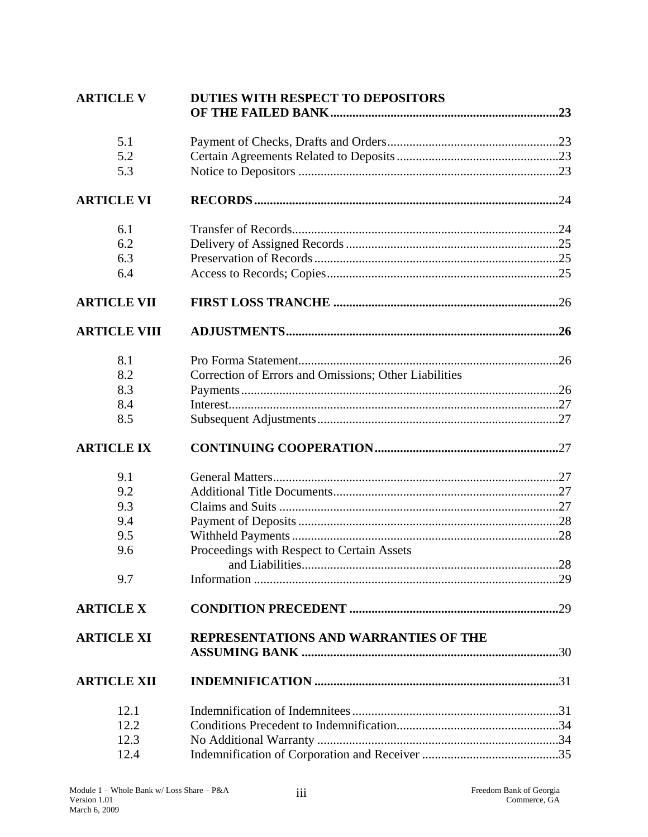| <b>ARTICLE V</b>    | <b>DUTIES WITH RESPECT TO DEPOSITORS</b>              |  |
|---------------------|-------------------------------------------------------|--|
| 5.1                 |                                                       |  |
| 5.2                 |                                                       |  |
| 5.3                 |                                                       |  |
| <b>ARTICLE VI</b>   |                                                       |  |
| 6.1                 |                                                       |  |
| 6.2                 |                                                       |  |
| 6.3                 |                                                       |  |
| 6.4                 |                                                       |  |
| <b>ARTICLE VII</b>  |                                                       |  |
| <b>ARTICLE VIII</b> |                                                       |  |
| 8.1                 |                                                       |  |
| 8.2                 | Correction of Errors and Omissions; Other Liabilities |  |
| 8.3                 |                                                       |  |
| 8.4                 |                                                       |  |
| 8.5                 |                                                       |  |
| <b>ARTICLE IX</b>   |                                                       |  |
| 9.1                 |                                                       |  |
| 9.2                 |                                                       |  |
| 9.3                 |                                                       |  |
| 9.4                 |                                                       |  |
| 9.5                 |                                                       |  |
| 9.6                 | Proceedings with Respect to Certain Assets            |  |
|                     |                                                       |  |
| 9.7                 |                                                       |  |
| <b>ARTICLE X</b>    |                                                       |  |
| <b>ARTICLE XI</b>   | <b>REPRESENTATIONS AND WARRANTIES OF THE</b>          |  |
| <b>ARTICLE XII</b>  |                                                       |  |
| 12.1                |                                                       |  |
| 12.2                |                                                       |  |
| 12.3                |                                                       |  |
| 12.4                |                                                       |  |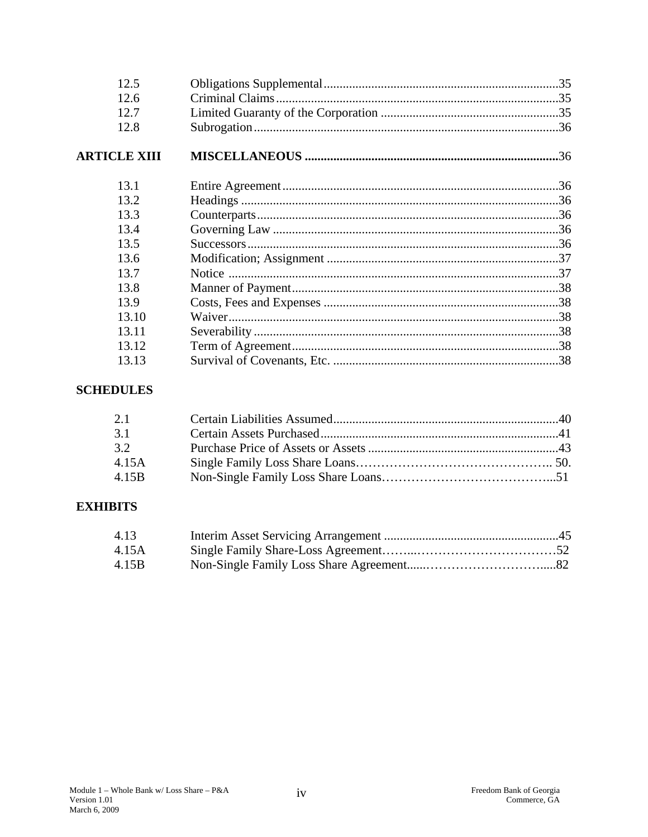| 12.5                |  |
|---------------------|--|
| 12.6                |  |
| 12.7                |  |
| 12.8                |  |
| <b>ARTICLE XIII</b> |  |
| 13.1                |  |
| 13.2                |  |
| 13.3                |  |
| 13.4                |  |
| 13.5                |  |
| 13.6                |  |
| 13.7                |  |
| 13.8                |  |
| 13.9                |  |
| 13.10               |  |
| 13.11               |  |
| 13.12               |  |
| 13.13               |  |

## **SCHEDULES**

| 2.1   |  |
|-------|--|
| 3.1   |  |
| 3.2   |  |
| 4.15A |  |
| 4.15B |  |

# **EXHIBITS**

| 4.13  |  |
|-------|--|
| 4.15A |  |
| 4.15B |  |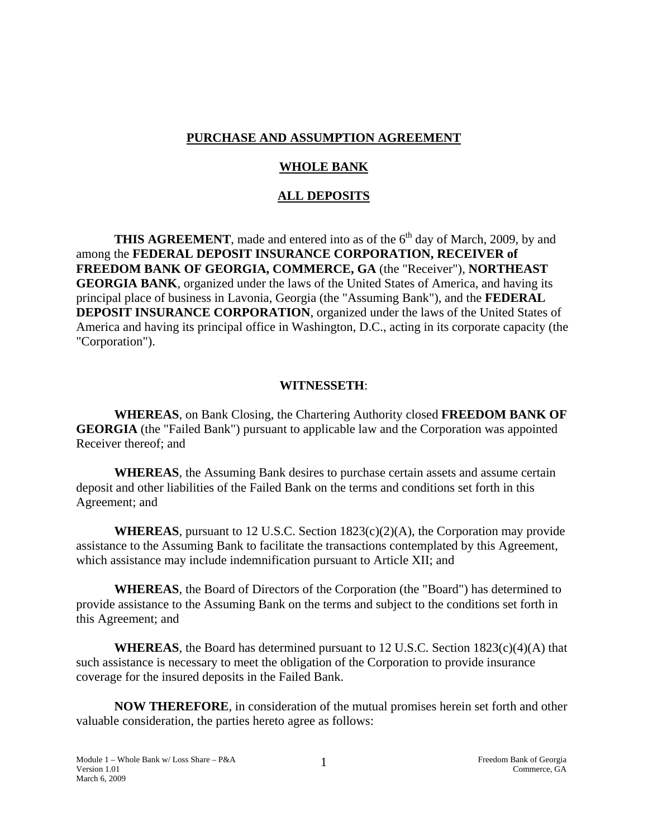### **PURCHASE AND ASSUMPTION AGREEMENT**

## **WHOLE BANK**

## **ALL DEPOSITS**

**THIS AGREEMENT**, made and entered into as of the 6<sup>th</sup> day of March, 2009, by and among the **FEDERAL DEPOSIT INSURANCE CORPORATION, RECEIVER of FREEDOM BANK OF GEORGIA, COMMERCE, GA** (the "Receiver"), **NORTHEAST GEORGIA BANK**, organized under the laws of the United States of America, and having its principal place of business in Lavonia, Georgia (the "Assuming Bank"), and the **FEDERAL DEPOSIT INSURANCE CORPORATION**, organized under the laws of the United States of America and having its principal office in Washington, D.C., acting in its corporate capacity (the "Corporation").

#### **WITNESSETH**:

**WHEREAS**, on Bank Closing, the Chartering Authority closed **FREEDOM BANK OF GEORGIA** (the "Failed Bank") pursuant to applicable law and the Corporation was appointed Receiver thereof; and

**WHEREAS**, the Assuming Bank desires to purchase certain assets and assume certain deposit and other liabilities of the Failed Bank on the terms and conditions set forth in this Agreement; and

**WHEREAS**, pursuant to 12 U.S.C. Section 1823(c)(2)(A), the Corporation may provide assistance to the Assuming Bank to facilitate the transactions contemplated by this Agreement, which assistance may include indemnification pursuant to Article XII; and

**WHEREAS**, the Board of Directors of the Corporation (the "Board") has determined to provide assistance to the Assuming Bank on the terms and subject to the conditions set forth in this Agreement; and

**WHEREAS**, the Board has determined pursuant to 12 U.S.C. Section 1823(c)(4)(A) that such assistance is necessary to meet the obligation of the Corporation to provide insurance coverage for the insured deposits in the Failed Bank.

 **NOW THEREFORE**, in consideration of the mutual promises herein set forth and other valuable consideration, the parties hereto agree as follows: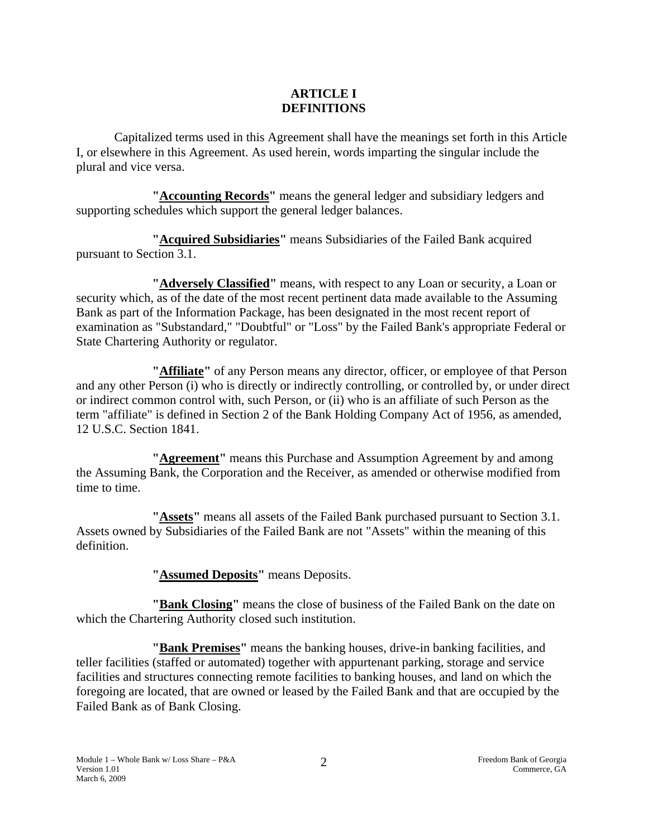## **ARTICLE I DEFINITIONS**

<span id="page-5-0"></span>Capitalized terms used in this Agreement shall have the meanings set forth in this Article I, or elsewhere in this Agreement. As used herein, words imparting the singular include the plural and vice versa.

**"Accounting Records"** means the general ledger and subsidiary ledgers and supporting schedules which support the general ledger balances.

**"Acquired Subsidiaries"** means Subsidiaries of the Failed Bank acquired pursuant to Section 3.1.

**"Adversely Classified"** means, with respect to any Loan or security, a Loan or security which, as of the date of the most recent pertinent data made available to the Assuming Bank as part of the Information Package, has been designated in the most recent report of examination as "Substandard," "Doubtful" or "Loss" by the Failed Bank's appropriate Federal or State Chartering Authority or regulator.

**"Affiliate"** of any Person means any director, officer, or employee of that Person and any other Person (i) who is directly or indirectly controlling, or controlled by, or under direct or indirect common control with, such Person, or (ii) who is an affiliate of such Person as the term "affiliate" is defined in Section 2 of the Bank Holding Company Act of 1956, as amended, 12 U.S.C. Section 1841.

**"Agreement"** means this Purchase and Assumption Agreement by and among the Assuming Bank, the Corporation and the Receiver, as amended or otherwise modified from time to time.

**"Assets"** means all assets of the Failed Bank purchased pursuant to Section 3.1. Assets owned by Subsidiaries of the Failed Bank are not "Assets" within the meaning of this definition.

**"Assumed Deposits"** means Deposits.

**"Bank Closing"** means the close of business of the Failed Bank on the date on which the Chartering Authority closed such institution.

**"Bank Premises"** means the banking houses, drive-in banking facilities, and teller facilities (staffed or automated) together with appurtenant parking, storage and service facilities and structures connecting remote facilities to banking houses, and land on which the foregoing are located, that are owned or leased by the Failed Bank and that are occupied by the Failed Bank as of Bank Closing.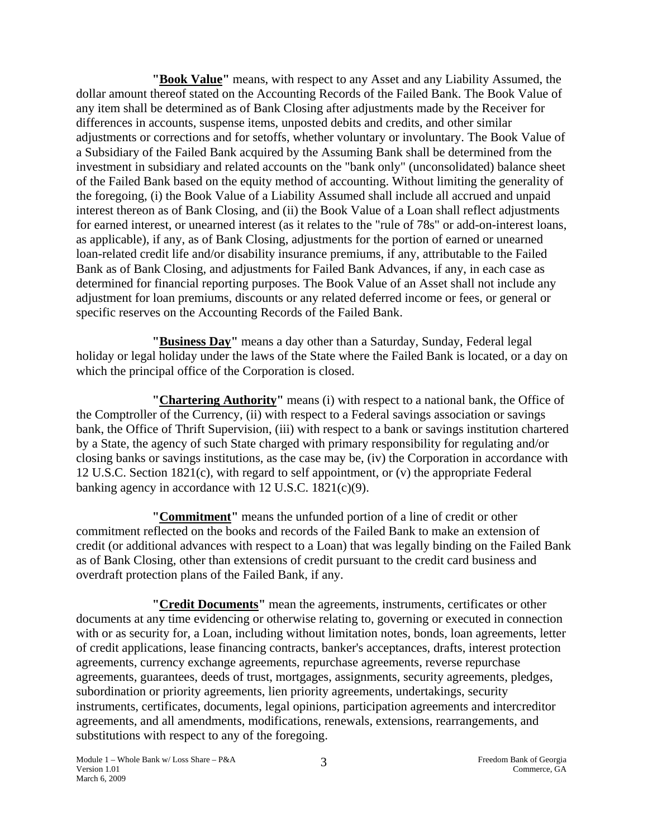**"Book Value"** means, with respect to any Asset and any Liability Assumed, the dollar amount thereof stated on the Accounting Records of the Failed Bank. The Book Value of any item shall be determined as of Bank Closing after adjustments made by the Receiver for differences in accounts, suspense items, unposted debits and credits, and other similar adjustments or corrections and for setoffs, whether voluntary or involuntary. The Book Value of a Subsidiary of the Failed Bank acquired by the Assuming Bank shall be determined from the investment in subsidiary and related accounts on the "bank only" (unconsolidated) balance sheet of the Failed Bank based on the equity method of accounting. Without limiting the generality of the foregoing, (i) the Book Value of a Liability Assumed shall include all accrued and unpaid interest thereon as of Bank Closing, and (ii) the Book Value of a Loan shall reflect adjustments for earned interest, or unearned interest (as it relates to the "rule of 78s" or add-on-interest loans, as applicable), if any, as of Bank Closing, adjustments for the portion of earned or unearned loan-related credit life and/or disability insurance premiums, if any, attributable to the Failed Bank as of Bank Closing, and adjustments for Failed Bank Advances, if any, in each case as determined for financial reporting purposes. The Book Value of an Asset shall not include any adjustment for loan premiums, discounts or any related deferred income or fees, or general or specific reserves on the Accounting Records of the Failed Bank.

**"Business Day"** means a day other than a Saturday, Sunday, Federal legal holiday or legal holiday under the laws of the State where the Failed Bank is located, or a day on which the principal office of the Corporation is closed.

**"Chartering Authority"** means (i) with respect to a national bank, the Office of the Comptroller of the Currency, (ii) with respect to a Federal savings association or savings bank, the Office of Thrift Supervision, (iii) with respect to a bank or savings institution chartered by a State, the agency of such State charged with primary responsibility for regulating and/or closing banks or savings institutions, as the case may be, (iv) the Corporation in accordance with 12 U.S.C. Section 1821(c), with regard to self appointment, or (v) the appropriate Federal banking agency in accordance with 12 U.S.C. 1821(c)(9).

**"Commitment"** means the unfunded portion of a line of credit or other commitment reflected on the books and records of the Failed Bank to make an extension of credit (or additional advances with respect to a Loan) that was legally binding on the Failed Bank as of Bank Closing, other than extensions of credit pursuant to the credit card business and overdraft protection plans of the Failed Bank, if any.

**"Credit Documents"** mean the agreements, instruments, certificates or other documents at any time evidencing or otherwise relating to, governing or executed in connection with or as security for, a Loan, including without limitation notes, bonds, loan agreements, letter of credit applications, lease financing contracts, banker's acceptances, drafts, interest protection agreements, currency exchange agreements, repurchase agreements, reverse repurchase agreements, guarantees, deeds of trust, mortgages, assignments, security agreements, pledges, subordination or priority agreements, lien priority agreements, undertakings, security instruments, certificates, documents, legal opinions, participation agreements and intercreditor agreements, and all amendments, modifications, renewals, extensions, rearrangements, and substitutions with respect to any of the foregoing.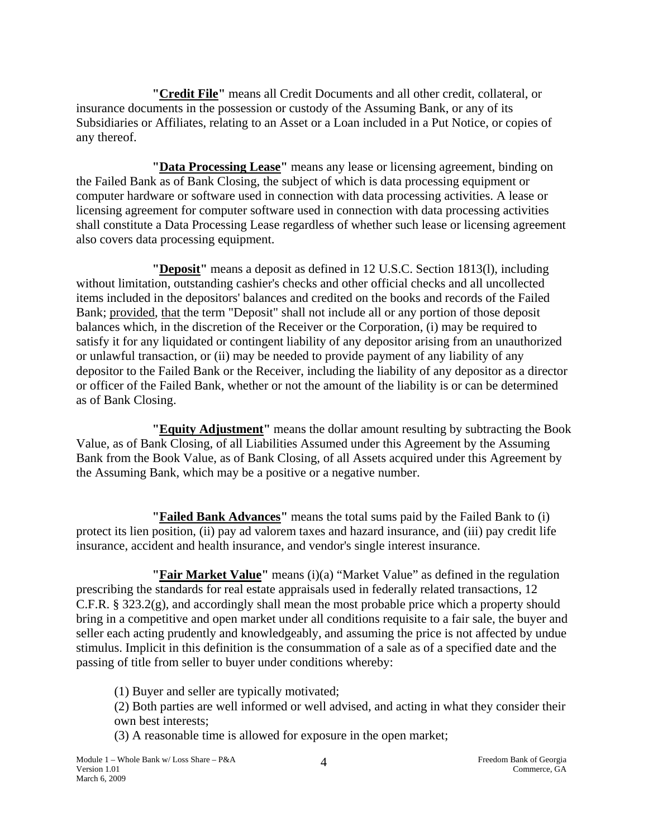**"Credit File"** means all Credit Documents and all other credit, collateral, or insurance documents in the possession or custody of the Assuming Bank, or any of its Subsidiaries or Affiliates, relating to an Asset or a Loan included in a Put Notice, or copies of any thereof.

**"Data Processing Lease"** means any lease or licensing agreement, binding on the Failed Bank as of Bank Closing, the subject of which is data processing equipment or computer hardware or software used in connection with data processing activities. A lease or licensing agreement for computer software used in connection with data processing activities shall constitute a Data Processing Lease regardless of whether such lease or licensing agreement also covers data processing equipment.

**"Deposit"** means a deposit as defined in 12 U.S.C. Section 1813(l), including without limitation, outstanding cashier's checks and other official checks and all uncollected items included in the depositors' balances and credited on the books and records of the Failed Bank; provided, that the term "Deposit" shall not include all or any portion of those deposit balances which, in the discretion of the Receiver or the Corporation, (i) may be required to satisfy it for any liquidated or contingent liability of any depositor arising from an unauthorized or unlawful transaction, or (ii) may be needed to provide payment of any liability of any depositor to the Failed Bank or the Receiver, including the liability of any depositor as a director or officer of the Failed Bank, whether or not the amount of the liability is or can be determined as of Bank Closing.

**"Equity Adjustment"** means the dollar amount resulting by subtracting the Book Value, as of Bank Closing, of all Liabilities Assumed under this Agreement by the Assuming Bank from the Book Value, as of Bank Closing, of all Assets acquired under this Agreement by the Assuming Bank, which may be a positive or a negative number.

**"Failed Bank Advances"** means the total sums paid by the Failed Bank to (i) protect its lien position, (ii) pay ad valorem taxes and hazard insurance, and (iii) pay credit life insurance, accident and health insurance, and vendor's single interest insurance.

**"Fair Market Value"** means (i)(a) "Market Value" as defined in the regulation prescribing the standards for real estate appraisals used in federally related transactions, 12 C.F.R. § 323.2(g), and accordingly shall mean the most probable price which a property should bring in a competitive and open market under all conditions requisite to a fair sale, the buyer and seller each acting prudently and knowledgeably, and assuming the price is not affected by undue stimulus. Implicit in this definition is the consummation of a sale as of a specified date and the passing of title from seller to buyer under conditions whereby:

- (1) Buyer and seller are typically motivated;
- (2) Both parties are well informed or well advised, and acting in what they consider their own best interests;
- (3) A reasonable time is allowed for exposure in the open market;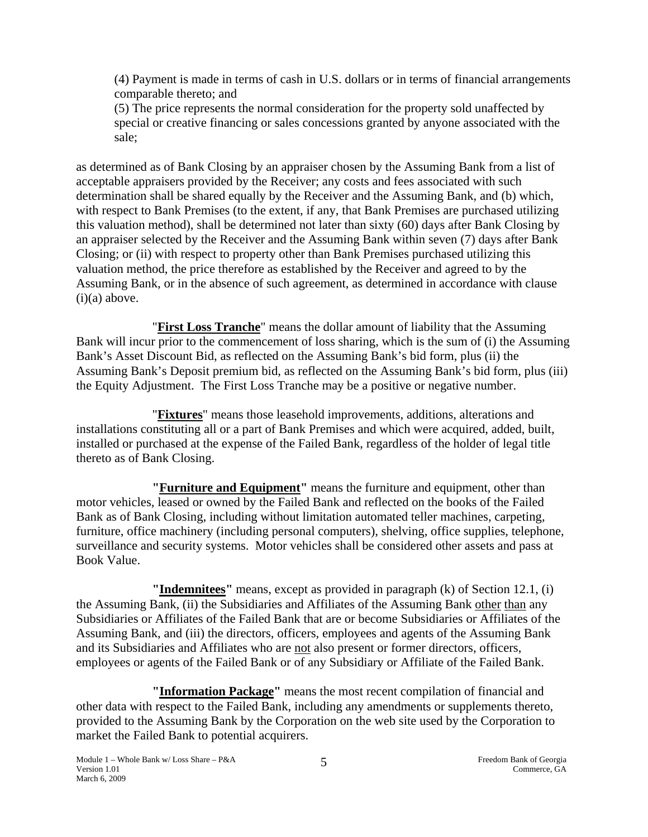(4) Payment is made in terms of cash in U.S. dollars or in terms of financial arrangements comparable thereto; and

(5) The price represents the normal consideration for the property sold unaffected by special or creative financing or sales concessions granted by anyone associated with the sale;

as determined as of Bank Closing by an appraiser chosen by the Assuming Bank from a list of acceptable appraisers provided by the Receiver; any costs and fees associated with such determination shall be shared equally by the Receiver and the Assuming Bank, and (b) which, with respect to Bank Premises (to the extent, if any, that Bank Premises are purchased utilizing this valuation method), shall be determined not later than sixty (60) days after Bank Closing by an appraiser selected by the Receiver and the Assuming Bank within seven (7) days after Bank Closing; or (ii) with respect to property other than Bank Premises purchased utilizing this valuation method, the price therefore as established by the Receiver and agreed to by the Assuming Bank, or in the absence of such agreement, as determined in accordance with clause  $(i)(a)$  above.

"**First Loss Tranche**" means the dollar amount of liability that the Assuming Bank will incur prior to the commencement of loss sharing, which is the sum of (i) the Assuming Bank's Asset Discount Bid, as reflected on the Assuming Bank's bid form, plus (ii) the Assuming Bank's Deposit premium bid, as reflected on the Assuming Bank's bid form, plus (iii) the Equity Adjustment. The First Loss Tranche may be a positive or negative number.

"**Fixtures**" means those leasehold improvements, additions, alterations and installations constituting all or a part of Bank Premises and which were acquired, added, built, installed or purchased at the expense of the Failed Bank, regardless of the holder of legal title thereto as of Bank Closing.

**"Furniture and Equipment"** means the furniture and equipment, other than motor vehicles, leased or owned by the Failed Bank and reflected on the books of the Failed Bank as of Bank Closing, including without limitation automated teller machines, carpeting, furniture, office machinery (including personal computers), shelving, office supplies, telephone, surveillance and security systems. Motor vehicles shall be considered other assets and pass at Book Value.

**"Indemnitees"** means, except as provided in paragraph (k) of Section 12.1, (i) the Assuming Bank, (ii) the Subsidiaries and Affiliates of the Assuming Bank other than any Subsidiaries or Affiliates of the Failed Bank that are or become Subsidiaries or Affiliates of the Assuming Bank, and (iii) the directors, officers, employees and agents of the Assuming Bank and its Subsidiaries and Affiliates who are not also present or former directors, officers, employees or agents of the Failed Bank or of any Subsidiary or Affiliate of the Failed Bank.

**"Information Package"** means the most recent compilation of financial and other data with respect to the Failed Bank, including any amendments or supplements thereto, provided to the Assuming Bank by the Corporation on the web site used by the Corporation to market the Failed Bank to potential acquirers.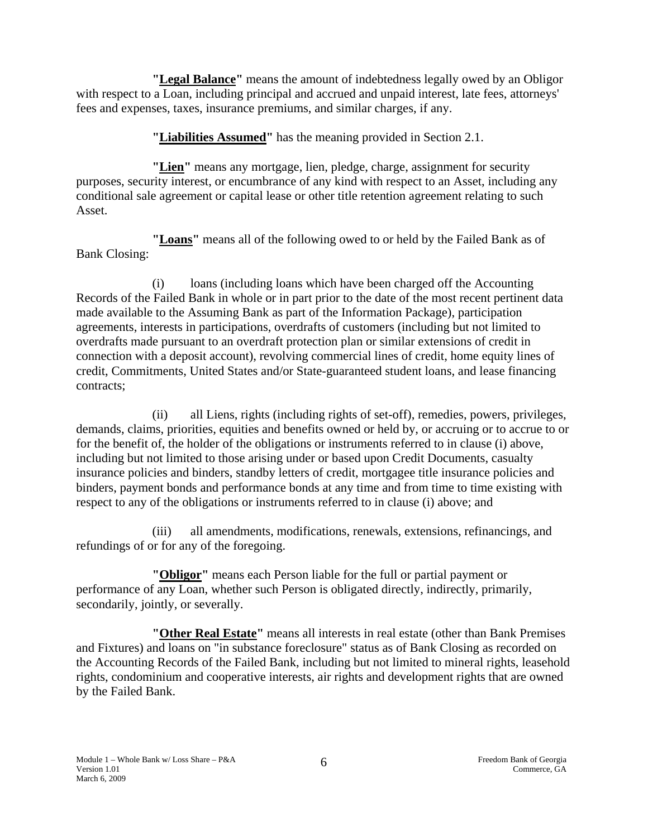**"Legal Balance"** means the amount of indebtedness legally owed by an Obligor with respect to a Loan, including principal and accrued and unpaid interest, late fees, attorneys' fees and expenses, taxes, insurance premiums, and similar charges, if any.

**"Liabilities Assumed"** has the meaning provided in Section 2.1.

**"Lien"** means any mortgage, lien, pledge, charge, assignment for security purposes, security interest, or encumbrance of any kind with respect to an Asset, including any conditional sale agreement or capital lease or other title retention agreement relating to such Asset.

**"Loans"** means all of the following owed to or held by the Failed Bank as of Bank Closing:

(i) loans (including loans which have been charged off the Accounting Records of the Failed Bank in whole or in part prior to the date of the most recent pertinent data made available to the Assuming Bank as part of the Information Package), participation agreements, interests in participations, overdrafts of customers (including but not limited to overdrafts made pursuant to an overdraft protection plan or similar extensions of credit in connection with a deposit account), revolving commercial lines of credit, home equity lines of credit, Commitments, United States and/or State-guaranteed student loans, and lease financing contracts;

(ii) all Liens, rights (including rights of set-off), remedies, powers, privileges, demands, claims, priorities, equities and benefits owned or held by, or accruing or to accrue to or for the benefit of, the holder of the obligations or instruments referred to in clause (i) above, including but not limited to those arising under or based upon Credit Documents, casualty insurance policies and binders, standby letters of credit, mortgagee title insurance policies and binders, payment bonds and performance bonds at any time and from time to time existing with respect to any of the obligations or instruments referred to in clause (i) above; and

(iii) all amendments, modifications, renewals, extensions, refinancings, and refundings of or for any of the foregoing.

**"Obligor"** means each Person liable for the full or partial payment or performance of any Loan, whether such Person is obligated directly, indirectly, primarily, secondarily, jointly, or severally.

**"Other Real Estate"** means all interests in real estate (other than Bank Premises and Fixtures) and loans on "in substance foreclosure" status as of Bank Closing as recorded on the Accounting Records of the Failed Bank, including but not limited to mineral rights, leasehold rights, condominium and cooperative interests, air rights and development rights that are owned by the Failed Bank.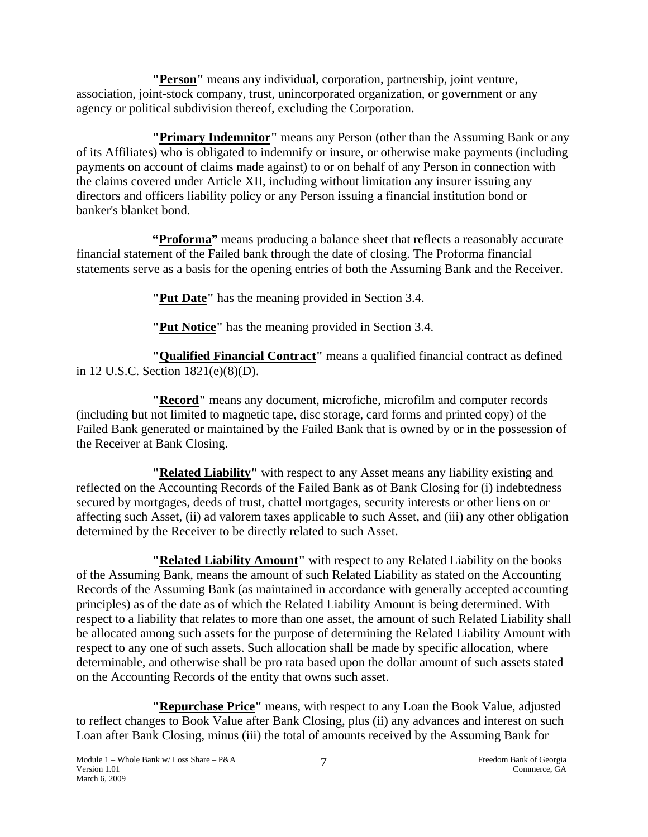**"Person"** means any individual, corporation, partnership, joint venture, association, joint-stock company, trust, unincorporated organization, or government or any agency or political subdivision thereof, excluding the Corporation.

**"Primary Indemnitor"** means any Person (other than the Assuming Bank or any of its Affiliates) who is obligated to indemnify or insure, or otherwise make payments (including payments on account of claims made against) to or on behalf of any Person in connection with the claims covered under Article XII, including without limitation any insurer issuing any directors and officers liability policy or any Person issuing a financial institution bond or banker's blanket bond.

**"Proforma"** means producing a balance sheet that reflects a reasonably accurate financial statement of the Failed bank through the date of closing. The Proforma financial statements serve as a basis for the opening entries of both the Assuming Bank and the Receiver.

**"Put Date"** has the meaning provided in Section 3.4.

**"Put Notice"** has the meaning provided in Section 3.4.

**"Qualified Financial Contract"** means a qualified financial contract as defined in 12 U.S.C. Section 1821(e)(8)(D).

**"Record"** means any document, microfiche, microfilm and computer records (including but not limited to magnetic tape, disc storage, card forms and printed copy) of the Failed Bank generated or maintained by the Failed Bank that is owned by or in the possession of the Receiver at Bank Closing.

**"Related Liability"** with respect to any Asset means any liability existing and reflected on the Accounting Records of the Failed Bank as of Bank Closing for (i) indebtedness secured by mortgages, deeds of trust, chattel mortgages, security interests or other liens on or affecting such Asset, (ii) ad valorem taxes applicable to such Asset, and (iii) any other obligation determined by the Receiver to be directly related to such Asset.

**"Related Liability Amount"** with respect to any Related Liability on the books of the Assuming Bank, means the amount of such Related Liability as stated on the Accounting Records of the Assuming Bank (as maintained in accordance with generally accepted accounting principles) as of the date as of which the Related Liability Amount is being determined. With respect to a liability that relates to more than one asset, the amount of such Related Liability shall be allocated among such assets for the purpose of determining the Related Liability Amount with respect to any one of such assets. Such allocation shall be made by specific allocation, where determinable, and otherwise shall be pro rata based upon the dollar amount of such assets stated on the Accounting Records of the entity that owns such asset.

 **"Repurchase Price"** means, with respect to any Loan the Book Value, adjusted to reflect changes to Book Value after Bank Closing, plus (ii) any advances and interest on such Loan after Bank Closing, minus (iii) the total of amounts received by the Assuming Bank for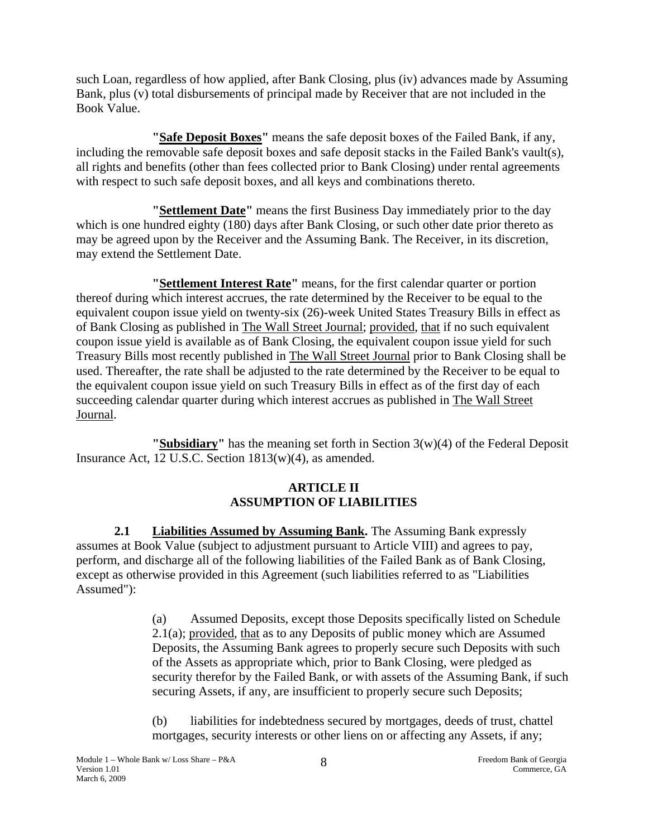<span id="page-11-0"></span>such Loan, regardless of how applied, after Bank Closing, plus (iv) advances made by Assuming Bank, plus (v) total disbursements of principal made by Receiver that are not included in the Book Value.

**"Safe Deposit Boxes"** means the safe deposit boxes of the Failed Bank, if any, including the removable safe deposit boxes and safe deposit stacks in the Failed Bank's vault(s), all rights and benefits (other than fees collected prior to Bank Closing) under rental agreements with respect to such safe deposit boxes, and all keys and combinations thereto.

**"Settlement Date"** means the first Business Day immediately prior to the day which is one hundred eighty (180) days after Bank Closing, or such other date prior thereto as may be agreed upon by the Receiver and the Assuming Bank. The Receiver, in its discretion, may extend the Settlement Date.

**"Settlement Interest Rate"** means, for the first calendar quarter or portion thereof during which interest accrues, the rate determined by the Receiver to be equal to the equivalent coupon issue yield on twenty-six (26)-week United States Treasury Bills in effect as of Bank Closing as published in The Wall Street Journal; provided, that if no such equivalent coupon issue yield is available as of Bank Closing, the equivalent coupon issue yield for such Treasury Bills most recently published in The Wall Street Journal prior to Bank Closing shall be used. Thereafter, the rate shall be adjusted to the rate determined by the Receiver to be equal to the equivalent coupon issue yield on such Treasury Bills in effect as of the first day of each succeeding calendar quarter during which interest accrues as published in The Wall Street Journal.

**"Subsidiary"** has the meaning set forth in Section 3(w)(4) of the Federal Deposit Insurance Act, 12 U.S.C. Section 1813(w)(4), as amended.

## **ARTICLE II ASSUMPTION OF LIABILITIES**

 **2.1 Liabilities Assumed by Assuming Bank.** The Assuming Bank expressly assumes at Book Value (subject to adjustment pursuant to Article VIII) and agrees to pay, perform, and discharge all of the following liabilities of the Failed Bank as of Bank Closing, except as otherwise provided in this Agreement (such liabilities referred to as "Liabilities Assumed"):

> (a) Assumed Deposits, except those Deposits specifically listed on Schedule 2.1(a); provided, that as to any Deposits of public money which are Assumed Deposits, the Assuming Bank agrees to properly secure such Deposits with such of the Assets as appropriate which, prior to Bank Closing, were pledged as security therefor by the Failed Bank, or with assets of the Assuming Bank, if such securing Assets, if any, are insufficient to properly secure such Deposits;

(b) liabilities for indebtedness secured by mortgages, deeds of trust, chattel mortgages, security interests or other liens on or affecting any Assets, if any;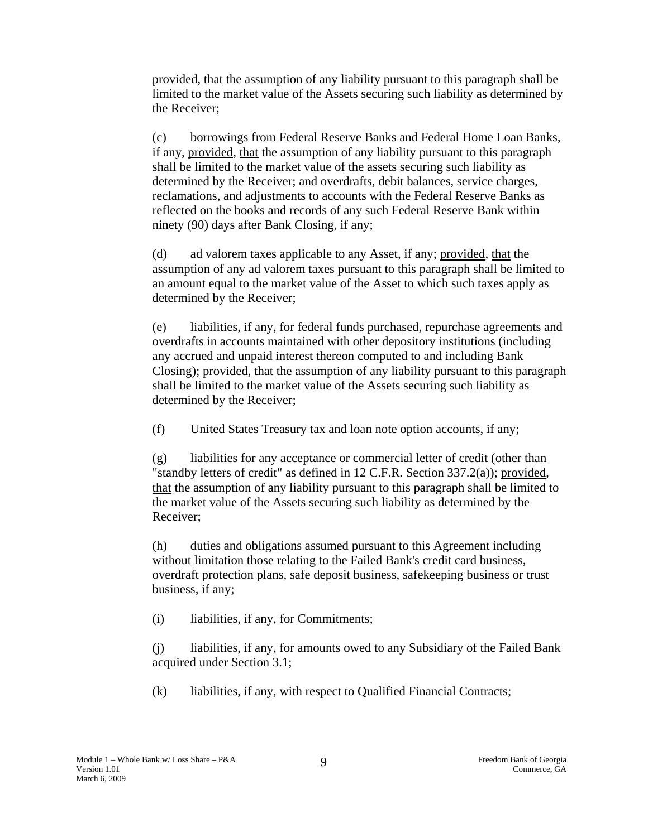provided, that the assumption of any liability pursuant to this paragraph shall be limited to the market value of the Assets securing such liability as determined by the Receiver;

(c) borrowings from Federal Reserve Banks and Federal Home Loan Banks, if any, provided, that the assumption of any liability pursuant to this paragraph shall be limited to the market value of the assets securing such liability as determined by the Receiver; and overdrafts, debit balances, service charges, reclamations, and adjustments to accounts with the Federal Reserve Banks as reflected on the books and records of any such Federal Reserve Bank within ninety (90) days after Bank Closing, if any;

(d) ad valorem taxes applicable to any Asset, if any; provided, that the assumption of any ad valorem taxes pursuant to this paragraph shall be limited to an amount equal to the market value of the Asset to which such taxes apply as determined by the Receiver;

(e) liabilities, if any, for federal funds purchased, repurchase agreements and overdrafts in accounts maintained with other depository institutions (including any accrued and unpaid interest thereon computed to and including Bank Closing); provided, that the assumption of any liability pursuant to this paragraph shall be limited to the market value of the Assets securing such liability as determined by the Receiver;

(f) United States Treasury tax and loan note option accounts, if any;

(g) liabilities for any acceptance or commercial letter of credit (other than "standby letters of credit" as defined in 12 C.F.R. Section 337.2(a)); provided, that the assumption of any liability pursuant to this paragraph shall be limited to the market value of the Assets securing such liability as determined by the Receiver;

(h) duties and obligations assumed pursuant to this Agreement including without limitation those relating to the Failed Bank's credit card business, overdraft protection plans, safe deposit business, safekeeping business or trust business, if any;

(i) liabilities, if any, for Commitments;

(j) liabilities, if any, for amounts owed to any Subsidiary of the Failed Bank acquired under Section 3.1;

(k) liabilities, if any, with respect to Qualified Financial Contracts;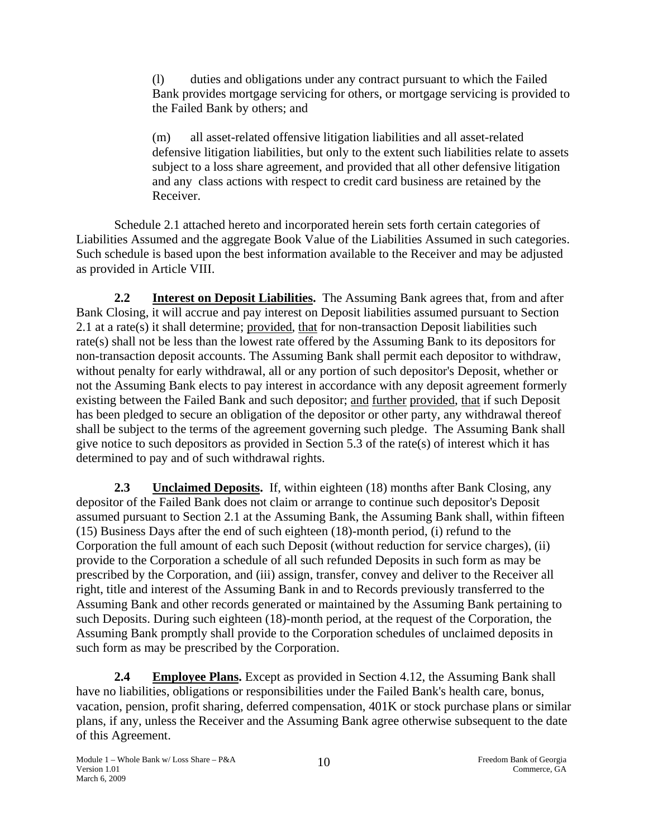<span id="page-13-0"></span>(l) duties and obligations under any contract pursuant to which the Failed Bank provides mortgage servicing for others, or mortgage servicing is provided to the Failed Bank by others; and

(m) all asset-related offensive litigation liabilities and all asset-related defensive litigation liabilities, but only to the extent such liabilities relate to assets subject to a loss share agreement, and provided that all other defensive litigation and any class actions with respect to credit card business are retained by the Receiver.

Schedule 2.1 attached hereto and incorporated herein sets forth certain categories of Liabilities Assumed and the aggregate Book Value of the Liabilities Assumed in such categories. Such schedule is based upon the best information available to the Receiver and may be adjusted as provided in Article VIII.

**2.2 Interest on Deposit Liabilities.** The Assuming Bank agrees that, from and after Bank Closing, it will accrue and pay interest on Deposit liabilities assumed pursuant to Section 2.1 at a rate(s) it shall determine; provided, that for non-transaction Deposit liabilities such rate(s) shall not be less than the lowest rate offered by the Assuming Bank to its depositors for non-transaction deposit accounts. The Assuming Bank shall permit each depositor to withdraw, without penalty for early withdrawal, all or any portion of such depositor's Deposit, whether or not the Assuming Bank elects to pay interest in accordance with any deposit agreement formerly existing between the Failed Bank and such depositor; and further provided, that if such Deposit has been pledged to secure an obligation of the depositor or other party, any withdrawal thereof shall be subject to the terms of the agreement governing such pledge. The Assuming Bank shall give notice to such depositors as provided in Section 5.3 of the rate(s) of interest which it has determined to pay and of such withdrawal rights.

**2.3 Unclaimed Deposits.** If, within eighteen (18) months after Bank Closing, any depositor of the Failed Bank does not claim or arrange to continue such depositor's Deposit assumed pursuant to Section 2.1 at the Assuming Bank, the Assuming Bank shall, within fifteen (15) Business Days after the end of such eighteen (18)-month period, (i) refund to the Corporation the full amount of each such Deposit (without reduction for service charges), (ii) provide to the Corporation a schedule of all such refunded Deposits in such form as may be prescribed by the Corporation, and (iii) assign, transfer, convey and deliver to the Receiver all right, title and interest of the Assuming Bank in and to Records previously transferred to the Assuming Bank and other records generated or maintained by the Assuming Bank pertaining to such Deposits. During such eighteen (18)-month period, at the request of the Corporation, the Assuming Bank promptly shall provide to the Corporation schedules of unclaimed deposits in such form as may be prescribed by the Corporation.

**2.4 Employee Plans.** Except as provided in Section 4.12, the Assuming Bank shall have no liabilities, obligations or responsibilities under the Failed Bank's health care, bonus, vacation, pension, profit sharing, deferred compensation, 401K or stock purchase plans or similar plans, if any, unless the Receiver and the Assuming Bank agree otherwise subsequent to the date of this Agreement.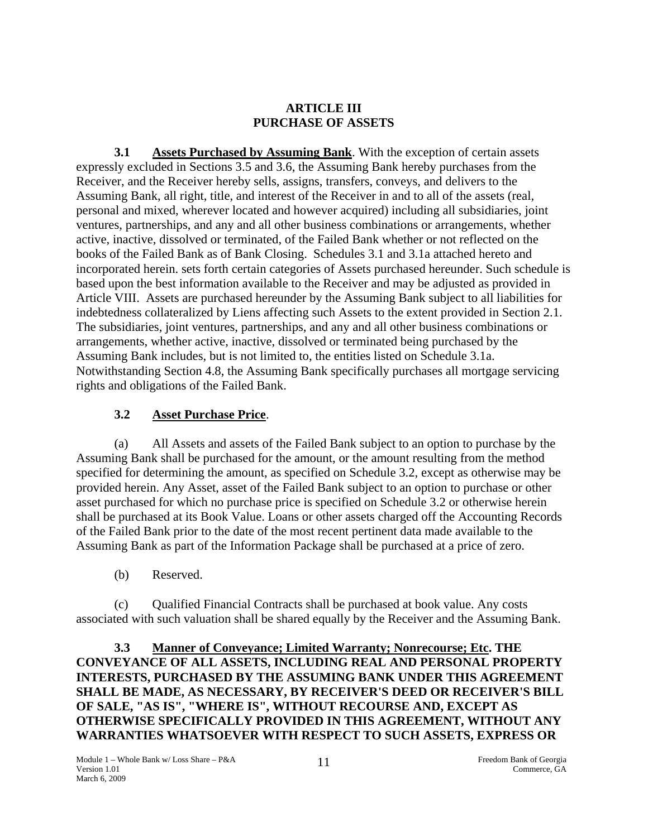## **ARTICLE III PURCHASE OF ASSETS**

<span id="page-14-0"></span>Assuming Bank includes, but is not limited to, the entities listed on Schedule 3.1a.  **3.1 Assets Purchased by Assuming Bank**. With the exception of certain assets expressly excluded in Sections 3.5 and 3.6, the Assuming Bank hereby purchases from the Receiver, and the Receiver hereby sells, assigns, transfers, conveys, and delivers to the Assuming Bank, all right, title, and interest of the Receiver in and to all of the assets (real, personal and mixed, wherever located and however acquired) including all subsidiaries, joint ventures, partnerships, and any and all other business combinations or arrangements, whether active, inactive, dissolved or terminated, of the Failed Bank whether or not reflected on the books of the Failed Bank as of Bank Closing. Schedules 3.1 and 3.1a attached hereto and incorporated herein. sets forth certain categories of Assets purchased hereunder. Such schedule is based upon the best information available to the Receiver and may be adjusted as provided in Article VIII. Assets are purchased hereunder by the Assuming Bank subject to all liabilities for indebtedness collateralized by Liens affecting such Assets to the extent provided in Section 2.1. The subsidiaries, joint ventures, partnerships, and any and all other business combinations or arrangements, whether active, inactive, dissolved or terminated being purchased by the Notwithstanding Section 4.8, the Assuming Bank specifically purchases all mortgage servicing rights and obligations of the Failed Bank.

## **3.2 Asset Purchase Price**.

(a) All Assets and assets of the Failed Bank subject to an option to purchase by the Assuming Bank shall be purchased for the amount, or the amount resulting from the method specified for determining the amount, as specified on Schedule 3.2, except as otherwise may be provided herein. Any Asset, asset of the Failed Bank subject to an option to purchase or other asset purchased for which no purchase price is specified on Schedule 3.2 or otherwise herein shall be purchased at its Book Value. Loans or other assets charged off the Accounting Records of the Failed Bank prior to the date of the most recent pertinent data made available to the Assuming Bank as part of the Information Package shall be purchased at a price of zero.

(b) Reserved.

(c) Qualified Financial Contracts shall be purchased at book value. Any costs associated with such valuation shall be shared equally by the Receiver and the Assuming Bank.

**3.3 Manner of Conveyance; Limited Warranty; Nonrecourse; Etc. THE CONVEYANCE OF ALL ASSETS, INCLUDING REAL AND PERSONAL PROPERTY INTERESTS, PURCHASED BY THE ASSUMING BANK UNDER THIS AGREEMENT SHALL BE MADE, AS NECESSARY, BY RECEIVER'S DEED OR RECEIVER'S BILL OF SALE, "AS IS", "WHERE IS", WITHOUT RECOURSE AND, EXCEPT AS OTHERWISE SPECIFICALLY PROVIDED IN THIS AGREEMENT, WITHOUT ANY WARRANTIES WHATSOEVER WITH RESPECT TO SUCH ASSETS, EXPRESS OR**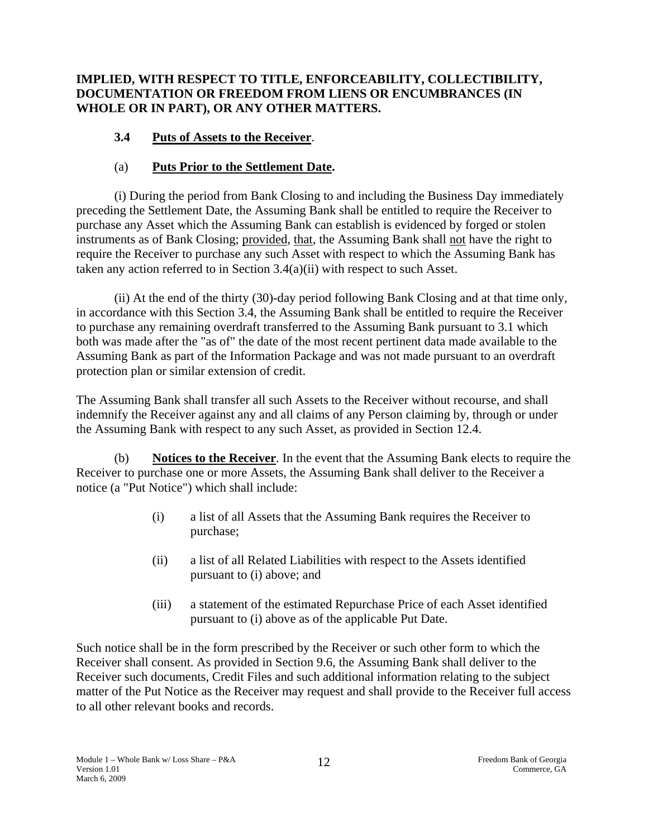## <span id="page-15-0"></span>**IMPLIED, WITH RESPECT TO TITLE, ENFORCEABILITY, COLLECTIBILITY, DOCUMENTATION OR FREEDOM FROM LIENS OR ENCUMBRANCES (IN WHOLE OR IN PART), OR ANY OTHER MATTERS.**

## **3.4 Puts of Assets to the Receiver**.

## (a) **Puts Prior to the Settlement Date.**

(i) During the period from Bank Closing to and including the Business Day immediately preceding the Settlement Date, the Assuming Bank shall be entitled to require the Receiver to purchase any Asset which the Assuming Bank can establish is evidenced by forged or stolen instruments as of Bank Closing; provided, that, the Assuming Bank shall not have the right to require the Receiver to purchase any such Asset with respect to which the Assuming Bank has taken any action referred to in Section 3.4(a)(ii) with respect to such Asset.

(ii) At the end of the thirty (30)-day period following Bank Closing and at that time only, in accordance with this Section 3.4, the Assuming Bank shall be entitled to require the Receiver to purchase any remaining overdraft transferred to the Assuming Bank pursuant to 3.1 which both was made after the "as of" the date of the most recent pertinent data made available to the Assuming Bank as part of the Information Package and was not made pursuant to an overdraft protection plan or similar extension of credit.

The Assuming Bank shall transfer all such Assets to the Receiver without recourse, and shall indemnify the Receiver against any and all claims of any Person claiming by, through or under the Assuming Bank with respect to any such Asset, as provided in Section 12.4.

(b) **Notices to the Receiver**. In the event that the Assuming Bank elects to require the Receiver to purchase one or more Assets, the Assuming Bank shall deliver to the Receiver a notice (a "Put Notice") which shall include:

- (i) a list of all Assets that the Assuming Bank requires the Receiver to purchase;
- (ii) a list of all Related Liabilities with respect to the Assets identified pursuant to (i) above; and
- (iii) a statement of the estimated Repurchase Price of each Asset identified pursuant to (i) above as of the applicable Put Date.

Such notice shall be in the form prescribed by the Receiver or such other form to which the Receiver shall consent. As provided in Section 9.6, the Assuming Bank shall deliver to the Receiver such documents, Credit Files and such additional information relating to the subject matter of the Put Notice as the Receiver may request and shall provide to the Receiver full access to all other relevant books and records.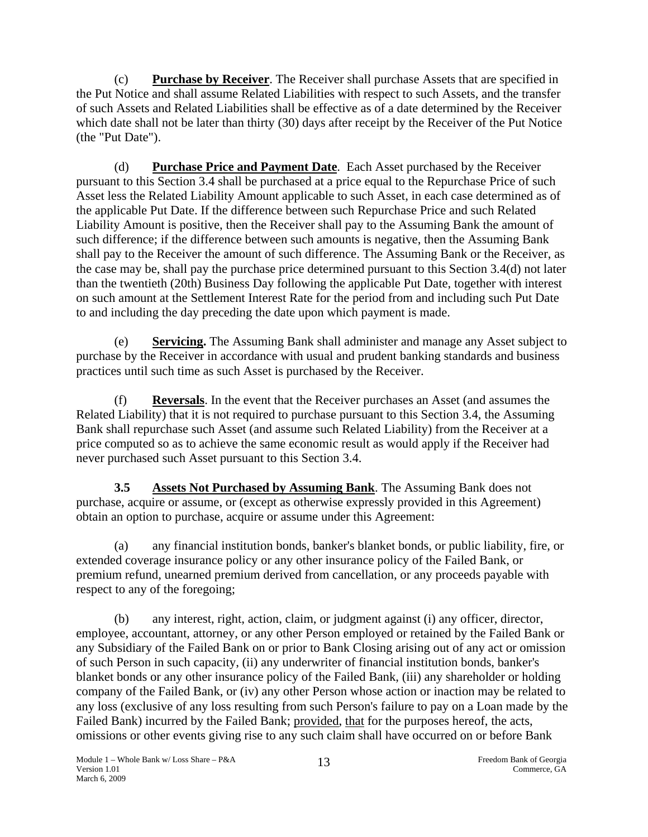<span id="page-16-0"></span> (c) **Purchase by Receiver**. The Receiver shall purchase Assets that are specified in the Put Notice and shall assume Related Liabilities with respect to such Assets, and the transfer of such Assets and Related Liabilities shall be effective as of a date determined by the Receiver which date shall not be later than thirty (30) days after receipt by the Receiver of the Put Notice (the "Put Date").

(d) **Purchase Price and Payment Date**. Each Asset purchased by the Receiver pursuant to this Section 3.4 shall be purchased at a price equal to the Repurchase Price of such Asset less the Related Liability Amount applicable to such Asset, in each case determined as of the applicable Put Date. If the difference between such Repurchase Price and such Related Liability Amount is positive, then the Receiver shall pay to the Assuming Bank the amount of such difference; if the difference between such amounts is negative, then the Assuming Bank shall pay to the Receiver the amount of such difference. The Assuming Bank or the Receiver, as the case may be, shall pay the purchase price determined pursuant to this Section 3.4(d) not later than the twentieth (20th) Business Day following the applicable Put Date, together with interest on such amount at the Settlement Interest Rate for the period from and including such Put Date to and including the day preceding the date upon which payment is made.

(e) **Servicing.** The Assuming Bank shall administer and manage any Asset subject to purchase by the Receiver in accordance with usual and prudent banking standards and business practices until such time as such Asset is purchased by the Receiver.

(f) **Reversals**. In the event that the Receiver purchases an Asset (and assumes the Related Liability) that it is not required to purchase pursuant to this Section 3.4, the Assuming Bank shall repurchase such Asset (and assume such Related Liability) from the Receiver at a price computed so as to achieve the same economic result as would apply if the Receiver had never purchased such Asset pursuant to this Section 3.4.

**3.5 Assets Not Purchased by Assuming Bank**. The Assuming Bank does not purchase, acquire or assume, or (except as otherwise expressly provided in this Agreement) obtain an option to purchase, acquire or assume under this Agreement:

(a) any financial institution bonds, banker's blanket bonds, or public liability, fire, or extended coverage insurance policy or any other insurance policy of the Failed Bank, or premium refund, unearned premium derived from cancellation, or any proceeds payable with respect to any of the foregoing;

(b) any interest, right, action, claim, or judgment against (i) any officer, director, employee, accountant, attorney, or any other Person employed or retained by the Failed Bank or any Subsidiary of the Failed Bank on or prior to Bank Closing arising out of any act or omission of such Person in such capacity, (ii) any underwriter of financial institution bonds, banker's blanket bonds or any other insurance policy of the Failed Bank, (iii) any shareholder or holding company of the Failed Bank, or (iv) any other Person whose action or inaction may be related to any loss (exclusive of any loss resulting from such Person's failure to pay on a Loan made by the Failed Bank) incurred by the Failed Bank; provided, that for the purposes hereof, the acts, omissions or other events giving rise to any such claim shall have occurred on or before Bank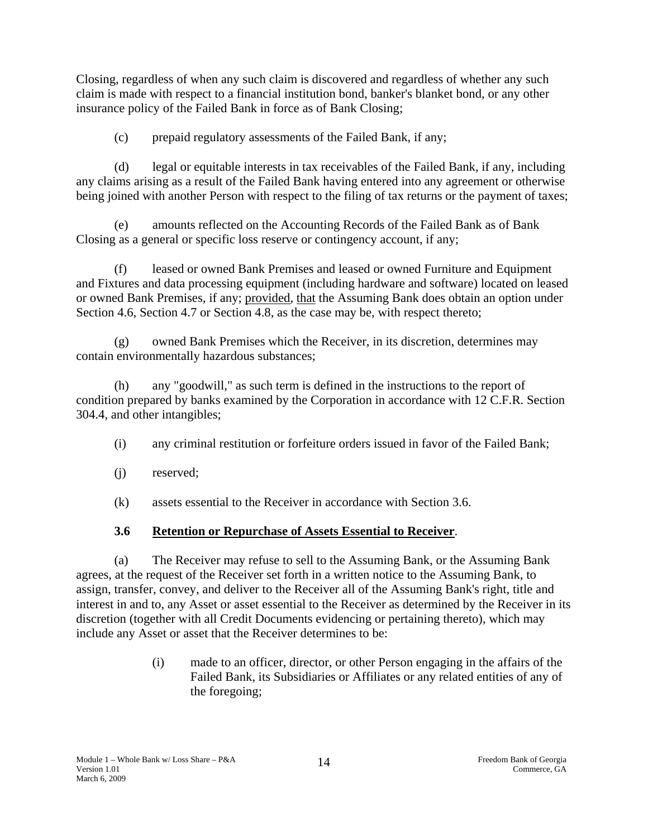Closing, regardless of when any such claim is discovered and regardless of whether any such claim is made with respect to a financial institution bond, banker's blanket bond, or any other insurance policy of the Failed Bank in force as of Bank Closing;

(c) prepaid regulatory assessments of the Failed Bank, if any;

(d) legal or equitable interests in tax receivables of the Failed Bank, if any, including any claims arising as a result of the Failed Bank having entered into any agreement or otherwise being joined with another Person with respect to the filing of tax returns or the payment of taxes;

(e) amounts reflected on the Accounting Records of the Failed Bank as of Bank Closing as a general or specific loss reserve or contingency account, if any;

(f) leased or owned Bank Premises and leased or owned Furniture and Equipment and Fixtures and data processing equipment (including hardware and software) located on leased or owned Bank Premises, if any; provided, that the Assuming Bank does obtain an option under Section 4.6, Section 4.7 or Section 4.8, as the case may be, with respect thereto;

(g) owned Bank Premises which the Receiver, in its discretion, determines may contain environmentally hazardous substances;

(h) any "goodwill," as such term is defined in the instructions to the report of condition prepared by banks examined by the Corporation in accordance with 12 C.F.R. Section 304.4, and other intangibles;

- (i) any criminal restitution or forfeiture orders issued in favor of the Failed Bank;
- (j) reserved;
- (k) assets essential to the Receiver in accordance with Section 3.6.

## **3.6 Retention or Repurchase of Assets Essential to Receiver**.

(a) The Receiver may refuse to sell to the Assuming Bank, or the Assuming Bank agrees, at the request of the Receiver set forth in a written notice to the Assuming Bank, to assign, transfer, convey, and deliver to the Receiver all of the Assuming Bank's right, title and interest in and to, any Asset or asset essential to the Receiver as determined by the Receiver in its discretion (together with all Credit Documents evidencing or pertaining thereto), which may include any Asset or asset that the Receiver determines to be:

> (i) made to an officer, director, or other Person engaging in the affairs of the Failed Bank, its Subsidiaries or Affiliates or any related entities of any of the foregoing;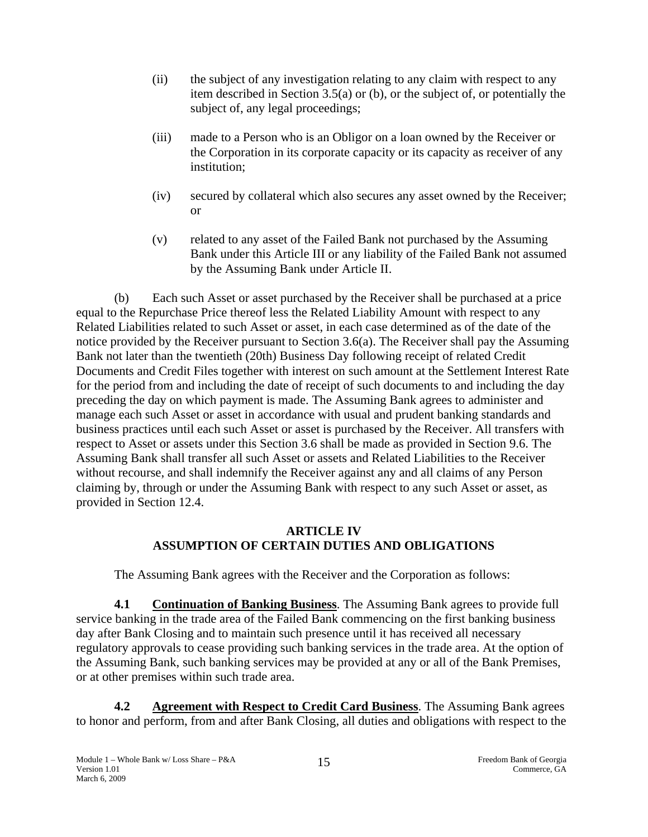- <span id="page-18-0"></span>(ii) the subject of any investigation relating to any claim with respect to any item described in Section 3.5(a) or (b), or the subject of, or potentially the subject of, any legal proceedings;
- (iii) made to a Person who is an Obligor on a loan owned by the Receiver or the Corporation in its corporate capacity or its capacity as receiver of any institution;
- (iv) secured by collateral which also secures any asset owned by the Receiver; or
- (v) related to any asset of the Failed Bank not purchased by the Assuming Bank under this Article III or any liability of the Failed Bank not assumed by the Assuming Bank under Article II.

(b) Each such Asset or asset purchased by the Receiver shall be purchased at a price equal to the Repurchase Price thereof less the Related Liability Amount with respect to any Related Liabilities related to such Asset or asset, in each case determined as of the date of the notice provided by the Receiver pursuant to Section 3.6(a). The Receiver shall pay the Assuming Bank not later than the twentieth (20th) Business Day following receipt of related Credit Documents and Credit Files together with interest on such amount at the Settlement Interest Rate for the period from and including the date of receipt of such documents to and including the day preceding the day on which payment is made. The Assuming Bank agrees to administer and manage each such Asset or asset in accordance with usual and prudent banking standards and business practices until each such Asset or asset is purchased by the Receiver. All transfers with respect to Asset or assets under this Section 3.6 shall be made as provided in Section 9.6. The Assuming Bank shall transfer all such Asset or assets and Related Liabilities to the Receiver without recourse, and shall indemnify the Receiver against any and all claims of any Person claiming by, through or under the Assuming Bank with respect to any such Asset or asset, as provided in Section 12.4.

## **ARTICLE IV ASSUMPTION OF CERTAIN DUTIES AND OBLIGATIONS**

The Assuming Bank agrees with the Receiver and the Corporation as follows:

**4.1 Continuation of Banking Business**. The Assuming Bank agrees to provide full service banking in the trade area of the Failed Bank commencing on the first banking business day after Bank Closing and to maintain such presence until it has received all necessary regulatory approvals to cease providing such banking services in the trade area. At the option of the Assuming Bank, such banking services may be provided at any or all of the Bank Premises, or at other premises within such trade area.

**4.2 Agreement with Respect to Credit Card Business**. The Assuming Bank agrees to honor and perform, from and after Bank Closing, all duties and obligations with respect to the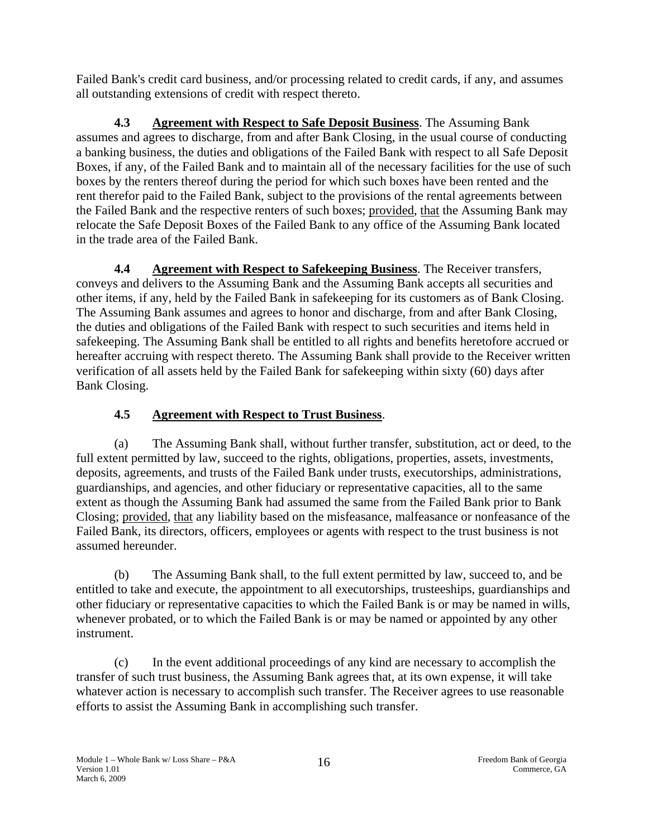<span id="page-19-0"></span>Failed Bank's credit card business, and/or processing related to credit cards, if any, and assumes all outstanding extensions of credit with respect thereto.

**4.3 Agreement with Respect to Safe Deposit Business**. The Assuming Bank assumes and agrees to discharge, from and after Bank Closing, in the usual course of conducting a banking business, the duties and obligations of the Failed Bank with respect to all Safe Deposit Boxes, if any, of the Failed Bank and to maintain all of the necessary facilities for the use of such boxes by the renters thereof during the period for which such boxes have been rented and the rent therefor paid to the Failed Bank, subject to the provisions of the rental agreements between the Failed Bank and the respective renters of such boxes; provided, that the Assuming Bank may relocate the Safe Deposit Boxes of the Failed Bank to any office of the Assuming Bank located in the trade area of the Failed Bank.

**4.4 Agreement with Respect to Safekeeping Business**. The Receiver transfers, conveys and delivers to the Assuming Bank and the Assuming Bank accepts all securities and other items, if any, held by the Failed Bank in safekeeping for its customers as of Bank Closing. The Assuming Bank assumes and agrees to honor and discharge, from and after Bank Closing, the duties and obligations of the Failed Bank with respect to such securities and items held in safekeeping. The Assuming Bank shall be entitled to all rights and benefits heretofore accrued or hereafter accruing with respect thereto. The Assuming Bank shall provide to the Receiver written verification of all assets held by the Failed Bank for safekeeping within sixty (60) days after Bank Closing.

# **4.5 Agreement with Respect to Trust Business**.

(a) The Assuming Bank shall, without further transfer, substitution, act or deed, to the full extent permitted by law, succeed to the rights, obligations, properties, assets, investments, deposits, agreements, and trusts of the Failed Bank under trusts, executorships, administrations, guardianships, and agencies, and other fiduciary or representative capacities, all to the same extent as though the Assuming Bank had assumed the same from the Failed Bank prior to Bank Closing; provided, that any liability based on the misfeasance, malfeasance or nonfeasance of the Failed Bank, its directors, officers, employees or agents with respect to the trust business is not assumed hereunder.

(b) The Assuming Bank shall, to the full extent permitted by law, succeed to, and be entitled to take and execute, the appointment to all executorships, trusteeships, guardianships and other fiduciary or representative capacities to which the Failed Bank is or may be named in wills, whenever probated, or to which the Failed Bank is or may be named or appointed by any other instrument.

(c) In the event additional proceedings of any kind are necessary to accomplish the transfer of such trust business, the Assuming Bank agrees that, at its own expense, it will take whatever action is necessary to accomplish such transfer. The Receiver agrees to use reasonable efforts to assist the Assuming Bank in accomplishing such transfer.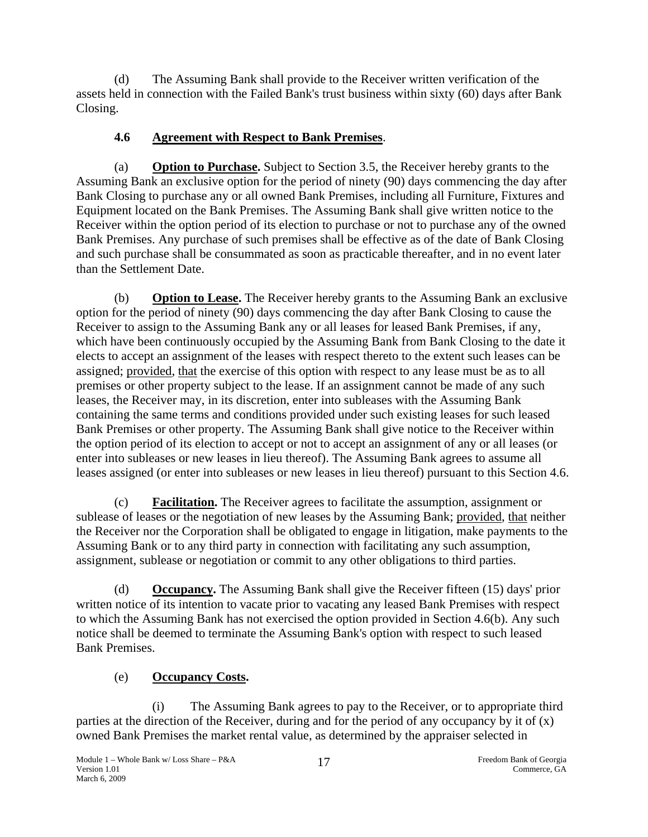<span id="page-20-0"></span>(d) The Assuming Bank shall provide to the Receiver written verification of the assets held in connection with the Failed Bank's trust business within sixty (60) days after Bank Closing.

## **4.6 Agreement with Respect to Bank Premises**.

(a) **Option to Purchase.** Subject to Section 3.5, the Receiver hereby grants to the Assuming Bank an exclusive option for the period of ninety (90) days commencing the day after Bank Closing to purchase any or all owned Bank Premises, including all Furniture, Fixtures and Equipment located on the Bank Premises. The Assuming Bank shall give written notice to the Receiver within the option period of its election to purchase or not to purchase any of the owned Bank Premises. Any purchase of such premises shall be effective as of the date of Bank Closing and such purchase shall be consummated as soon as practicable thereafter, and in no event later than the Settlement Date.

(b) **Option to Lease.** The Receiver hereby grants to the Assuming Bank an exclusive option for the period of ninety (90) days commencing the day after Bank Closing to cause the Receiver to assign to the Assuming Bank any or all leases for leased Bank Premises, if any, which have been continuously occupied by the Assuming Bank from Bank Closing to the date it elects to accept an assignment of the leases with respect thereto to the extent such leases can be assigned; provided, that the exercise of this option with respect to any lease must be as to all premises or other property subject to the lease. If an assignment cannot be made of any such leases, the Receiver may, in its discretion, enter into subleases with the Assuming Bank containing the same terms and conditions provided under such existing leases for such leased Bank Premises or other property. The Assuming Bank shall give notice to the Receiver within the option period of its election to accept or not to accept an assignment of any or all leases (or enter into subleases or new leases in lieu thereof). The Assuming Bank agrees to assume all leases assigned (or enter into subleases or new leases in lieu thereof) pursuant to this Section 4.6.

(c) **Facilitation.** The Receiver agrees to facilitate the assumption, assignment or sublease of leases or the negotiation of new leases by the Assuming Bank; provided, that neither the Receiver nor the Corporation shall be obligated to engage in litigation, make payments to the Assuming Bank or to any third party in connection with facilitating any such assumption, assignment, sublease or negotiation or commit to any other obligations to third parties.

(d) **Occupancy.** The Assuming Bank shall give the Receiver fifteen (15) days' prior written notice of its intention to vacate prior to vacating any leased Bank Premises with respect to which the Assuming Bank has not exercised the option provided in Section 4.6(b). Any such notice shall be deemed to terminate the Assuming Bank's option with respect to such leased Bank Premises.

# (e) **Occupancy Costs.**

(i) The Assuming Bank agrees to pay to the Receiver, or to appropriate third parties at the direction of the Receiver, during and for the period of any occupancy by it of (x) owned Bank Premises the market rental value, as determined by the appraiser selected in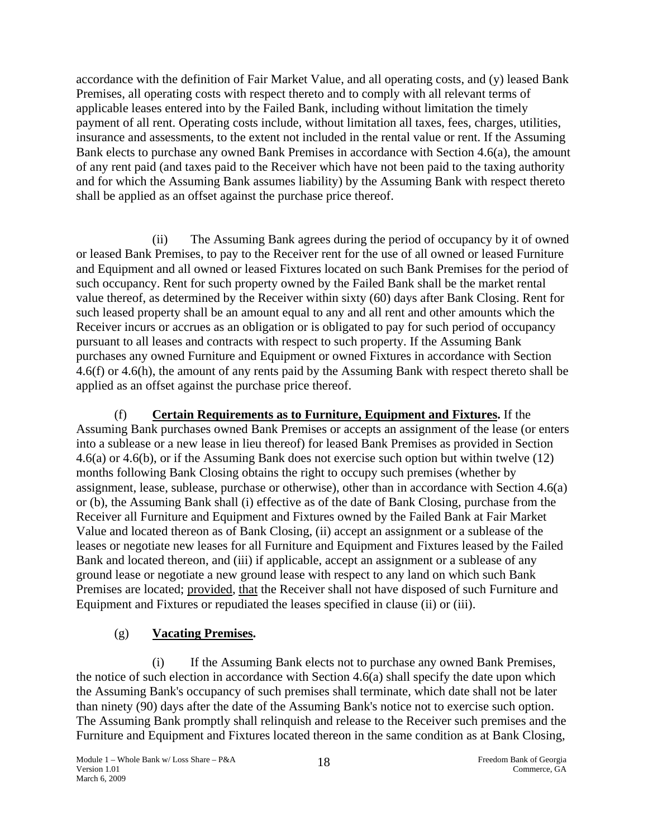accordance with the definition of Fair Market Value, and all operating costs, and (y) leased Bank Premises, all operating costs with respect thereto and to comply with all relevant terms of applicable leases entered into by the Failed Bank, including without limitation the timely payment of all rent. Operating costs include, without limitation all taxes, fees, charges, utilities, insurance and assessments, to the extent not included in the rental value or rent. If the Assuming Bank elects to purchase any owned Bank Premises in accordance with Section 4.6(a), the amount of any rent paid (and taxes paid to the Receiver which have not been paid to the taxing authority and for which the Assuming Bank assumes liability) by the Assuming Bank with respect thereto shall be applied as an offset against the purchase price thereof.

(ii) The Assuming Bank agrees during the period of occupancy by it of owned or leased Bank Premises, to pay to the Receiver rent for the use of all owned or leased Furniture and Equipment and all owned or leased Fixtures located on such Bank Premises for the period of such occupancy. Rent for such property owned by the Failed Bank shall be the market rental value thereof, as determined by the Receiver within sixty (60) days after Bank Closing. Rent for such leased property shall be an amount equal to any and all rent and other amounts which the Receiver incurs or accrues as an obligation or is obligated to pay for such period of occupancy pursuant to all leases and contracts with respect to such property. If the Assuming Bank purchases any owned Furniture and Equipment or owned Fixtures in accordance with Section 4.6(f) or 4.6(h), the amount of any rents paid by the Assuming Bank with respect thereto shall be applied as an offset against the purchase price thereof.

(f) **Certain Requirements as to Furniture, Equipment and Fixtures.** If the Assuming Bank purchases owned Bank Premises or accepts an assignment of the lease (or enters into a sublease or a new lease in lieu thereof) for leased Bank Premises as provided in Section 4.6(a) or 4.6(b), or if the Assuming Bank does not exercise such option but within twelve (12) months following Bank Closing obtains the right to occupy such premises (whether by assignment, lease, sublease, purchase or otherwise), other than in accordance with Section 4.6(a) or (b), the Assuming Bank shall (i) effective as of the date of Bank Closing, purchase from the Receiver all Furniture and Equipment and Fixtures owned by the Failed Bank at Fair Market Value and located thereon as of Bank Closing, (ii) accept an assignment or a sublease of the leases or negotiate new leases for all Furniture and Equipment and Fixtures leased by the Failed Bank and located thereon, and (iii) if applicable, accept an assignment or a sublease of any ground lease or negotiate a new ground lease with respect to any land on which such Bank Premises are located; provided, that the Receiver shall not have disposed of such Furniture and Equipment and Fixtures or repudiated the leases specified in clause (ii) or (iii).

## (g) **Vacating Premises.**

(i) If the Assuming Bank elects not to purchase any owned Bank Premises, the notice of such election in accordance with Section 4.6(a) shall specify the date upon which the Assuming Bank's occupancy of such premises shall terminate, which date shall not be later than ninety (90) days after the date of the Assuming Bank's notice not to exercise such option. The Assuming Bank promptly shall relinquish and release to the Receiver such premises and the Furniture and Equipment and Fixtures located thereon in the same condition as at Bank Closing,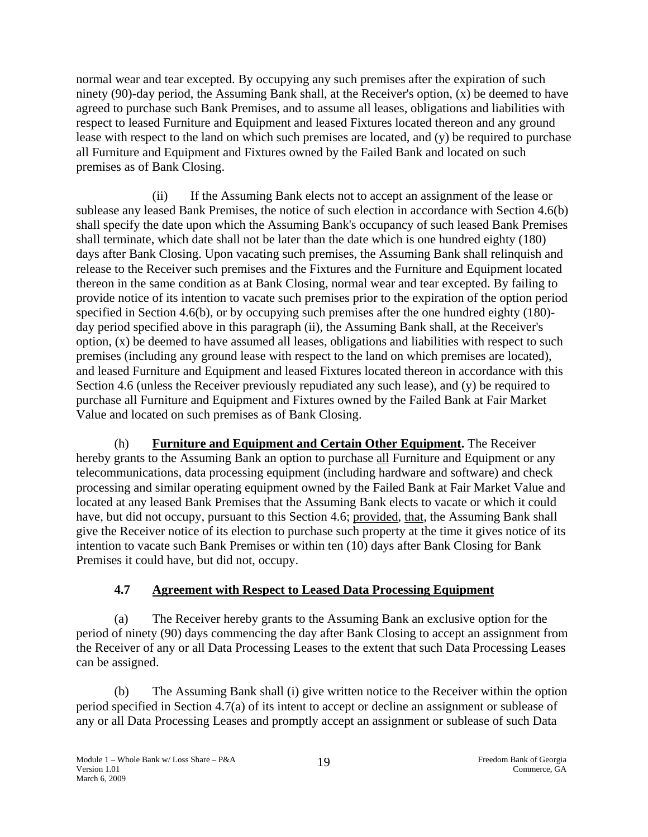<span id="page-22-0"></span>normal wear and tear excepted. By occupying any such premises after the expiration of such ninety (90)-day period, the Assuming Bank shall, at the Receiver's option, (x) be deemed to have agreed to purchase such Bank Premises, and to assume all leases, obligations and liabilities with respect to leased Furniture and Equipment and leased Fixtures located thereon and any ground lease with respect to the land on which such premises are located, and (y) be required to purchase all Furniture and Equipment and Fixtures owned by the Failed Bank and located on such premises as of Bank Closing.

(ii) If the Assuming Bank elects not to accept an assignment of the lease or sublease any leased Bank Premises, the notice of such election in accordance with Section 4.6(b) shall specify the date upon which the Assuming Bank's occupancy of such leased Bank Premises shall terminate, which date shall not be later than the date which is one hundred eighty (180) days after Bank Closing. Upon vacating such premises, the Assuming Bank shall relinquish and release to the Receiver such premises and the Fixtures and the Furniture and Equipment located thereon in the same condition as at Bank Closing, normal wear and tear excepted. By failing to provide notice of its intention to vacate such premises prior to the expiration of the option period specified in Section 4.6(b), or by occupying such premises after the one hundred eighty (180) day period specified above in this paragraph (ii), the Assuming Bank shall, at the Receiver's option, (x) be deemed to have assumed all leases, obligations and liabilities with respect to such premises (including any ground lease with respect to the land on which premises are located), and leased Furniture and Equipment and leased Fixtures located thereon in accordance with this Section 4.6 (unless the Receiver previously repudiated any such lease), and (y) be required to purchase all Furniture and Equipment and Fixtures owned by the Failed Bank at Fair Market Value and located on such premises as of Bank Closing.

(h) **Furniture and Equipment and Certain Other Equipment.** The Receiver hereby grants to the Assuming Bank an option to purchase all Furniture and Equipment or any telecommunications, data processing equipment (including hardware and software) and check processing and similar operating equipment owned by the Failed Bank at Fair Market Value and located at any leased Bank Premises that the Assuming Bank elects to vacate or which it could have, but did not occupy, pursuant to this Section 4.6; provided, that, the Assuming Bank shall give the Receiver notice of its election to purchase such property at the time it gives notice of its intention to vacate such Bank Premises or within ten (10) days after Bank Closing for Bank Premises it could have, but did not, occupy.

# **4.7 Agreement with Respect to Leased Data Processing Equipment**

(a) The Receiver hereby grants to the Assuming Bank an exclusive option for the period of ninety (90) days commencing the day after Bank Closing to accept an assignment from the Receiver of any or all Data Processing Leases to the extent that such Data Processing Leases can be assigned.

(b) The Assuming Bank shall (i) give written notice to the Receiver within the option period specified in Section 4.7(a) of its intent to accept or decline an assignment or sublease of any or all Data Processing Leases and promptly accept an assignment or sublease of such Data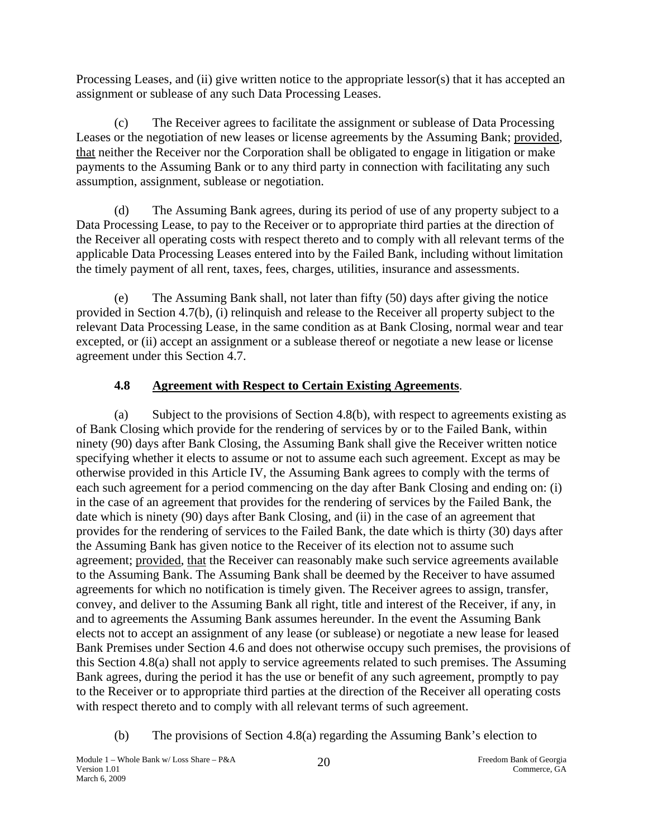<span id="page-23-0"></span>Processing Leases, and (ii) give written notice to the appropriate lessor(s) that it has accepted an assignment or sublease of any such Data Processing Leases.

(c) The Receiver agrees to facilitate the assignment or sublease of Data Processing Leases or the negotiation of new leases or license agreements by the Assuming Bank; provided, that neither the Receiver nor the Corporation shall be obligated to engage in litigation or make payments to the Assuming Bank or to any third party in connection with facilitating any such assumption, assignment, sublease or negotiation.

(d) The Assuming Bank agrees, during its period of use of any property subject to a Data Processing Lease, to pay to the Receiver or to appropriate third parties at the direction of the Receiver all operating costs with respect thereto and to comply with all relevant terms of the applicable Data Processing Leases entered into by the Failed Bank, including without limitation the timely payment of all rent, taxes, fees, charges, utilities, insurance and assessments.

(e) The Assuming Bank shall, not later than fifty (50) days after giving the notice provided in Section 4.7(b), (i) relinquish and release to the Receiver all property subject to the relevant Data Processing Lease, in the same condition as at Bank Closing, normal wear and tear excepted, or (ii) accept an assignment or a sublease thereof or negotiate a new lease or license agreement under this Section 4.7.

## **4.8 Agreement with Respect to Certain Existing Agreements**.

(a) Subject to the provisions of Section 4.8(b), with respect to agreements existing as of Bank Closing which provide for the rendering of services by or to the Failed Bank, within ninety (90) days after Bank Closing, the Assuming Bank shall give the Receiver written notice specifying whether it elects to assume or not to assume each such agreement. Except as may be otherwise provided in this Article IV, the Assuming Bank agrees to comply with the terms of each such agreement for a period commencing on the day after Bank Closing and ending on: (i) in the case of an agreement that provides for the rendering of services by the Failed Bank, the date which is ninety (90) days after Bank Closing, and (ii) in the case of an agreement that provides for the rendering of services to the Failed Bank, the date which is thirty (30) days after the Assuming Bank has given notice to the Receiver of its election not to assume such agreement; provided, that the Receiver can reasonably make such service agreements available to the Assuming Bank. The Assuming Bank shall be deemed by the Receiver to have assumed agreements for which no notification is timely given. The Receiver agrees to assign, transfer, convey, and deliver to the Assuming Bank all right, title and interest of the Receiver, if any, in and to agreements the Assuming Bank assumes hereunder. In the event the Assuming Bank elects not to accept an assignment of any lease (or sublease) or negotiate a new lease for leased Bank Premises under Section 4.6 and does not otherwise occupy such premises, the provisions of this Section 4.8(a) shall not apply to service agreements related to such premises. The Assuming Bank agrees, during the period it has the use or benefit of any such agreement, promptly to pay to the Receiver or to appropriate third parties at the direction of the Receiver all operating costs with respect thereto and to comply with all relevant terms of such agreement.

(b) The provisions of Section 4.8(a) regarding the Assuming Bank's election to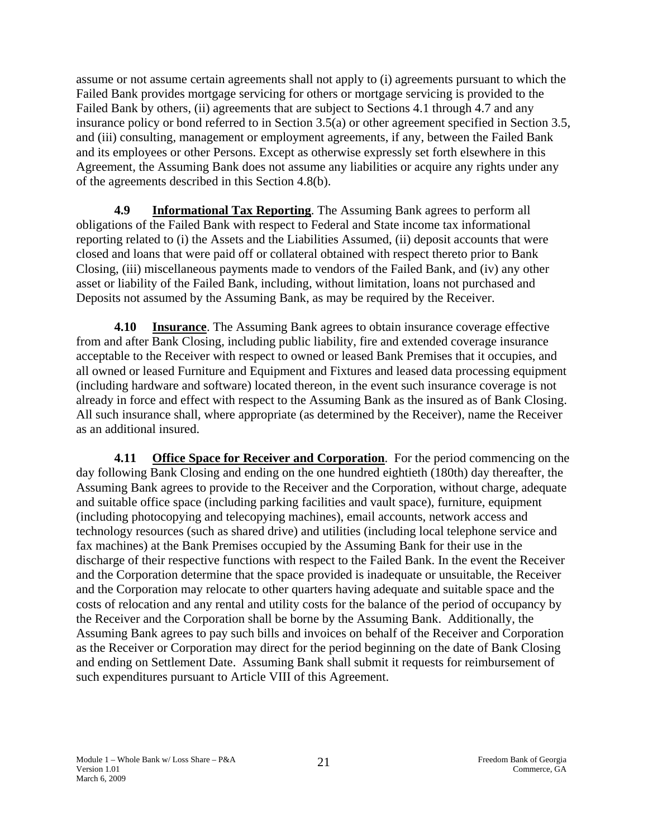<span id="page-24-0"></span>assume or not assume certain agreements shall not apply to (i) agreements pursuant to which the Failed Bank provides mortgage servicing for others or mortgage servicing is provided to the Failed Bank by others, (ii) agreements that are subject to Sections 4.1 through 4.7 and any insurance policy or bond referred to in Section 3.5(a) or other agreement specified in Section 3.5, and (iii) consulting, management or employment agreements, if any, between the Failed Bank and its employees or other Persons. Except as otherwise expressly set forth elsewhere in this Agreement, the Assuming Bank does not assume any liabilities or acquire any rights under any of the agreements described in this Section 4.8(b).

**4.9 Informational Tax Reporting**. The Assuming Bank agrees to perform all obligations of the Failed Bank with respect to Federal and State income tax informational reporting related to (i) the Assets and the Liabilities Assumed, (ii) deposit accounts that were closed and loans that were paid off or collateral obtained with respect thereto prior to Bank Closing, (iii) miscellaneous payments made to vendors of the Failed Bank, and (iv) any other asset or liability of the Failed Bank, including, without limitation, loans not purchased and Deposits not assumed by the Assuming Bank, as may be required by the Receiver.

**4.10 Insurance**. The Assuming Bank agrees to obtain insurance coverage effective from and after Bank Closing, including public liability, fire and extended coverage insurance acceptable to the Receiver with respect to owned or leased Bank Premises that it occupies, and all owned or leased Furniture and Equipment and Fixtures and leased data processing equipment (including hardware and software) located thereon, in the event such insurance coverage is not already in force and effect with respect to the Assuming Bank as the insured as of Bank Closing. All such insurance shall, where appropriate (as determined by the Receiver), name the Receiver as an additional insured.

**4.11 Office Space for Receiver and Corporation**. For the period commencing on the day following Bank Closing and ending on the one hundred eightieth (180th) day thereafter, the Assuming Bank agrees to provide to the Receiver and the Corporation, without charge, adequate and suitable office space (including parking facilities and vault space), furniture, equipment (including photocopying and telecopying machines), email accounts, network access and technology resources (such as shared drive) and utilities (including local telephone service and fax machines) at the Bank Premises occupied by the Assuming Bank for their use in the discharge of their respective functions with respect to the Failed Bank. In the event the Receiver and the Corporation determine that the space provided is inadequate or unsuitable, the Receiver and the Corporation may relocate to other quarters having adequate and suitable space and the costs of relocation and any rental and utility costs for the balance of the period of occupancy by the Receiver and the Corporation shall be borne by the Assuming Bank. Additionally, the Assuming Bank agrees to pay such bills and invoices on behalf of the Receiver and Corporation as the Receiver or Corporation may direct for the period beginning on the date of Bank Closing and ending on Settlement Date. Assuming Bank shall submit it requests for reimbursement of such expenditures pursuant to Article VIII of this Agreement.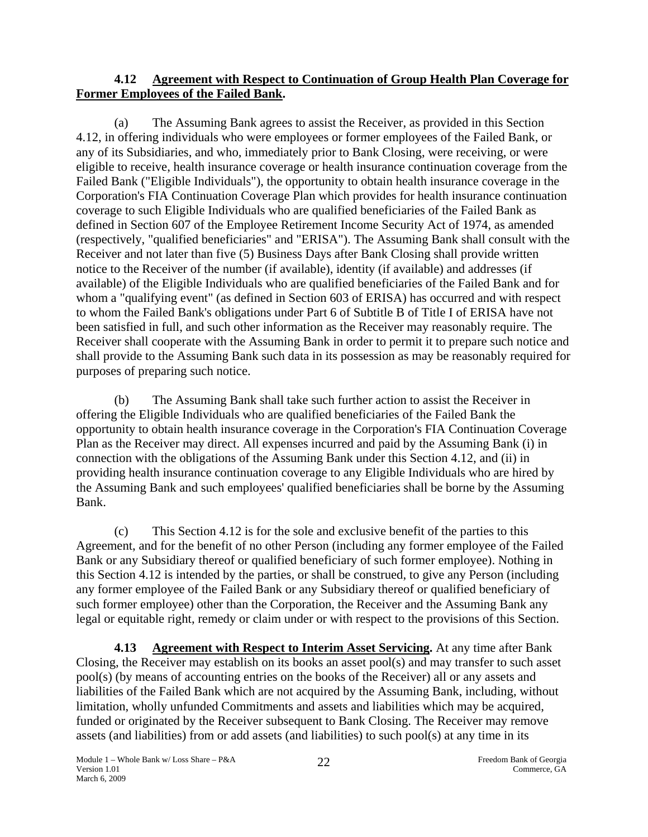## <span id="page-25-0"></span>**4.12 Agreement with Respect to Continuation of Group Health Plan Coverage for Former Employees of the Failed Bank.**

(a) The Assuming Bank agrees to assist the Receiver, as provided in this Section 4.12, in offering individuals who were employees or former employees of the Failed Bank, or any of its Subsidiaries, and who, immediately prior to Bank Closing, were receiving, or were eligible to receive, health insurance coverage or health insurance continuation coverage from the Failed Bank ("Eligible Individuals"), the opportunity to obtain health insurance coverage in the Corporation's FIA Continuation Coverage Plan which provides for health insurance continuation coverage to such Eligible Individuals who are qualified beneficiaries of the Failed Bank as defined in Section 607 of the Employee Retirement Income Security Act of 1974, as amended (respectively, "qualified beneficiaries" and "ERISA"). The Assuming Bank shall consult with the Receiver and not later than five (5) Business Days after Bank Closing shall provide written notice to the Receiver of the number (if available), identity (if available) and addresses (if available) of the Eligible Individuals who are qualified beneficiaries of the Failed Bank and for whom a "qualifying event" (as defined in Section 603 of ERISA) has occurred and with respect to whom the Failed Bank's obligations under Part 6 of Subtitle B of Title I of ERISA have not been satisfied in full, and such other information as the Receiver may reasonably require. The Receiver shall cooperate with the Assuming Bank in order to permit it to prepare such notice and shall provide to the Assuming Bank such data in its possession as may be reasonably required for purposes of preparing such notice.

(b) The Assuming Bank shall take such further action to assist the Receiver in offering the Eligible Individuals who are qualified beneficiaries of the Failed Bank the opportunity to obtain health insurance coverage in the Corporation's FIA Continuation Coverage Plan as the Receiver may direct. All expenses incurred and paid by the Assuming Bank (i) in connection with the obligations of the Assuming Bank under this Section 4.12, and (ii) in providing health insurance continuation coverage to any Eligible Individuals who are hired by the Assuming Bank and such employees' qualified beneficiaries shall be borne by the Assuming Bank.

(c) This Section 4.12 is for the sole and exclusive benefit of the parties to this Agreement, and for the benefit of no other Person (including any former employee of the Failed Bank or any Subsidiary thereof or qualified beneficiary of such former employee). Nothing in this Section 4.12 is intended by the parties, or shall be construed, to give any Person (including any former employee of the Failed Bank or any Subsidiary thereof or qualified beneficiary of such former employee) other than the Corporation, the Receiver and the Assuming Bank any legal or equitable right, remedy or claim under or with respect to the provisions of this Section.

**4.13 Agreement with Respect to Interim Asset Servicing.** At any time after Bank Closing, the Receiver may establish on its books an asset pool(s) and may transfer to such asset pool(s) (by means of accounting entries on the books of the Receiver) all or any assets and liabilities of the Failed Bank which are not acquired by the Assuming Bank, including, without limitation, wholly unfunded Commitments and assets and liabilities which may be acquired, funded or originated by the Receiver subsequent to Bank Closing. The Receiver may remove assets (and liabilities) from or add assets (and liabilities) to such pool(s) at any time in its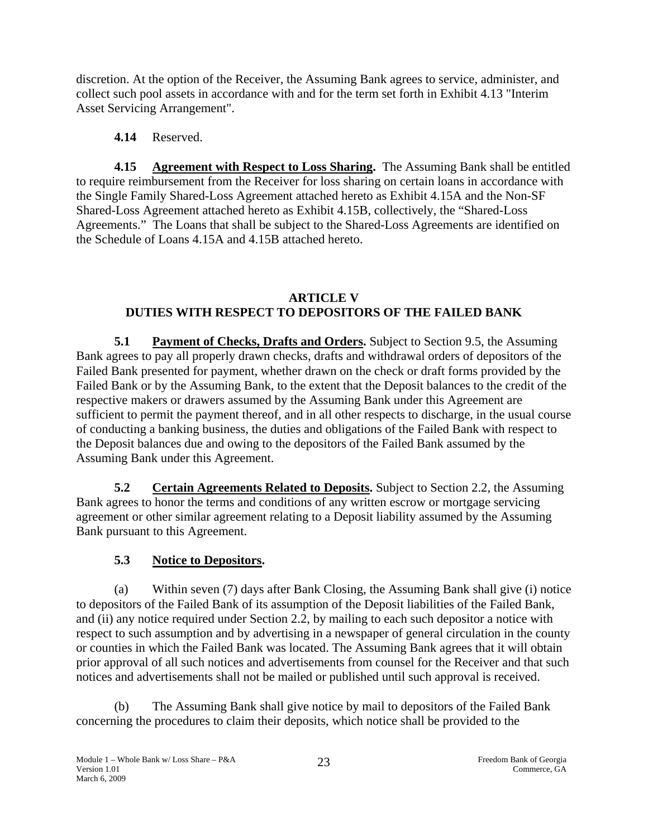<span id="page-26-0"></span>discretion. At the option of the Receiver, the Assuming Bank agrees to service, administer, and collect such pool assets in accordance with and for the term set forth in Exhibit 4.13 "Interim Asset Servicing Arrangement".

## **4.14** Reserved.

**4.15 Agreement with Respect to Loss Sharing.** The Assuming Bank shall be entitled to require reimbursement from the Receiver for loss sharing on certain loans in accordance with the Single Family Shared-Loss Agreement attached hereto as Exhibit 4.15A and the Non-SF Shared-Loss Agreement attached hereto as Exhibit 4.15B, collectively, the "Shared-Loss Agreements." The Loans that shall be subject to the Shared-Loss Agreements are identified on the Schedule of Loans 4.15A and 4.15B attached hereto.

## **ARTICLE V DUTIES WITH RESPECT TO DEPOSITORS OF THE FAILED BANK**

 **5.1 Payment of Checks, Drafts and Orders.** Subject to Section 9.5, the Assuming Bank agrees to pay all properly drawn checks, drafts and withdrawal orders of depositors of the Failed Bank presented for payment, whether drawn on the check or draft forms provided by the Failed Bank or by the Assuming Bank, to the extent that the Deposit balances to the credit of the respective makers or drawers assumed by the Assuming Bank under this Agreement are sufficient to permit the payment thereof, and in all other respects to discharge, in the usual course of conducting a banking business, the duties and obligations of the Failed Bank with respect to the Deposit balances due and owing to the depositors of the Failed Bank assumed by the Assuming Bank under this Agreement.

**5.2 Certain Agreements Related to Deposits.** Subject to Section 2.2, the Assuming Bank agrees to honor the terms and conditions of any written escrow or mortgage servicing agreement or other similar agreement relating to a Deposit liability assumed by the Assuming Bank pursuant to this Agreement.

# **5.3 Notice to Depositors.**

(a) Within seven (7) days after Bank Closing, the Assuming Bank shall give (i) notice to depositors of the Failed Bank of its assumption of the Deposit liabilities of the Failed Bank, and (ii) any notice required under Section 2.2, by mailing to each such depositor a notice with respect to such assumption and by advertising in a newspaper of general circulation in the county or counties in which the Failed Bank was located. The Assuming Bank agrees that it will obtain prior approval of all such notices and advertisements from counsel for the Receiver and that such notices and advertisements shall not be mailed or published until such approval is received.

(b) The Assuming Bank shall give notice by mail to depositors of the Failed Bank concerning the procedures to claim their deposits, which notice shall be provided to the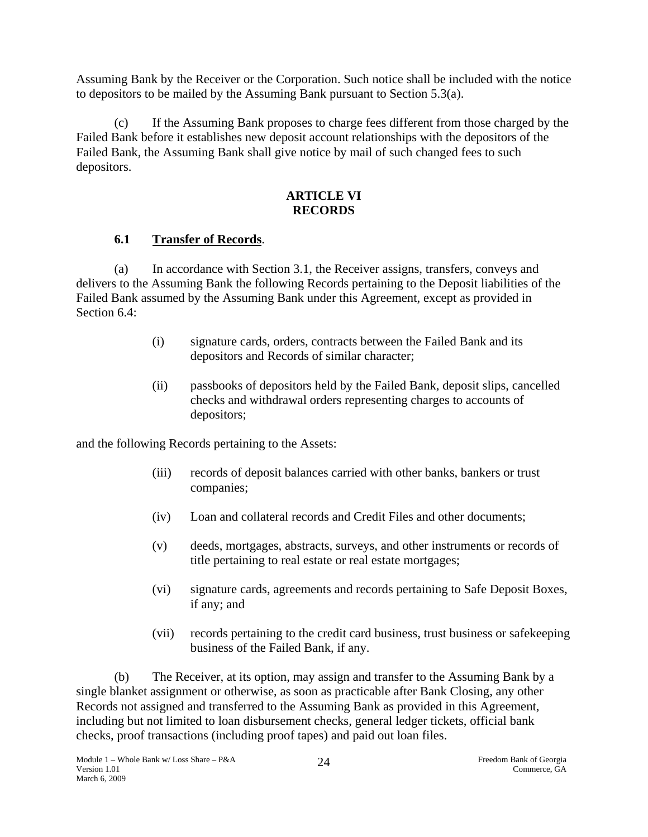<span id="page-27-0"></span>Assuming Bank by the Receiver or the Corporation. Such notice shall be included with the notice to depositors to be mailed by the Assuming Bank pursuant to Section 5.3(a).

(c) If the Assuming Bank proposes to charge fees different from those charged by the Failed Bank before it establishes new deposit account relationships with the depositors of the Failed Bank, the Assuming Bank shall give notice by mail of such changed fees to such depositors.

## **ARTICLE VI RECORDS**

## **6.1 Transfer of Records**.

(a) In accordance with Section 3.1, the Receiver assigns, transfers, conveys and delivers to the Assuming Bank the following Records pertaining to the Deposit liabilities of the Failed Bank assumed by the Assuming Bank under this Agreement, except as provided in Section 6.4:

- (i) signature cards, orders, contracts between the Failed Bank and its depositors and Records of similar character;
- (ii) passbooks of depositors held by the Failed Bank, deposit slips, cancelled checks and withdrawal orders representing charges to accounts of depositors;

and the following Records pertaining to the Assets:

- (iii) records of deposit balances carried with other banks, bankers or trust companies;
- (iv) Loan and collateral records and Credit Files and other documents;
- (v) deeds, mortgages, abstracts, surveys, and other instruments or records of title pertaining to real estate or real estate mortgages;
- (vi) signature cards, agreements and records pertaining to Safe Deposit Boxes, if any; and
- (vii) records pertaining to the credit card business, trust business or safekeeping business of the Failed Bank, if any.

(b) The Receiver, at its option, may assign and transfer to the Assuming Bank by a single blanket assignment or otherwise, as soon as practicable after Bank Closing, any other Records not assigned and transferred to the Assuming Bank as provided in this Agreement, including but not limited to loan disbursement checks, general ledger tickets, official bank checks, proof transactions (including proof tapes) and paid out loan files.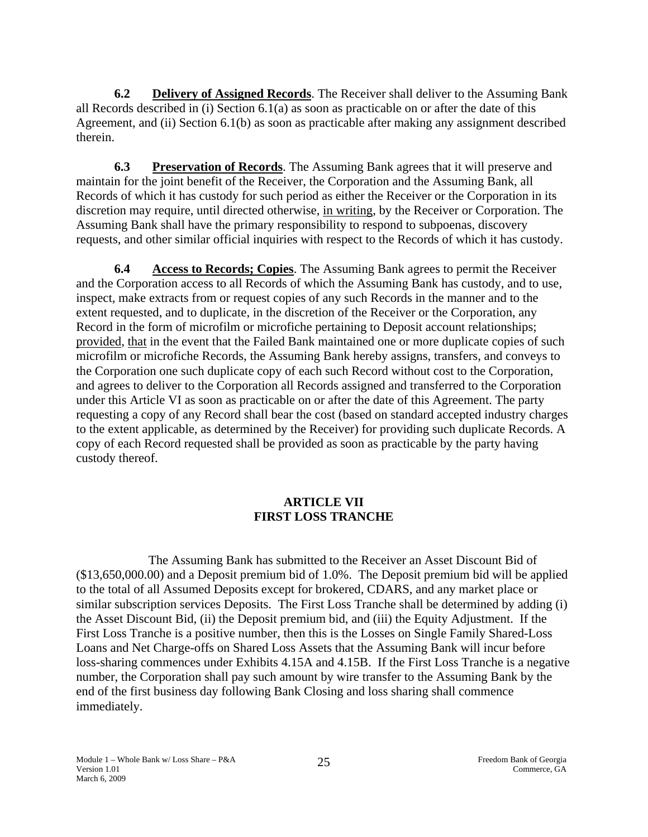<span id="page-28-0"></span> **6.2 Delivery of Assigned Records**. The Receiver shall deliver to the Assuming Bank all Records described in (i) Section 6.1(a) as soon as practicable on or after the date of this Agreement, and (ii) Section 6.1(b) as soon as practicable after making any assignment described therein.

**6.3 Preservation of Records**. The Assuming Bank agrees that it will preserve and maintain for the joint benefit of the Receiver, the Corporation and the Assuming Bank, all Records of which it has custody for such period as either the Receiver or the Corporation in its discretion may require, until directed otherwise, in writing, by the Receiver or Corporation. The Assuming Bank shall have the primary responsibility to respond to subpoenas, discovery requests, and other similar official inquiries with respect to the Records of which it has custody.

**6.4 Access to Records; Copies**. The Assuming Bank agrees to permit the Receiver and the Corporation access to all Records of which the Assuming Bank has custody, and to use, inspect, make extracts from or request copies of any such Records in the manner and to the extent requested, and to duplicate, in the discretion of the Receiver or the Corporation, any Record in the form of microfilm or microfiche pertaining to Deposit account relationships; provided, that in the event that the Failed Bank maintained one or more duplicate copies of such microfilm or microfiche Records, the Assuming Bank hereby assigns, transfers, and conveys to the Corporation one such duplicate copy of each such Record without cost to the Corporation, and agrees to deliver to the Corporation all Records assigned and transferred to the Corporation under this Article VI as soon as practicable on or after the date of this Agreement. The party requesting a copy of any Record shall bear the cost (based on standard accepted industry charges to the extent applicable, as determined by the Receiver) for providing such duplicate Records. A copy of each Record requested shall be provided as soon as practicable by the party having custody thereof.

### **ARTICLE VII FIRST LOSS TRANCHE**

 The Assuming Bank has submitted to the Receiver an Asset Discount Bid of (\$13,650,000.00) and a Deposit premium bid of 1.0%. The Deposit premium bid will be applied to the total of all Assumed Deposits except for brokered, CDARS, and any market place or similar subscription services Deposits. The First Loss Tranche shall be determined by adding (i) the Asset Discount Bid, (ii) the Deposit premium bid, and (iii) the Equity Adjustment. If the First Loss Tranche is a positive number, then this is the Losses on Single Family Shared-Loss Loans and Net Charge-offs on Shared Loss Assets that the Assuming Bank will incur before loss-sharing commences under Exhibits 4.15A and 4.15B. If the First Loss Tranche is a negative number, the Corporation shall pay such amount by wire transfer to the Assuming Bank by the end of the first business day following Bank Closing and loss sharing shall commence immediately.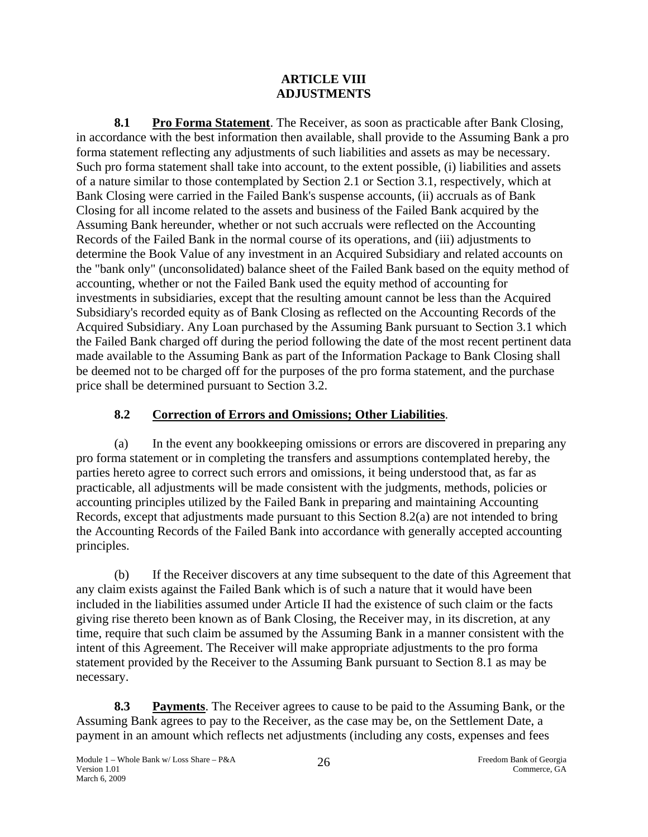## **ARTICLE VIII ADJUSTMENTS**

<span id="page-29-0"></span>**8.1 Pro Forma Statement**. The Receiver, as soon as practicable after Bank Closing, in accordance with the best information then available, shall provide to the Assuming Bank a pro forma statement reflecting any adjustments of such liabilities and assets as may be necessary. Such pro forma statement shall take into account, to the extent possible, (i) liabilities and assets of a nature similar to those contemplated by Section 2.1 or Section 3.1, respectively, which at Bank Closing were carried in the Failed Bank's suspense accounts, (ii) accruals as of Bank Closing for all income related to the assets and business of the Failed Bank acquired by the Assuming Bank hereunder, whether or not such accruals were reflected on the Accounting Records of the Failed Bank in the normal course of its operations, and (iii) adjustments to determine the Book Value of any investment in an Acquired Subsidiary and related accounts on the "bank only" (unconsolidated) balance sheet of the Failed Bank based on the equity method of accounting, whether or not the Failed Bank used the equity method of accounting for investments in subsidiaries, except that the resulting amount cannot be less than the Acquired Subsidiary's recorded equity as of Bank Closing as reflected on the Accounting Records of the Acquired Subsidiary. Any Loan purchased by the Assuming Bank pursuant to Section 3.1 which the Failed Bank charged off during the period following the date of the most recent pertinent data made available to the Assuming Bank as part of the Information Package to Bank Closing shall be deemed not to be charged off for the purposes of the pro forma statement, and the purchase price shall be determined pursuant to Section 3.2.

# **8.2 Correction of Errors and Omissions; Other Liabilities**.

(a) In the event any bookkeeping omissions or errors are discovered in preparing any pro forma statement or in completing the transfers and assumptions contemplated hereby, the parties hereto agree to correct such errors and omissions, it being understood that, as far as practicable, all adjustments will be made consistent with the judgments, methods, policies or accounting principles utilized by the Failed Bank in preparing and maintaining Accounting Records, except that adjustments made pursuant to this Section 8.2(a) are not intended to bring the Accounting Records of the Failed Bank into accordance with generally accepted accounting principles.

(b) If the Receiver discovers at any time subsequent to the date of this Agreement that any claim exists against the Failed Bank which is of such a nature that it would have been included in the liabilities assumed under Article II had the existence of such claim or the facts giving rise thereto been known as of Bank Closing, the Receiver may, in its discretion, at any time, require that such claim be assumed by the Assuming Bank in a manner consistent with the intent of this Agreement. The Receiver will make appropriate adjustments to the pro forma statement provided by the Receiver to the Assuming Bank pursuant to Section 8.1 as may be necessary.

**8.3 Payments**. The Receiver agrees to cause to be paid to the Assuming Bank, or the Assuming Bank agrees to pay to the Receiver, as the case may be, on the Settlement Date, a payment in an amount which reflects net adjustments (including any costs, expenses and fees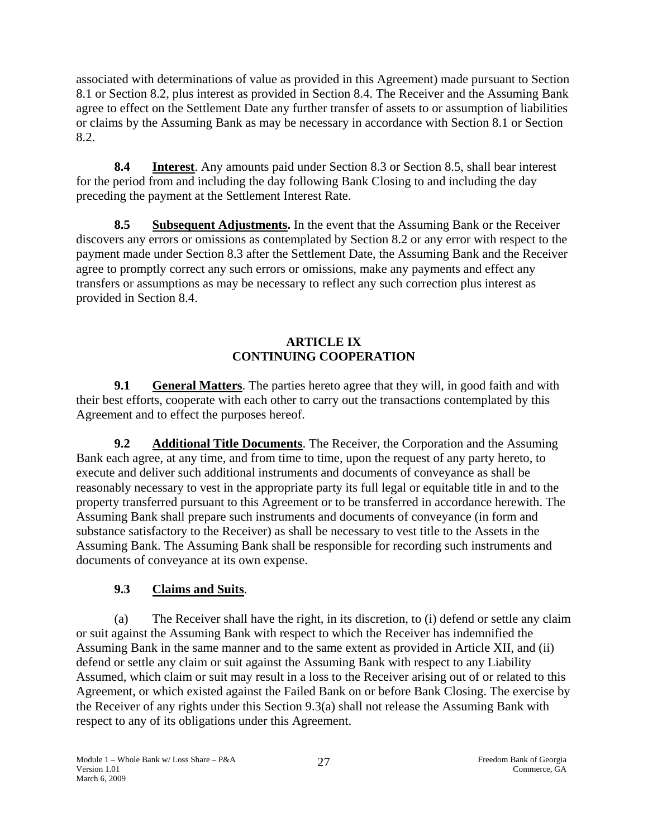<span id="page-30-0"></span>associated with determinations of value as provided in this Agreement) made pursuant to Section 8.1 or Section 8.2, plus interest as provided in Section 8.4. The Receiver and the Assuming Bank agree to effect on the Settlement Date any further transfer of assets to or assumption of liabilities or claims by the Assuming Bank as may be necessary in accordance with Section 8.1 or Section 8.2.

**8.4 Interest**. Any amounts paid under Section 8.3 or Section 8.5, shall bear interest for the period from and including the day following Bank Closing to and including the day preceding the payment at the Settlement Interest Rate.

**8.5** Subsequent Adjustments. In the event that the Assuming Bank or the Receiver discovers any errors or omissions as contemplated by Section 8.2 or any error with respect to the payment made under Section 8.3 after the Settlement Date, the Assuming Bank and the Receiver agree to promptly correct any such errors or omissions, make any payments and effect any transfers or assumptions as may be necessary to reflect any such correction plus interest as provided in Section 8.4.

## **ARTICLE IX CONTINUING COOPERATION**

**9.1** General Matters. The parties hereto agree that they will, in good faith and with their best efforts, cooperate with each other to carry out the transactions contemplated by this Agreement and to effect the purposes hereof.

**9.2 Additional Title Documents**. The Receiver, the Corporation and the Assuming Bank each agree, at any time, and from time to time, upon the request of any party hereto, to execute and deliver such additional instruments and documents of conveyance as shall be reasonably necessary to vest in the appropriate party its full legal or equitable title in and to the property transferred pursuant to this Agreement or to be transferred in accordance herewith. The Assuming Bank shall prepare such instruments and documents of conveyance (in form and substance satisfactory to the Receiver) as shall be necessary to vest title to the Assets in the Assuming Bank. The Assuming Bank shall be responsible for recording such instruments and documents of conveyance at its own expense.

# **9.3 Claims and Suits**.

(a) The Receiver shall have the right, in its discretion, to (i) defend or settle any claim or suit against the Assuming Bank with respect to which the Receiver has indemnified the Assuming Bank in the same manner and to the same extent as provided in Article XII, and (ii) defend or settle any claim or suit against the Assuming Bank with respect to any Liability Assumed, which claim or suit may result in a loss to the Receiver arising out of or related to this Agreement, or which existed against the Failed Bank on or before Bank Closing. The exercise by the Receiver of any rights under this Section 9.3(a) shall not release the Assuming Bank with respect to any of its obligations under this Agreement.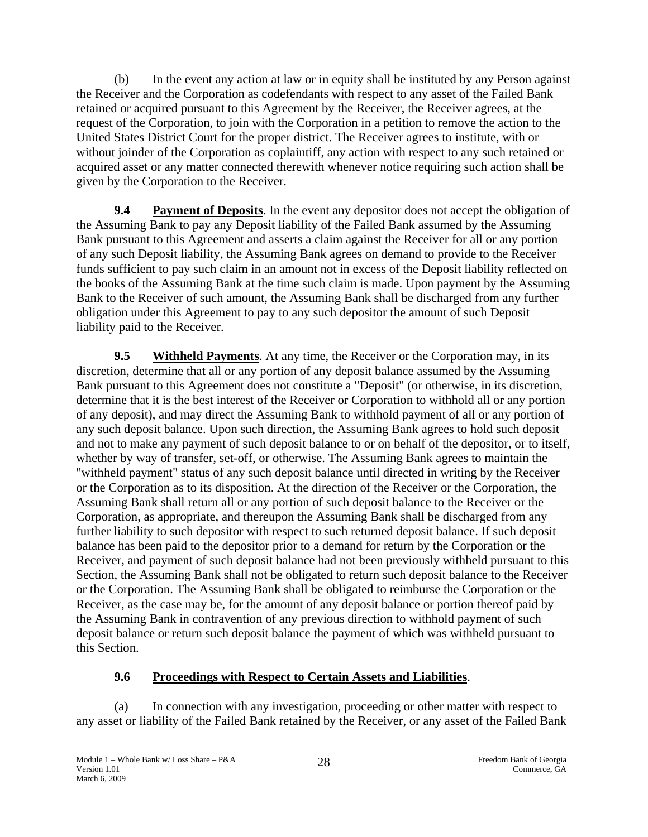<span id="page-31-0"></span>(b) In the event any action at law or in equity shall be instituted by any Person against the Receiver and the Corporation as codefendants with respect to any asset of the Failed Bank retained or acquired pursuant to this Agreement by the Receiver, the Receiver agrees, at the request of the Corporation, to join with the Corporation in a petition to remove the action to the United States District Court for the proper district. The Receiver agrees to institute, with or without joinder of the Corporation as coplaintiff, any action with respect to any such retained or acquired asset or any matter connected therewith whenever notice requiring such action shall be given by the Corporation to the Receiver.

**9.4 Payment of Deposits**. In the event any depositor does not accept the obligation of the Assuming Bank to pay any Deposit liability of the Failed Bank assumed by the Assuming Bank pursuant to this Agreement and asserts a claim against the Receiver for all or any portion of any such Deposit liability, the Assuming Bank agrees on demand to provide to the Receiver funds sufficient to pay such claim in an amount not in excess of the Deposit liability reflected on the books of the Assuming Bank at the time such claim is made. Upon payment by the Assuming Bank to the Receiver of such amount, the Assuming Bank shall be discharged from any further obligation under this Agreement to pay to any such depositor the amount of such Deposit liability paid to the Receiver.

**9.5 Withheld Payments**. At any time, the Receiver or the Corporation may, in its discretion, determine that all or any portion of any deposit balance assumed by the Assuming Bank pursuant to this Agreement does not constitute a "Deposit" (or otherwise, in its discretion, determine that it is the best interest of the Receiver or Corporation to withhold all or any portion of any deposit), and may direct the Assuming Bank to withhold payment of all or any portion of any such deposit balance. Upon such direction, the Assuming Bank agrees to hold such deposit and not to make any payment of such deposit balance to or on behalf of the depositor, or to itself, whether by way of transfer, set-off, or otherwise. The Assuming Bank agrees to maintain the "withheld payment" status of any such deposit balance until directed in writing by the Receiver or the Corporation as to its disposition. At the direction of the Receiver or the Corporation, the Assuming Bank shall return all or any portion of such deposit balance to the Receiver or the Corporation, as appropriate, and thereupon the Assuming Bank shall be discharged from any further liability to such depositor with respect to such returned deposit balance. If such deposit balance has been paid to the depositor prior to a demand for return by the Corporation or the Receiver, and payment of such deposit balance had not been previously withheld pursuant to this Section, the Assuming Bank shall not be obligated to return such deposit balance to the Receiver or the Corporation. The Assuming Bank shall be obligated to reimburse the Corporation or the Receiver, as the case may be, for the amount of any deposit balance or portion thereof paid by the Assuming Bank in contravention of any previous direction to withhold payment of such deposit balance or return such deposit balance the payment of which was withheld pursuant to this Section.

## **9.6 Proceedings with Respect to Certain Assets and Liabilities**.

(a) In connection with any investigation, proceeding or other matter with respect to any asset or liability of the Failed Bank retained by the Receiver, or any asset of the Failed Bank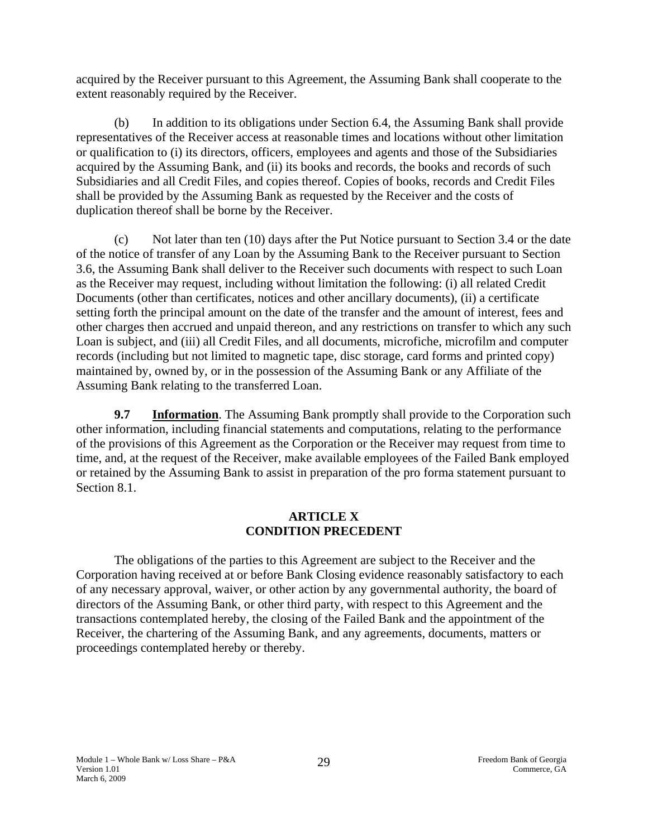<span id="page-32-0"></span>acquired by the Receiver pursuant to this Agreement, the Assuming Bank shall cooperate to the extent reasonably required by the Receiver.

(b) In addition to its obligations under Section 6.4, the Assuming Bank shall provide representatives of the Receiver access at reasonable times and locations without other limitation or qualification to (i) its directors, officers, employees and agents and those of the Subsidiaries acquired by the Assuming Bank, and (ii) its books and records, the books and records of such Subsidiaries and all Credit Files, and copies thereof. Copies of books, records and Credit Files shall be provided by the Assuming Bank as requested by the Receiver and the costs of duplication thereof shall be borne by the Receiver.

(c) Not later than ten (10) days after the Put Notice pursuant to Section 3.4 or the date of the notice of transfer of any Loan by the Assuming Bank to the Receiver pursuant to Section 3.6, the Assuming Bank shall deliver to the Receiver such documents with respect to such Loan as the Receiver may request, including without limitation the following: (i) all related Credit Documents (other than certificates, notices and other ancillary documents), (ii) a certificate setting forth the principal amount on the date of the transfer and the amount of interest, fees and other charges then accrued and unpaid thereon, and any restrictions on transfer to which any such Loan is subject, and (iii) all Credit Files, and all documents, microfiche, microfilm and computer records (including but not limited to magnetic tape, disc storage, card forms and printed copy) maintained by, owned by, or in the possession of the Assuming Bank or any Affiliate of the Assuming Bank relating to the transferred Loan.

**9.7 Information**. The Assuming Bank promptly shall provide to the Corporation such other information, including financial statements and computations, relating to the performance of the provisions of this Agreement as the Corporation or the Receiver may request from time to time, and, at the request of the Receiver, make available employees of the Failed Bank employed or retained by the Assuming Bank to assist in preparation of the pro forma statement pursuant to Section 8.1.

## **ARTICLE X CONDITION PRECEDENT**

The obligations of the parties to this Agreement are subject to the Receiver and the Corporation having received at or before Bank Closing evidence reasonably satisfactory to each of any necessary approval, waiver, or other action by any governmental authority, the board of directors of the Assuming Bank, or other third party, with respect to this Agreement and the transactions contemplated hereby, the closing of the Failed Bank and the appointment of the Receiver, the chartering of the Assuming Bank, and any agreements, documents, matters or proceedings contemplated hereby or thereby.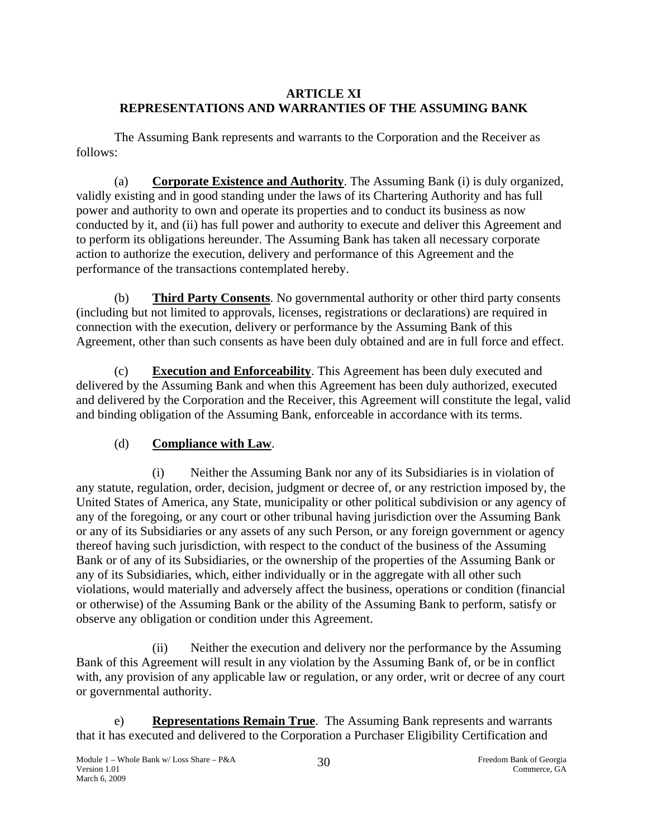### <span id="page-33-0"></span> **ARTICLE XI REPRESENTATIONS AND WARRANTIES OF THE ASSUMING BANK**

The Assuming Bank represents and warrants to the Corporation and the Receiver as follows:

(a) **Corporate Existence and Authority**. The Assuming Bank (i) is duly organized, validly existing and in good standing under the laws of its Chartering Authority and has full power and authority to own and operate its properties and to conduct its business as now conducted by it, and (ii) has full power and authority to execute and deliver this Agreement and to perform its obligations hereunder. The Assuming Bank has taken all necessary corporate action to authorize the execution, delivery and performance of this Agreement and the performance of the transactions contemplated hereby.

(b) **Third Party Consents**. No governmental authority or other third party consents (including but not limited to approvals, licenses, registrations or declarations) are required in connection with the execution, delivery or performance by the Assuming Bank of this Agreement, other than such consents as have been duly obtained and are in full force and effect.

(c) **Execution and Enforceability**. This Agreement has been duly executed and delivered by the Assuming Bank and when this Agreement has been duly authorized, executed and delivered by the Corporation and the Receiver, this Agreement will constitute the legal, valid and binding obligation of the Assuming Bank, enforceable in accordance with its terms.

# (d) **Compliance with Law**.

(i) Neither the Assuming Bank nor any of its Subsidiaries is in violation of any statute, regulation, order, decision, judgment or decree of, or any restriction imposed by, the United States of America, any State, municipality or other political subdivision or any agency of any of the foregoing, or any court or other tribunal having jurisdiction over the Assuming Bank or any of its Subsidiaries or any assets of any such Person, or any foreign government or agency thereof having such jurisdiction, with respect to the conduct of the business of the Assuming Bank or of any of its Subsidiaries, or the ownership of the properties of the Assuming Bank or any of its Subsidiaries, which, either individually or in the aggregate with all other such violations, would materially and adversely affect the business, operations or condition (financial or otherwise) of the Assuming Bank or the ability of the Assuming Bank to perform, satisfy or observe any obligation or condition under this Agreement.

(ii) Neither the execution and delivery nor the performance by the Assuming Bank of this Agreement will result in any violation by the Assuming Bank of, or be in conflict with, any provision of any applicable law or regulation, or any order, writ or decree of any court or governmental authority.

e) **Representations Remain True**. The Assuming Bank represents and warrants that it has executed and delivered to the Corporation a Purchaser Eligibility Certification and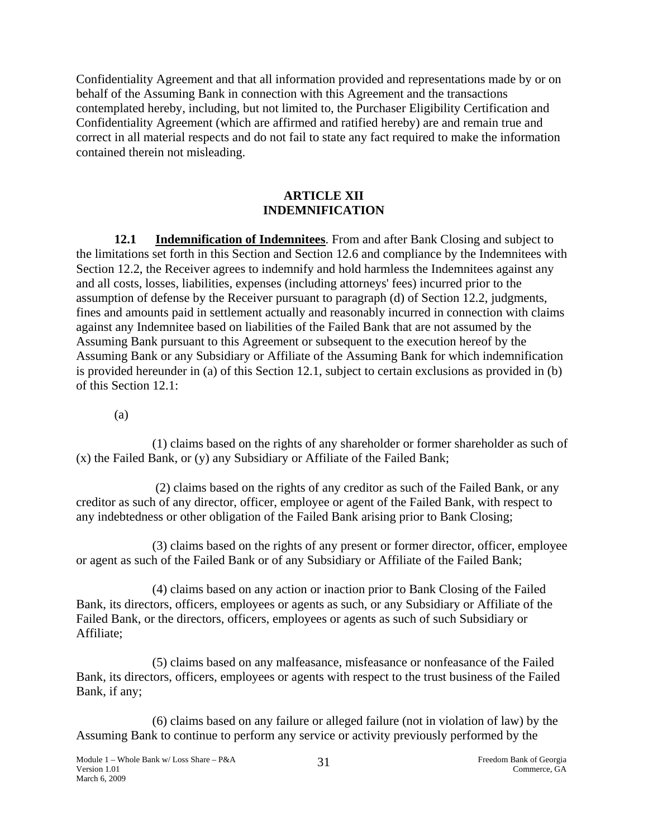<span id="page-34-0"></span>Confidentiality Agreement and that all information provided and representations made by or on behalf of the Assuming Bank in connection with this Agreement and the transactions contemplated hereby, including, but not limited to, the Purchaser Eligibility Certification and Confidentiality Agreement (which are affirmed and ratified hereby) are and remain true and correct in all material respects and do not fail to state any fact required to make the information contained therein not misleading.

### **ARTICLE XII INDEMNIFICATION**

**12.1 Indemnification of Indemnitees**. From and after Bank Closing and subject to the limitations set forth in this Section and Section 12.6 and compliance by the Indemnitees with Section 12.2, the Receiver agrees to indemnify and hold harmless the Indemnitees against any and all costs, losses, liabilities, expenses (including attorneys' fees) incurred prior to the assumption of defense by the Receiver pursuant to paragraph (d) of Section 12.2, judgments, fines and amounts paid in settlement actually and reasonably incurred in connection with claims against any Indemnitee based on liabilities of the Failed Bank that are not assumed by the Assuming Bank pursuant to this Agreement or subsequent to the execution hereof by the Assuming Bank or any Subsidiary or Affiliate of the Assuming Bank for which indemnification is provided hereunder in (a) of this Section 12.1, subject to certain exclusions as provided in (b) of this Section 12.1:

(a)

(1) claims based on the rights of any shareholder or former shareholder as such of (x) the Failed Bank, or (y) any Subsidiary or Affiliate of the Failed Bank;

(2) claims based on the rights of any creditor as such of the Failed Bank, or any creditor as such of any director, officer, employee or agent of the Failed Bank, with respect to any indebtedness or other obligation of the Failed Bank arising prior to Bank Closing;

(3) claims based on the rights of any present or former director, officer, employee or agent as such of the Failed Bank or of any Subsidiary or Affiliate of the Failed Bank;

(4) claims based on any action or inaction prior to Bank Closing of the Failed Bank, its directors, officers, employees or agents as such, or any Subsidiary or Affiliate of the Failed Bank, or the directors, officers, employees or agents as such of such Subsidiary or Affiliate;

(5) claims based on any malfeasance, misfeasance or nonfeasance of the Failed Bank, its directors, officers, employees or agents with respect to the trust business of the Failed Bank, if any;

(6) claims based on any failure or alleged failure (not in violation of law) by the Assuming Bank to continue to perform any service or activity previously performed by the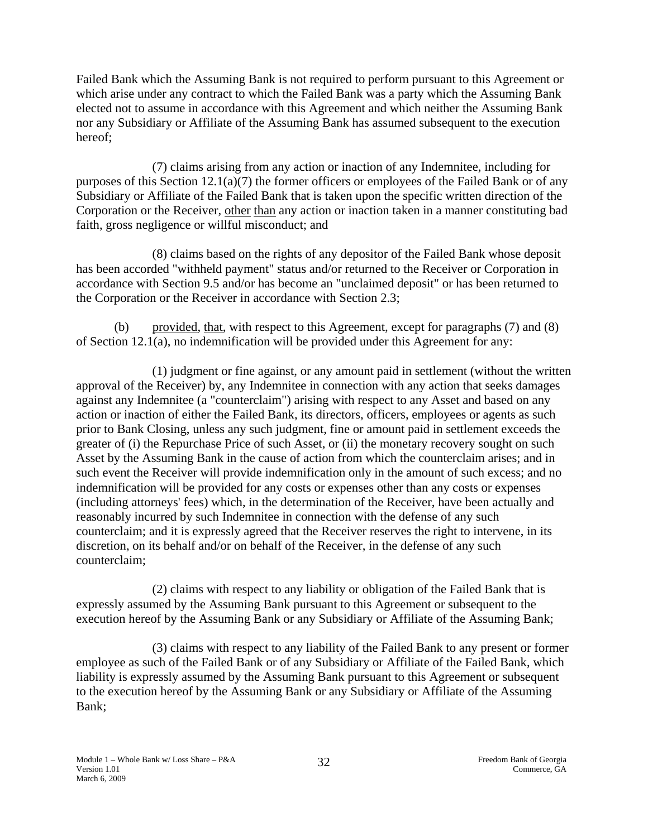Failed Bank which the Assuming Bank is not required to perform pursuant to this Agreement or which arise under any contract to which the Failed Bank was a party which the Assuming Bank elected not to assume in accordance with this Agreement and which neither the Assuming Bank nor any Subsidiary or Affiliate of the Assuming Bank has assumed subsequent to the execution hereof;

(7) claims arising from any action or inaction of any Indemnitee, including for purposes of this Section 12.1(a)(7) the former officers or employees of the Failed Bank or of any Subsidiary or Affiliate of the Failed Bank that is taken upon the specific written direction of the Corporation or the Receiver, other than any action or inaction taken in a manner constituting bad faith, gross negligence or willful misconduct; and

(8) claims based on the rights of any depositor of the Failed Bank whose deposit has been accorded "withheld payment" status and/or returned to the Receiver or Corporation in accordance with Section 9.5 and/or has become an "unclaimed deposit" or has been returned to the Corporation or the Receiver in accordance with Section 2.3;

(b) provided, that, with respect to this Agreement, except for paragraphs (7) and (8) of Section 12.1(a), no indemnification will be provided under this Agreement for any:

(1) judgment or fine against, or any amount paid in settlement (without the written approval of the Receiver) by, any Indemnitee in connection with any action that seeks damages against any Indemnitee (a "counterclaim") arising with respect to any Asset and based on any action or inaction of either the Failed Bank, its directors, officers, employees or agents as such prior to Bank Closing, unless any such judgment, fine or amount paid in settlement exceeds the greater of (i) the Repurchase Price of such Asset, or (ii) the monetary recovery sought on such Asset by the Assuming Bank in the cause of action from which the counterclaim arises; and in such event the Receiver will provide indemnification only in the amount of such excess; and no indemnification will be provided for any costs or expenses other than any costs or expenses (including attorneys' fees) which, in the determination of the Receiver, have been actually and reasonably incurred by such Indemnitee in connection with the defense of any such counterclaim; and it is expressly agreed that the Receiver reserves the right to intervene, in its discretion, on its behalf and/or on behalf of the Receiver, in the defense of any such counterclaim;

(2) claims with respect to any liability or obligation of the Failed Bank that is expressly assumed by the Assuming Bank pursuant to this Agreement or subsequent to the execution hereof by the Assuming Bank or any Subsidiary or Affiliate of the Assuming Bank;

(3) claims with respect to any liability of the Failed Bank to any present or former employee as such of the Failed Bank or of any Subsidiary or Affiliate of the Failed Bank, which liability is expressly assumed by the Assuming Bank pursuant to this Agreement or subsequent to the execution hereof by the Assuming Bank or any Subsidiary or Affiliate of the Assuming Bank;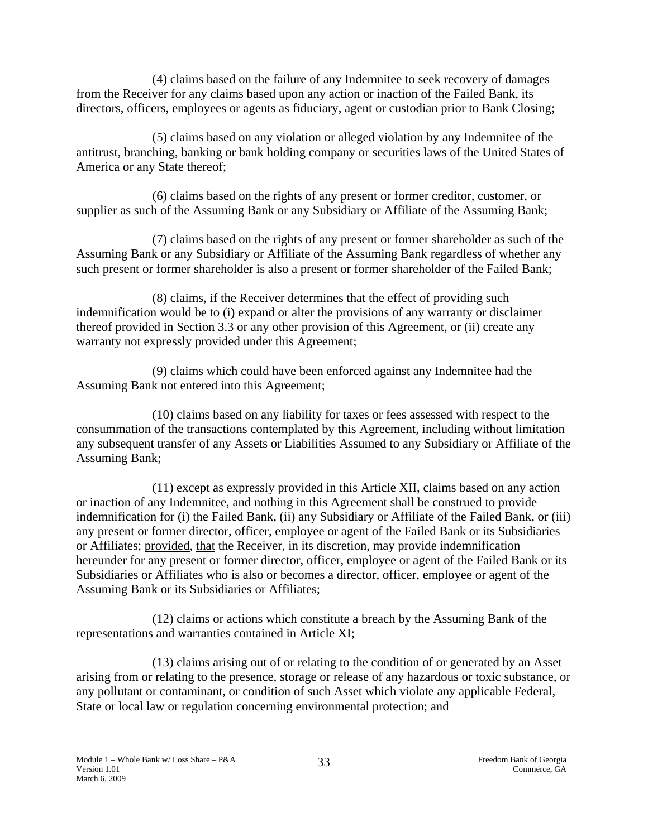(4) claims based on the failure of any Indemnitee to seek recovery of damages from the Receiver for any claims based upon any action or inaction of the Failed Bank, its directors, officers, employees or agents as fiduciary, agent or custodian prior to Bank Closing;

(5) claims based on any violation or alleged violation by any Indemnitee of the antitrust, branching, banking or bank holding company or securities laws of the United States of America or any State thereof;

(6) claims based on the rights of any present or former creditor, customer, or supplier as such of the Assuming Bank or any Subsidiary or Affiliate of the Assuming Bank;

(7) claims based on the rights of any present or former shareholder as such of the Assuming Bank or any Subsidiary or Affiliate of the Assuming Bank regardless of whether any such present or former shareholder is also a present or former shareholder of the Failed Bank;

(8) claims, if the Receiver determines that the effect of providing such indemnification would be to (i) expand or alter the provisions of any warranty or disclaimer thereof provided in Section 3.3 or any other provision of this Agreement, or (ii) create any warranty not expressly provided under this Agreement;

(9) claims which could have been enforced against any Indemnitee had the Assuming Bank not entered into this Agreement;

(10) claims based on any liability for taxes or fees assessed with respect to the consummation of the transactions contemplated by this Agreement, including without limitation any subsequent transfer of any Assets or Liabilities Assumed to any Subsidiary or Affiliate of the Assuming Bank;

(11) except as expressly provided in this Article XII, claims based on any action or inaction of any Indemnitee, and nothing in this Agreement shall be construed to provide indemnification for (i) the Failed Bank, (ii) any Subsidiary or Affiliate of the Failed Bank, or (iii) any present or former director, officer, employee or agent of the Failed Bank or its Subsidiaries or Affiliates; provided, that the Receiver, in its discretion, may provide indemnification hereunder for any present or former director, officer, employee or agent of the Failed Bank or its Subsidiaries or Affiliates who is also or becomes a director, officer, employee or agent of the Assuming Bank or its Subsidiaries or Affiliates;

(12) claims or actions which constitute a breach by the Assuming Bank of the representations and warranties contained in Article XI;

(13) claims arising out of or relating to the condition of or generated by an Asset arising from or relating to the presence, storage or release of any hazardous or toxic substance, or any pollutant or contaminant, or condition of such Asset which violate any applicable Federal, State or local law or regulation concerning environmental protection; and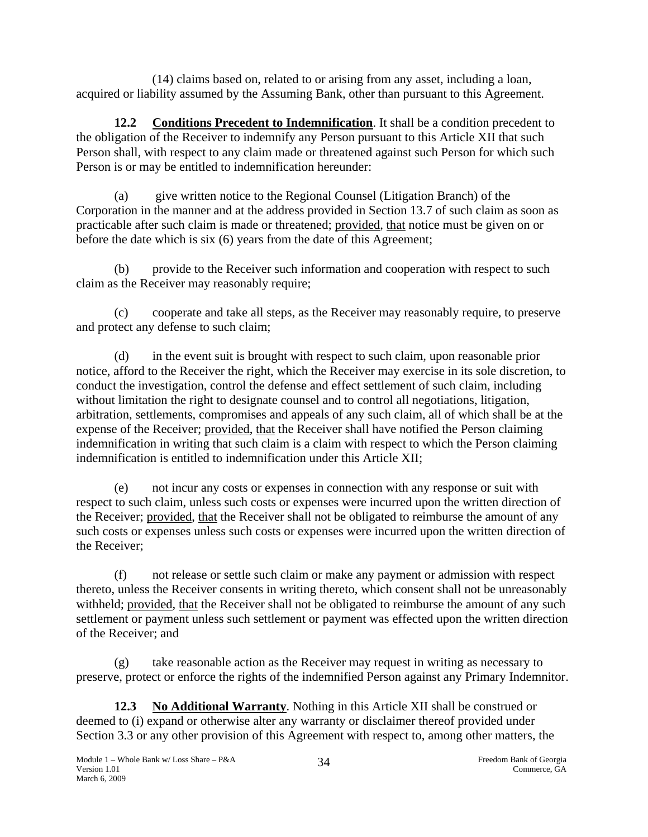(14) claims based on, related to or arising from any asset, including a loan, acquired or liability assumed by the Assuming Bank, other than pursuant to this Agreement.

**12.2 Conditions Precedent to Indemnification**. It shall be a condition precedent to the obligation of the Receiver to indemnify any Person pursuant to this Article XII that such Person shall, with respect to any claim made or threatened against such Person for which such Person is or may be entitled to indemnification hereunder:

(a) give written notice to the Regional Counsel (Litigation Branch) of the Corporation in the manner and at the address provided in Section 13.7 of such claim as soon as practicable after such claim is made or threatened; provided, that notice must be given on or before the date which is six (6) years from the date of this Agreement;

(b) provide to the Receiver such information and cooperation with respect to such claim as the Receiver may reasonably require;

(c) cooperate and take all steps, as the Receiver may reasonably require, to preserve and protect any defense to such claim;

(d) in the event suit is brought with respect to such claim, upon reasonable prior notice, afford to the Receiver the right, which the Receiver may exercise in its sole discretion, to conduct the investigation, control the defense and effect settlement of such claim, including without limitation the right to designate counsel and to control all negotiations, litigation, arbitration, settlements, compromises and appeals of any such claim, all of which shall be at the expense of the Receiver; provided, that the Receiver shall have notified the Person claiming indemnification in writing that such claim is a claim with respect to which the Person claiming indemnification is entitled to indemnification under this Article XII;

(e) not incur any costs or expenses in connection with any response or suit with respect to such claim, unless such costs or expenses were incurred upon the written direction of the Receiver; provided, that the Receiver shall not be obligated to reimburse the amount of any such costs or expenses unless such costs or expenses were incurred upon the written direction of the Receiver;

(f) not release or settle such claim or make any payment or admission with respect thereto, unless the Receiver consents in writing thereto, which consent shall not be unreasonably withheld; provided, that the Receiver shall not be obligated to reimburse the amount of any such settlement or payment unless such settlement or payment was effected upon the written direction of the Receiver; and

(g) take reasonable action as the Receiver may request in writing as necessary to preserve, protect or enforce the rights of the indemnified Person against any Primary Indemnitor.

**12.3 No Additional Warranty**. Nothing in this Article XII shall be construed or deemed to (i) expand or otherwise alter any warranty or disclaimer thereof provided under Section 3.3 or any other provision of this Agreement with respect to, among other matters, the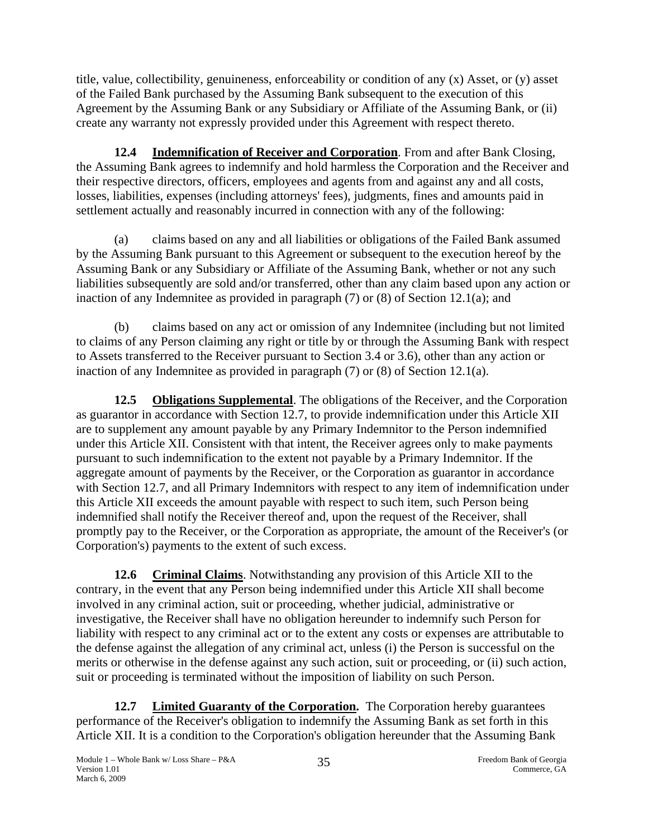title, value, collectibility, genuineness, enforceability or condition of any (x) Asset, or (y) asset of the Failed Bank purchased by the Assuming Bank subsequent to the execution of this Agreement by the Assuming Bank or any Subsidiary or Affiliate of the Assuming Bank, or (ii) create any warranty not expressly provided under this Agreement with respect thereto.

12.4 **Indemnification of Receiver and Corporation**. From and after Bank Closing, the Assuming Bank agrees to indemnify and hold harmless the Corporation and the Receiver and their respective directors, officers, employees and agents from and against any and all costs, losses, liabilities, expenses (including attorneys' fees), judgments, fines and amounts paid in settlement actually and reasonably incurred in connection with any of the following:

(a) claims based on any and all liabilities or obligations of the Failed Bank assumed by the Assuming Bank pursuant to this Agreement or subsequent to the execution hereof by the Assuming Bank or any Subsidiary or Affiliate of the Assuming Bank, whether or not any such liabilities subsequently are sold and/or transferred, other than any claim based upon any action or inaction of any Indemnitee as provided in paragraph (7) or (8) of Section 12.1(a); and

(b) claims based on any act or omission of any Indemnitee (including but not limited to claims of any Person claiming any right or title by or through the Assuming Bank with respect to Assets transferred to the Receiver pursuant to Section 3.4 or 3.6), other than any action or inaction of any Indemnitee as provided in paragraph (7) or (8) of Section 12.1(a).

**12.5 Obligations Supplemental**. The obligations of the Receiver, and the Corporation as guarantor in accordance with Section 12.7, to provide indemnification under this Article XII are to supplement any amount payable by any Primary Indemnitor to the Person indemnified under this Article XII. Consistent with that intent, the Receiver agrees only to make payments pursuant to such indemnification to the extent not payable by a Primary Indemnitor. If the aggregate amount of payments by the Receiver, or the Corporation as guarantor in accordance with Section 12.7, and all Primary Indemnitors with respect to any item of indemnification under this Article XII exceeds the amount payable with respect to such item, such Person being indemnified shall notify the Receiver thereof and, upon the request of the Receiver, shall promptly pay to the Receiver, or the Corporation as appropriate, the amount of the Receiver's (or Corporation's) payments to the extent of such excess.

**12.6 Criminal Claims**. Notwithstanding any provision of this Article XII to the contrary, in the event that any Person being indemnified under this Article XII shall become involved in any criminal action, suit or proceeding, whether judicial, administrative or investigative, the Receiver shall have no obligation hereunder to indemnify such Person for liability with respect to any criminal act or to the extent any costs or expenses are attributable to the defense against the allegation of any criminal act, unless (i) the Person is successful on the merits or otherwise in the defense against any such action, suit or proceeding, or (ii) such action, suit or proceeding is terminated without the imposition of liability on such Person.

**12.7 Limited Guaranty of the Corporation.** The Corporation hereby guarantees performance of the Receiver's obligation to indemnify the Assuming Bank as set forth in this Article XII. It is a condition to the Corporation's obligation hereunder that the Assuming Bank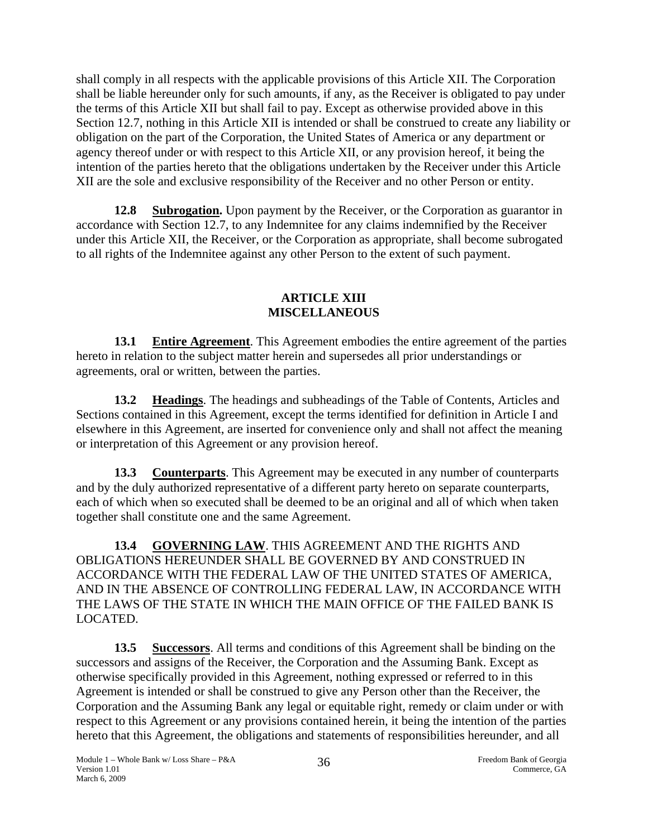shall comply in all respects with the applicable provisions of this Article XII. The Corporation shall be liable hereunder only for such amounts, if any, as the Receiver is obligated to pay under the terms of this Article XII but shall fail to pay. Except as otherwise provided above in this Section 12.7, nothing in this Article XII is intended or shall be construed to create any liability or obligation on the part of the Corporation, the United States of America or any department or agency thereof under or with respect to this Article XII, or any provision hereof, it being the intention of the parties hereto that the obligations undertaken by the Receiver under this Article XII are the sole and exclusive responsibility of the Receiver and no other Person or entity.

**12.8 Subrogation.** Upon payment by the Receiver, or the Corporation as guarantor in accordance with Section 12.7, to any Indemnitee for any claims indemnified by the Receiver under this Article XII, the Receiver, or the Corporation as appropriate, shall become subrogated to all rights of the Indemnitee against any other Person to the extent of such payment.

### **ARTICLE XIII MISCELLANEOUS**

**13.1 Entire Agreement**. This Agreement embodies the entire agreement of the parties hereto in relation to the subject matter herein and supersedes all prior understandings or agreements, oral or written, between the parties.

**13.2 Headings**. The headings and subheadings of the Table of Contents, Articles and Sections contained in this Agreement, except the terms identified for definition in Article I and elsewhere in this Agreement, are inserted for convenience only and shall not affect the meaning or interpretation of this Agreement or any provision hereof.

**13.3 Counterparts**. This Agreement may be executed in any number of counterparts and by the duly authorized representative of a different party hereto on separate counterparts, each of which when so executed shall be deemed to be an original and all of which when taken together shall constitute one and the same Agreement.

**13.4 GOVERNING LAW**. THIS AGREEMENT AND THE RIGHTS AND OBLIGATIONS HEREUNDER SHALL BE GOVERNED BY AND CONSTRUED IN ACCORDANCE WITH THE FEDERAL LAW OF THE UNITED STATES OF AMERICA, AND IN THE ABSENCE OF CONTROLLING FEDERAL LAW, IN ACCORDANCE WITH THE LAWS OF THE STATE IN WHICH THE MAIN OFFICE OF THE FAILED BANK IS LOCATED.

 **13.5 Successors**. All terms and conditions of this Agreement shall be binding on the successors and assigns of the Receiver, the Corporation and the Assuming Bank. Except as otherwise specifically provided in this Agreement, nothing expressed or referred to in this Agreement is intended or shall be construed to give any Person other than the Receiver, the Corporation and the Assuming Bank any legal or equitable right, remedy or claim under or with respect to this Agreement or any provisions contained herein, it being the intention of the parties hereto that this Agreement, the obligations and statements of responsibilities hereunder, and all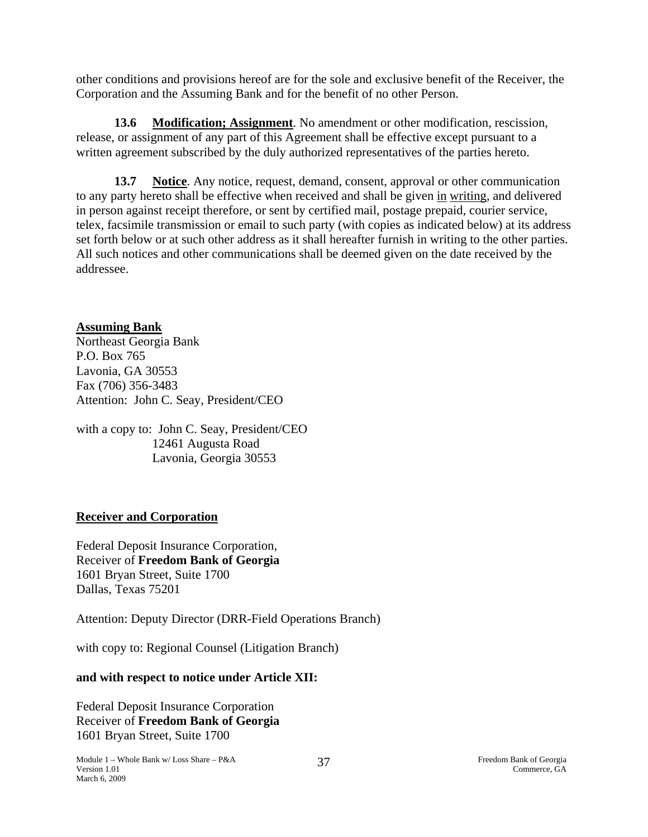other conditions and provisions hereof are for the sole and exclusive benefit of the Receiver, the Corporation and the Assuming Bank and for the benefit of no other Person.

**13.6 Modification; Assignment**. No amendment or other modification, rescission, release, or assignment of any part of this Agreement shall be effective except pursuant to a written agreement subscribed by the duly authorized representatives of the parties hereto.

**13.7 Notice**. Any notice, request, demand, consent, approval or other communication to any party hereto shall be effective when received and shall be given in writing, and delivered in person against receipt therefore, or sent by certified mail, postage prepaid, courier service, telex, facsimile transmission or email to such party (with copies as indicated below) at its address set forth below or at such other address as it shall hereafter furnish in writing to the other parties. All such notices and other communications shall be deemed given on the date received by the addressee.

### **Assuming Bank**

Northeast Georgia Bank P.O. Box 765 Lavonia, GA 30553 Fax (706) 356-3483 Attention: John C. Seay, President/CEO

with a copy to: John C. Seay, President/CEO 12461 Augusta Road Lavonia, Georgia 30553

# **Receiver and Corporation**

Federal Deposit Insurance Corporation, Receiver of **Freedom Bank of Georgia**  1601 Bryan Street, Suite 1700 Dallas, Texas 75201

Attention: Deputy Director (DRR-Field Operations Branch)

with copy to: Regional Counsel (Litigation Branch)

# **and with respect to notice under Article XII:**

Federal Deposit Insurance Corporation Receiver of **Freedom Bank of Georgia**  1601 Bryan Street, Suite 1700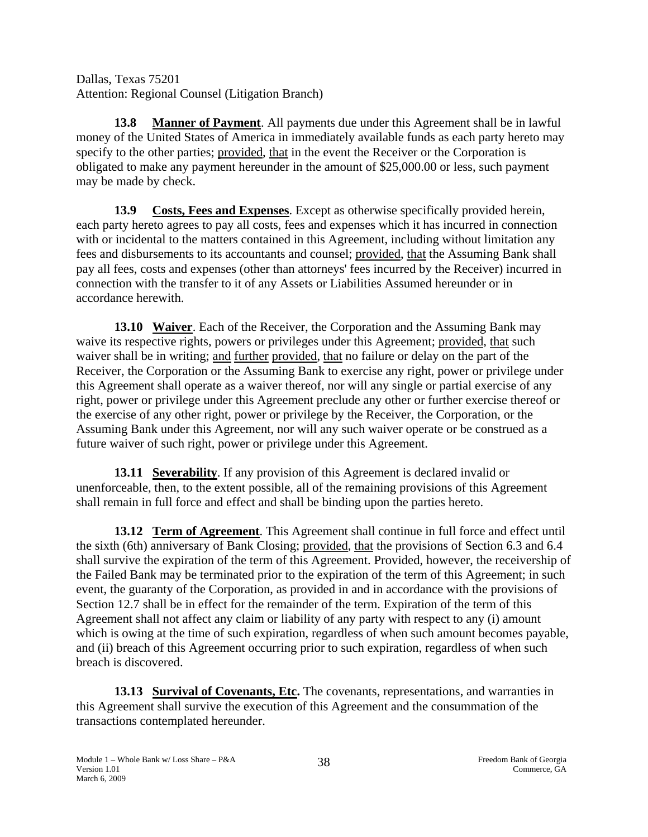Dallas, Texas 75201 Attention: Regional Counsel (Litigation Branch)

 **13.8 Manner of Payment**. All payments due under this Agreement shall be in lawful money of the United States of America in immediately available funds as each party hereto may specify to the other parties; provided, that in the event the Receiver or the Corporation is obligated to make any payment hereunder in the amount of \$25,000.00 or less, such payment may be made by check.

**13.9 Costs, Fees and Expenses**. Except as otherwise specifically provided herein, each party hereto agrees to pay all costs, fees and expenses which it has incurred in connection with or incidental to the matters contained in this Agreement, including without limitation any fees and disbursements to its accountants and counsel; provided, that the Assuming Bank shall pay all fees, costs and expenses (other than attorneys' fees incurred by the Receiver) incurred in connection with the transfer to it of any Assets or Liabilities Assumed hereunder or in accordance herewith.

**13.10 Waiver**. Each of the Receiver, the Corporation and the Assuming Bank may waive its respective rights, powers or privileges under this Agreement; provided, that such waiver shall be in writing; and further provided, that no failure or delay on the part of the Receiver, the Corporation or the Assuming Bank to exercise any right, power or privilege under this Agreement shall operate as a waiver thereof, nor will any single or partial exercise of any right, power or privilege under this Agreement preclude any other or further exercise thereof or the exercise of any other right, power or privilege by the Receiver, the Corporation, or the Assuming Bank under this Agreement, nor will any such waiver operate or be construed as a future waiver of such right, power or privilege under this Agreement.

**13.11 Severability**. If any provision of this Agreement is declared invalid or unenforceable, then, to the extent possible, all of the remaining provisions of this Agreement shall remain in full force and effect and shall be binding upon the parties hereto.

**13.12 Term of Agreement**. This Agreement shall continue in full force and effect until the sixth (6th) anniversary of Bank Closing; provided, that the provisions of Section 6.3 and 6.4 shall survive the expiration of the term of this Agreement. Provided, however, the receivership of the Failed Bank may be terminated prior to the expiration of the term of this Agreement; in such event, the guaranty of the Corporation, as provided in and in accordance with the provisions of Section 12.7 shall be in effect for the remainder of the term. Expiration of the term of this Agreement shall not affect any claim or liability of any party with respect to any (i) amount which is owing at the time of such expiration, regardless of when such amount becomes payable, and (ii) breach of this Agreement occurring prior to such expiration, regardless of when such breach is discovered.

**13.13 Survival of Covenants, Etc.** The covenants, representations, and warranties in this Agreement shall survive the execution of this Agreement and the consummation of the transactions contemplated hereunder.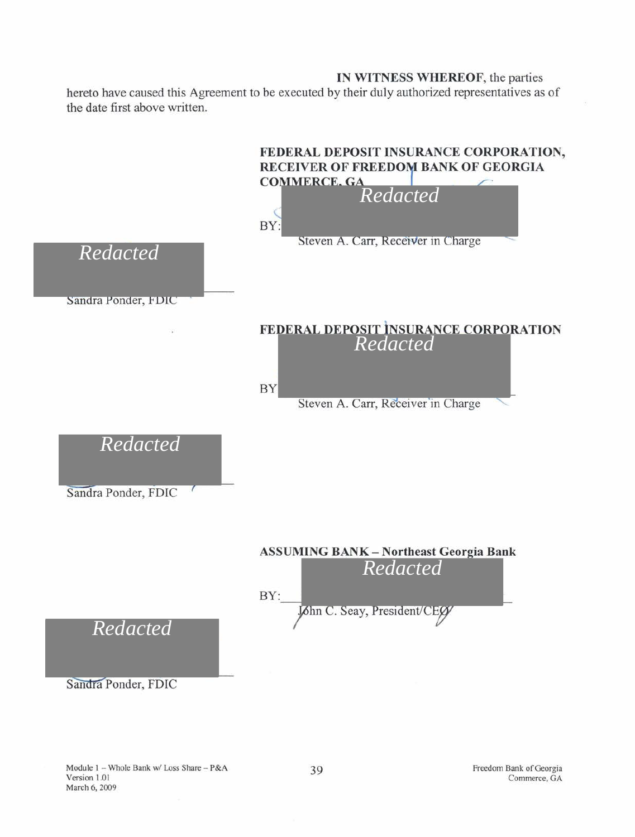#### **IN WITNESS WHEREOF,** the parties

hereto have caused this Agreement to be executed by their duly authorized representatives as of the date first above written.

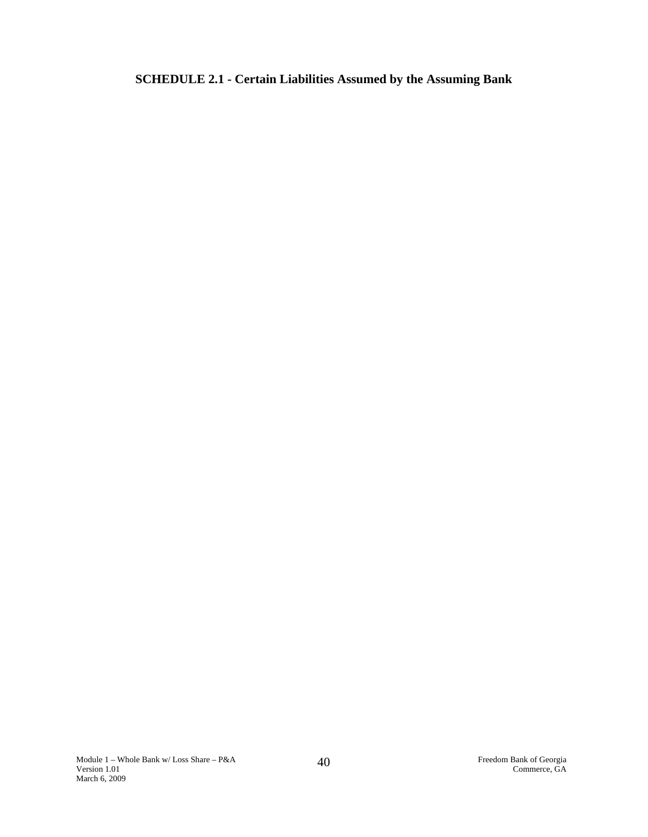**SCHEDULE 2.1 - Certain Liabilities Assumed by the Assuming Bank**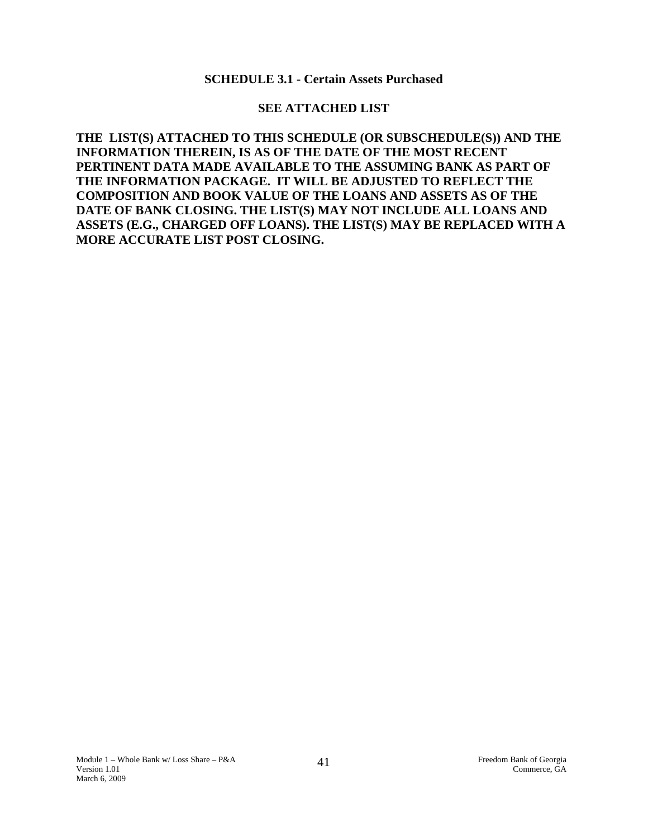#### **SCHEDULE 3.1 - Certain Assets Purchased**

#### **SEE ATTACHED LIST**

THE LIST(S) ATTACHED TO THIS SCHEDULE (OR SUBSCHEDULE(S)) AND THE **INFORMATION THEREIN, IS AS OF THE DATE OF THE MOST RECENT PERTINENT DATA MADE AVAILABLE TO THE ASSUMING BANK AS PART OF THE INFORMATION PACKAGE. IT WILL BE ADJUSTED TO REFLECT THE COMPOSITION AND BOOK VALUE OF THE LOANS AND ASSETS AS OF THE DATE OF BANK CLOSING. THE LIST(S) MAY NOT INCLUDE ALL LOANS AND ASSETS (E.G., CHARGED OFF LOANS). THE LIST(S) MAY BE REPLACED WITH A MORE ACCURATE LIST POST CLOSING.**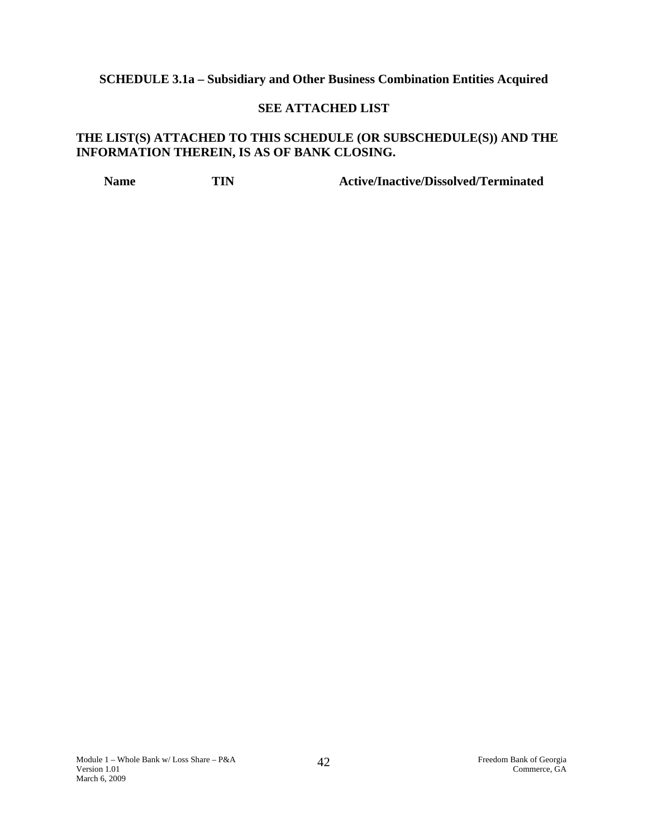#### **SCHEDULE 3.1a – Subsidiary and Other Business Combination Entities Acquired**

#### **SEE ATTACHED LIST**

#### **THE LIST(S) ATTACHED TO THIS SCHEDULE (OR SUBSCHEDULE(S)) AND THE INFORMATION THEREIN, IS AS OF BANK CLOSING.**

**Name TIN Active/Inactive/Dissolved/Terminated**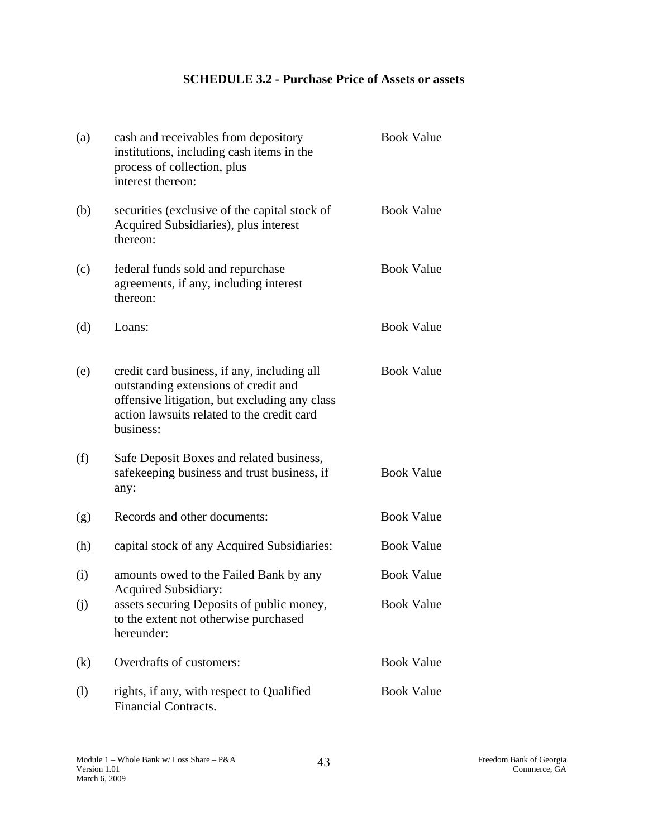# **SCHEDULE 3.2 - Purchase Price of Assets or assets**

| (a)                        | cash and receivables from depository<br>institutions, including cash items in the<br>process of collection, plus<br>interest thereon:                                                           | <b>Book Value</b> |
|----------------------------|-------------------------------------------------------------------------------------------------------------------------------------------------------------------------------------------------|-------------------|
| (b)                        | securities (exclusive of the capital stock of<br>Acquired Subsidiaries), plus interest<br>thereon:                                                                                              | <b>Book Value</b> |
| (c)                        | federal funds sold and repurchase<br>agreements, if any, including interest<br>thereon:                                                                                                         | <b>Book Value</b> |
| (d)                        | Loans:                                                                                                                                                                                          | <b>Book Value</b> |
| (e)                        | credit card business, if any, including all<br>outstanding extensions of credit and<br>offensive litigation, but excluding any class<br>action lawsuits related to the credit card<br>business: | <b>Book Value</b> |
| (f)                        | Safe Deposit Boxes and related business,<br>safekeeping business and trust business, if<br>any:                                                                                                 | <b>Book Value</b> |
| (g)                        | Records and other documents:                                                                                                                                                                    | <b>Book Value</b> |
| (h)                        | capital stock of any Acquired Subsidiaries:                                                                                                                                                     | <b>Book Value</b> |
| (i)                        | amounts owed to the Failed Bank by any<br><b>Acquired Subsidiary:</b>                                                                                                                           | <b>Book Value</b> |
| (j)                        | assets securing Deposits of public money,<br>to the extent not otherwise purchased<br>hereunder:                                                                                                | <b>Book Value</b> |
| (k)                        | Overdrafts of customers:                                                                                                                                                                        | <b>Book Value</b> |
| $\left( \mathrm{l}\right)$ | rights, if any, with respect to Qualified<br>Financial Contracts.                                                                                                                               | <b>Book Value</b> |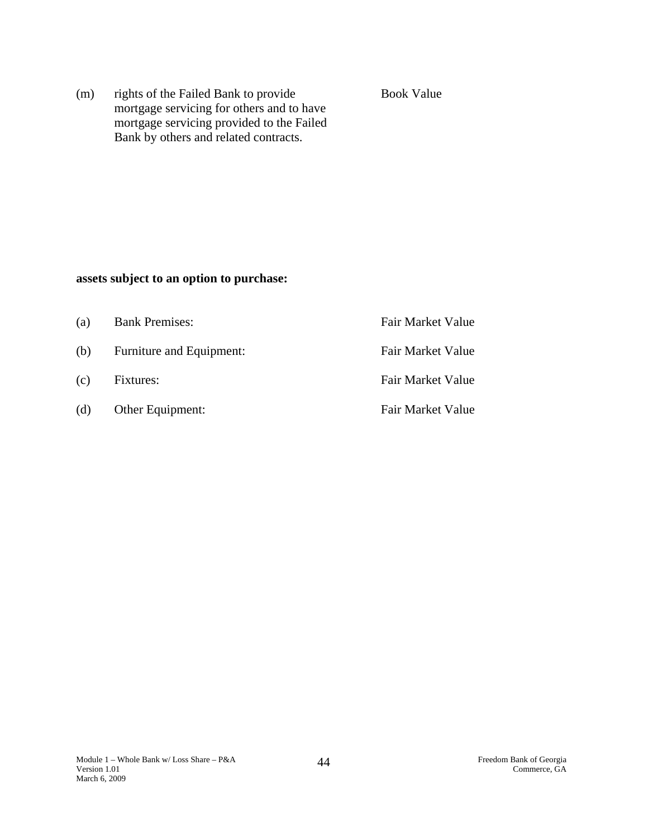(m) rights of the Failed Bank to provide Book Value mortgage servicing for others and to have mortgage servicing provided to the Failed Bank by others and related contracts.

### **assets subject to an option to purchase:**

| (a) | <b>Bank Premises:</b>    | Fair Market Value |
|-----|--------------------------|-------------------|
| (b) | Furniture and Equipment: | Fair Market Value |
| (c) | Fixtures:                | Fair Market Value |
| (d) | Other Equipment:         | Fair Market Value |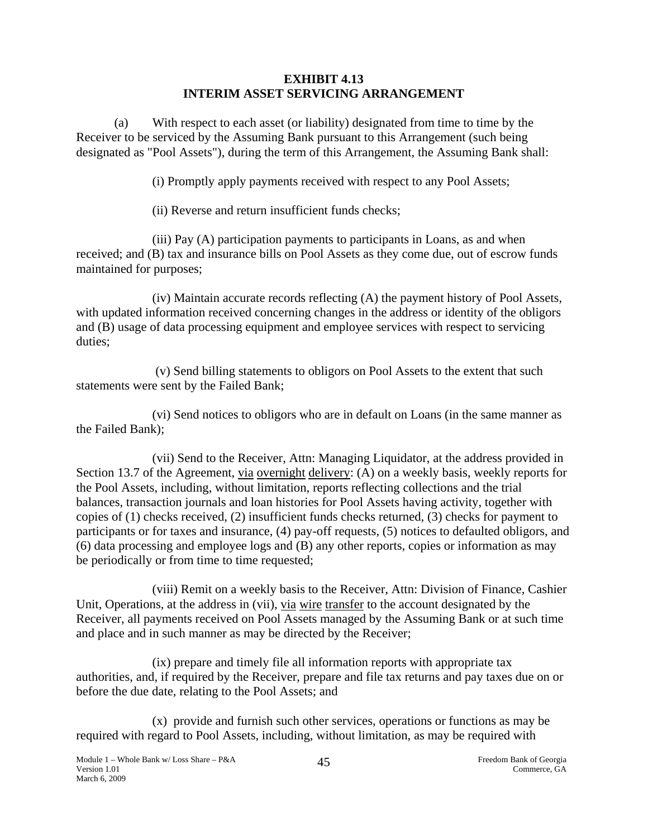### **EXHIBIT 4.13 INTERIM ASSET SERVICING ARRANGEMENT**

(a) With respect to each asset (or liability) designated from time to time by the Receiver to be serviced by the Assuming Bank pursuant to this Arrangement (such being designated as "Pool Assets"), during the term of this Arrangement, the Assuming Bank shall:

(i) Promptly apply payments received with respect to any Pool Assets;

(ii) Reverse and return insufficient funds checks;

(iii) Pay (A) participation payments to participants in Loans, as and when received; and (B) tax and insurance bills on Pool Assets as they come due, out of escrow funds maintained for purposes;

(iv) Maintain accurate records reflecting (A) the payment history of Pool Assets, with updated information received concerning changes in the address or identity of the obligors and (B) usage of data processing equipment and employee services with respect to servicing duties;

 (v) Send billing statements to obligors on Pool Assets to the extent that such statements were sent by the Failed Bank;

(vi) Send notices to obligors who are in default on Loans (in the same manner as the Failed Bank);

(vii) Send to the Receiver, Attn: Managing Liquidator, at the address provided in Section 13.7 of the Agreement, via overnight delivery: (A) on a weekly basis, weekly reports for the Pool Assets, including, without limitation, reports reflecting collections and the trial balances, transaction journals and loan histories for Pool Assets having activity, together with copies of (1) checks received, (2) insufficient funds checks returned, (3) checks for payment to participants or for taxes and insurance, (4) pay-off requests, (5) notices to defaulted obligors, and (6) data processing and employee logs and (B) any other reports, copies or information as may be periodically or from time to time requested;

(viii) Remit on a weekly basis to the Receiver, Attn: Division of Finance, Cashier Unit, Operations, at the address in (vii), via wire transfer to the account designated by the Receiver, all payments received on Pool Assets managed by the Assuming Bank or at such time and place and in such manner as may be directed by the Receiver;

(ix) prepare and timely file all information reports with appropriate tax authorities, and, if required by the Receiver, prepare and file tax returns and pay taxes due on or before the due date, relating to the Pool Assets; and

(x) provide and furnish such other services, operations or functions as may be required with regard to Pool Assets, including, without limitation, as may be required with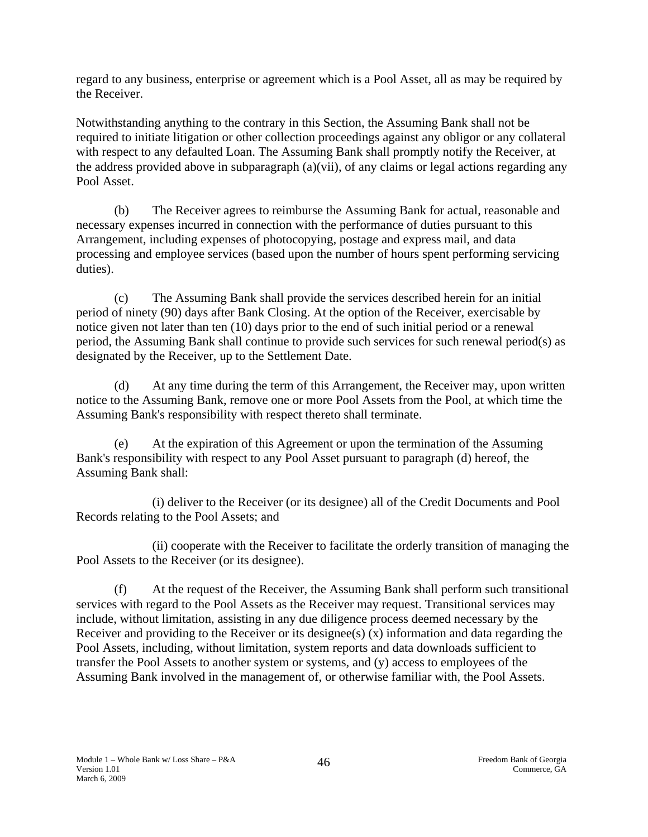regard to any business, enterprise or agreement which is a Pool Asset, all as may be required by the Receiver.

Notwithstanding anything to the contrary in this Section, the Assuming Bank shall not be required to initiate litigation or other collection proceedings against any obligor or any collateral with respect to any defaulted Loan. The Assuming Bank shall promptly notify the Receiver, at the address provided above in subparagraph (a)(vii), of any claims or legal actions regarding any Pool Asset.

(b) The Receiver agrees to reimburse the Assuming Bank for actual, reasonable and necessary expenses incurred in connection with the performance of duties pursuant to this Arrangement, including expenses of photocopying, postage and express mail, and data processing and employee services (based upon the number of hours spent performing servicing duties).

(c) The Assuming Bank shall provide the services described herein for an initial period of ninety (90) days after Bank Closing. At the option of the Receiver, exercisable by notice given not later than ten (10) days prior to the end of such initial period or a renewal period, the Assuming Bank shall continue to provide such services for such renewal period(s) as designated by the Receiver, up to the Settlement Date.

(d) At any time during the term of this Arrangement, the Receiver may, upon written notice to the Assuming Bank, remove one or more Pool Assets from the Pool, at which time the Assuming Bank's responsibility with respect thereto shall terminate.

(e) At the expiration of this Agreement or upon the termination of the Assuming Bank's responsibility with respect to any Pool Asset pursuant to paragraph (d) hereof, the Assuming Bank shall:

(i) deliver to the Receiver (or its designee) all of the Credit Documents and Pool Records relating to the Pool Assets; and

(ii) cooperate with the Receiver to facilitate the orderly transition of managing the Pool Assets to the Receiver (or its designee).

(f) At the request of the Receiver, the Assuming Bank shall perform such transitional services with regard to the Pool Assets as the Receiver may request. Transitional services may include, without limitation, assisting in any due diligence process deemed necessary by the Receiver and providing to the Receiver or its designee(s) (x) information and data regarding the Pool Assets, including, without limitation, system reports and data downloads sufficient to transfer the Pool Assets to another system or systems, and (y) access to employees of the Assuming Bank involved in the management of, or otherwise familiar with, the Pool Assets.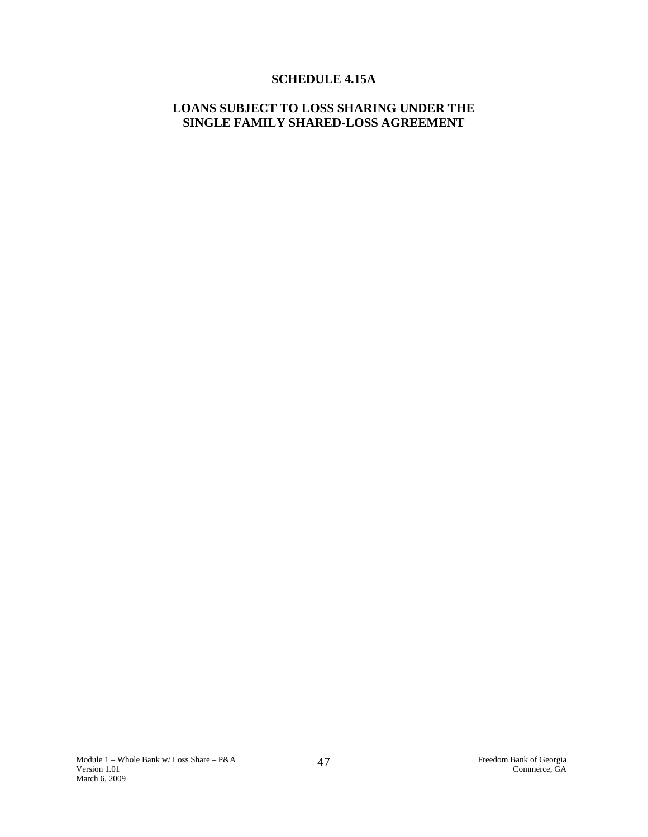#### **SCHEDULE 4.15A**

### **LOANS SUBJECT TO LOSS SHARING UNDER THE SINGLE FAMILY SHARED-LOSS AGREEMENT**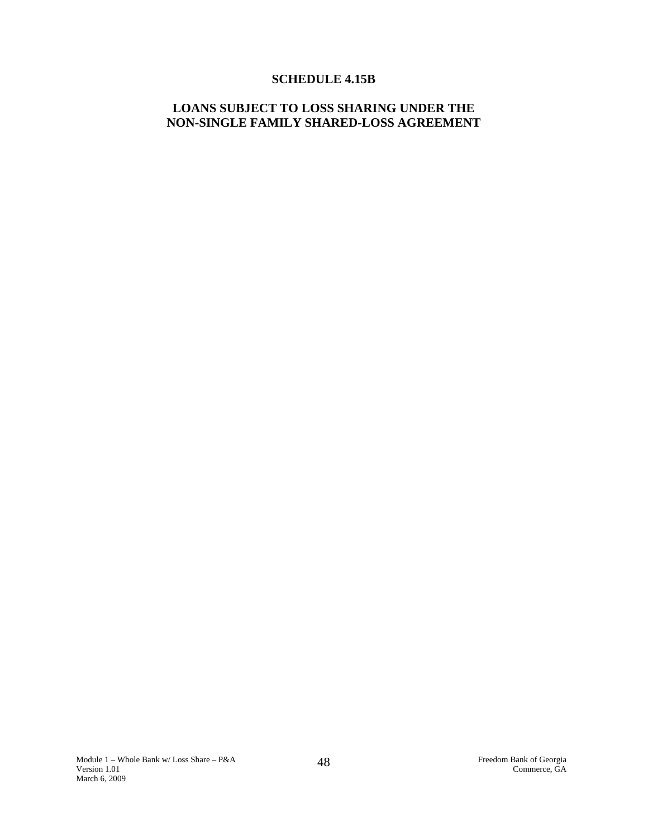#### **SCHEDULE 4.15B**

### **LOANS SUBJECT TO LOSS SHARING UNDER THE NON-SINGLE FAMILY SHARED-LOSS AGREEMENT**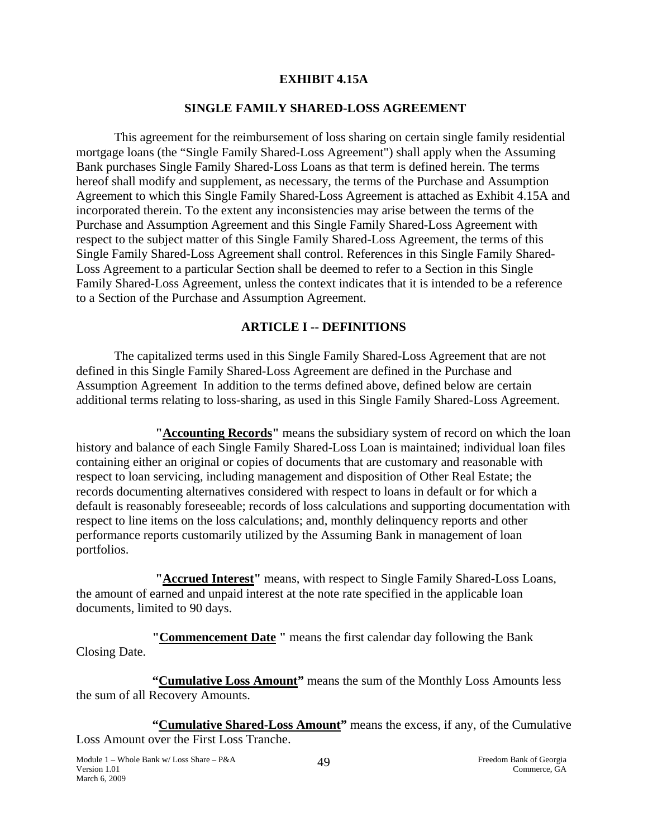#### **EXHIBIT 4.15A**

#### **SINGLE FAMILY SHARED-LOSS AGREEMENT**

This agreement for the reimbursement of loss sharing on certain single family residential mortgage loans (the "Single Family Shared-Loss Agreement") shall apply when the Assuming Bank purchases Single Family Shared-Loss Loans as that term is defined herein. The terms hereof shall modify and supplement, as necessary, the terms of the Purchase and Assumption Agreement to which this Single Family Shared-Loss Agreement is attached as Exhibit 4.15A and incorporated therein. To the extent any inconsistencies may arise between the terms of the Purchase and Assumption Agreement and this Single Family Shared-Loss Agreement with respect to the subject matter of this Single Family Shared-Loss Agreement, the terms of this Single Family Shared-Loss Agreement shall control. References in this Single Family Shared-Loss Agreement to a particular Section shall be deemed to refer to a Section in this Single Family Shared-Loss Agreement, unless the context indicates that it is intended to be a reference to a Section of the Purchase and Assumption Agreement.

#### **ARTICLE I -- DEFINITIONS**

The capitalized terms used in this Single Family Shared-Loss Agreement that are not defined in this Single Family Shared-Loss Agreement are defined in the Purchase and Assumption Agreement In addition to the terms defined above, defined below are certain additional terms relating to loss-sharing, as used in this Single Family Shared-Loss Agreement.

**"Accounting Records"** means the subsidiary system of record on which the loan history and balance of each Single Family Shared-Loss Loan is maintained; individual loan files containing either an original or copies of documents that are customary and reasonable with respect to loan servicing, including management and disposition of Other Real Estate; the records documenting alternatives considered with respect to loans in default or for which a default is reasonably foreseeable; records of loss calculations and supporting documentation with respect to line items on the loss calculations; and, monthly delinquency reports and other performance reports customarily utilized by the Assuming Bank in management of loan portfolios.

**"Accrued Interest"** means, with respect to Single Family Shared-Loss Loans, the amount of earned and unpaid interest at the note rate specified in the applicable loan documents, limited to 90 days.

**"Commencement Date "** means the first calendar day following the Bank Closing Date.

**"Cumulative Loss Amount"** means the sum of the Monthly Loss Amounts less the sum of all Recovery Amounts.

**"Cumulative Shared-Loss Amount"** means the excess, if any, of the Cumulative Loss Amount over the First Loss Tranche.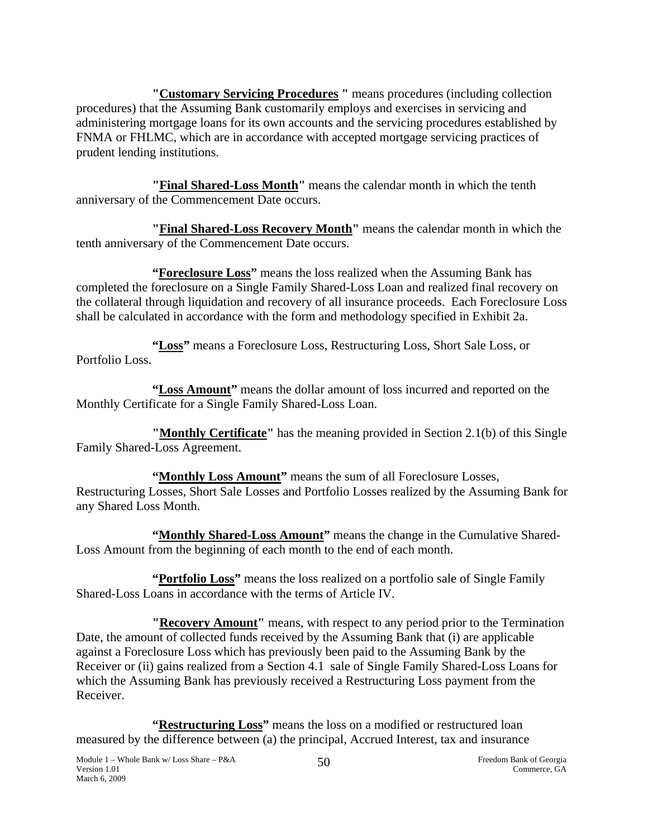**"Customary Servicing Procedures "** means procedures (including collection procedures) that the Assuming Bank customarily employs and exercises in servicing and administering mortgage loans for its own accounts and the servicing procedures established by FNMA or FHLMC, which are in accordance with accepted mortgage servicing practices of prudent lending institutions.

 anniversary of the Commencement Date occurs. **"Final Shared-Loss Month"** means the calendar month in which the tenth

**"Final Shared-Loss Recovery Month"** means the calendar month in which the tenth anniversary of the Commencement Date occurs.

**"Foreclosure Loss"** means the loss realized when the Assuming Bank has completed the foreclosure on a Single Family Shared-Loss Loan and realized final recovery on the collateral through liquidation and recovery of all insurance proceeds. Each Foreclosure Loss shall be calculated in accordance with the form and methodology specified in Exhibit 2a.

**"Loss"** means a Foreclosure Loss, Restructuring Loss, Short Sale Loss, or Portfolio Loss.

**"Loss Amount"** means the dollar amount of loss incurred and reported on the Monthly Certificate for a Single Family Shared-Loss Loan.

**"Monthly Certificate"** has the meaning provided in Section 2.1(b) of this Single Family Shared-Loss Agreement.

**"Monthly Loss Amount"** means the sum of all Foreclosure Losses, Restructuring Losses, Short Sale Losses and Portfolio Losses realized by the Assuming Bank for any Shared Loss Month.

**"Monthly Shared-Loss Amount"** means the change in the Cumulative Shared-Loss Amount from the beginning of each month to the end of each month.

**"Portfolio Loss"** means the loss realized on a portfolio sale of Single Family Shared-Loss Loans in accordance with the terms of Article IV.

**"Recovery Amount"** means, with respect to any period prior to the Termination Date, the amount of collected funds received by the Assuming Bank that (i) are applicable against a Foreclosure Loss which has previously been paid to the Assuming Bank by the Receiver or (ii) gains realized from a Section 4.1 sale of Single Family Shared-Loss Loans for which the Assuming Bank has previously received a Restructuring Loss payment from the Receiver.

"Restructuring Loss" means the loss on a modified or restructured loan measured by the difference between (a) the principal, Accrued Interest, tax and insurance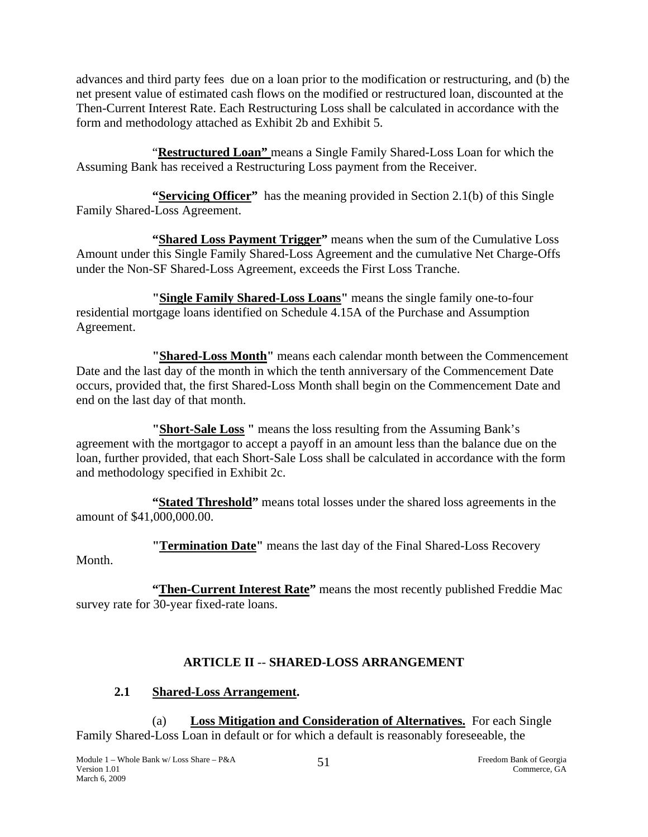advances and third party fees due on a loan prior to the modification or restructuring, and (b) the net present value of estimated cash flows on the modified or restructured loan, discounted at the Then-Current Interest Rate. Each Restructuring Loss shall be calculated in accordance with the form and methodology attached as Exhibit 2b and Exhibit 5.

"**Restructured Loan"** means a Single Family Shared-Loss Loan for which the Assuming Bank has received a Restructuring Loss payment from the Receiver.

**"Servicing Officer"** has the meaning provided in Section 2.1(b) of this Single Family Shared-Loss Agreement.

"Shared Loss Payment Trigger" means when the sum of the Cumulative Loss Amount under this Single Family Shared-Loss Agreement and the cumulative Net Charge-Offs under the Non-SF Shared-Loss Agreement, exceeds the First Loss Tranche.

**"Single Family Shared-Loss Loans"** means the single family one-to-four residential mortgage loans identified on Schedule 4.15A of the Purchase and Assumption Agreement.

**"Shared-Loss Month"** means each calendar month between the Commencement Date and the last day of the month in which the tenth anniversary of the Commencement Date occurs, provided that, the first Shared-Loss Month shall begin on the Commencement Date and end on the last day of that month.

**"Short-Sale Loss "** means the loss resulting from the Assuming Bank's agreement with the mortgagor to accept a payoff in an amount less than the balance due on the loan, further provided, that each Short-Sale Loss shall be calculated in accordance with the form and methodology specified in Exhibit 2c.

**"Stated Threshold"** means total losses under the shared loss agreements in the amount of \$41,000,000.00.

**"Termination Date"** means the last day of the Final Shared-Loss Recovery

Month.

**"Then-Current Interest Rate"** means the most recently published Freddie Mac survey rate for 30-year fixed-rate loans.

# **ARTICLE II** -- **SHARED-LOSS ARRANGEMENT**

# **2.1 Shared-Loss Arrangement.**

 (a) **Loss Mitigation and Consideration of Alternatives.** For each Single Family Shared-Loss Loan in default or for which a default is reasonably foreseeable, the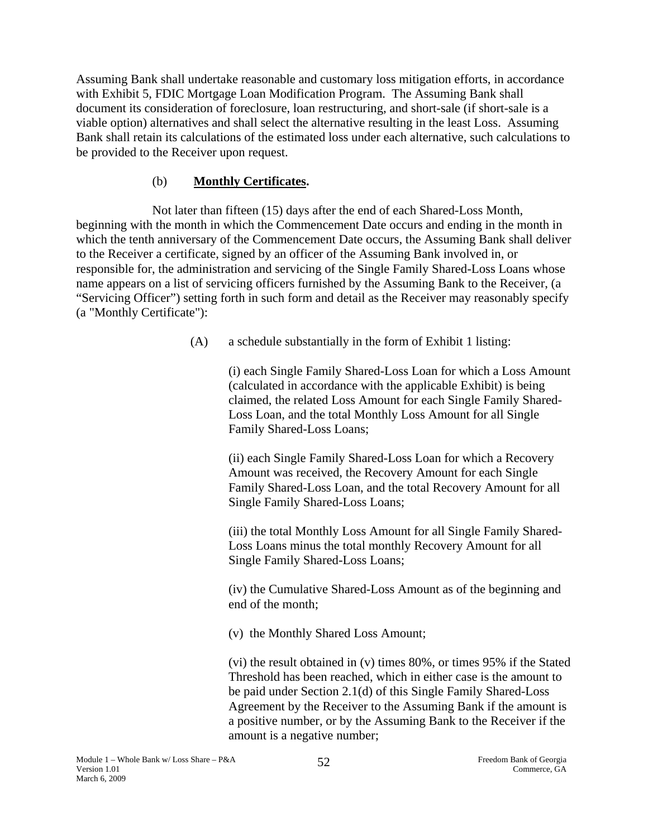Assuming Bank shall undertake reasonable and customary loss mitigation efforts, in accordance with Exhibit 5, FDIC Mortgage Loan Modification Program. The Assuming Bank shall document its consideration of foreclosure, loan restructuring, and short-sale (if short-sale is a viable option) alternatives and shall select the alternative resulting in the least Loss. Assuming Bank shall retain its calculations of the estimated loss under each alternative, such calculations to be provided to the Receiver upon request.

# (b) **Monthly Certificates.**

Not later than fifteen (15) days after the end of each Shared-Loss Month, beginning with the month in which the Commencement Date occurs and ending in the month in which the tenth anniversary of the Commencement Date occurs, the Assuming Bank shall deliver to the Receiver a certificate, signed by an officer of the Assuming Bank involved in, or responsible for, the administration and servicing of the Single Family Shared-Loss Loans whose name appears on a list of servicing officers furnished by the Assuming Bank to the Receiver, (a "Servicing Officer") setting forth in such form and detail as the Receiver may reasonably specify (a "Monthly Certificate"):

(A) a schedule substantially in the form of Exhibit 1 listing:

(i) each Single Family Shared-Loss Loan for which a Loss Amount (calculated in accordance with the applicable Exhibit) is being claimed, the related Loss Amount for each Single Family Shared-Loss Loan, and the total Monthly Loss Amount for all Single Family Shared-Loss Loans;

(ii) each Single Family Shared-Loss Loan for which a Recovery Amount was received, the Recovery Amount for each Single Family Shared-Loss Loan, and the total Recovery Amount for all Single Family Shared-Loss Loans;

(iii) the total Monthly Loss Amount for all Single Family Shared-Loss Loans minus the total monthly Recovery Amount for all Single Family Shared-Loss Loans;

(iv) the Cumulative Shared-Loss Amount as of the beginning and end of the month;

(v) the Monthly Shared Loss Amount;

(vi) the result obtained in (v) times 80%, or times 95% if the Stated Threshold has been reached, which in either case is the amount to be paid under Section 2.1(d) of this Single Family Shared-Loss Agreement by the Receiver to the Assuming Bank if the amount is a positive number, or by the Assuming Bank to the Receiver if the amount is a negative number;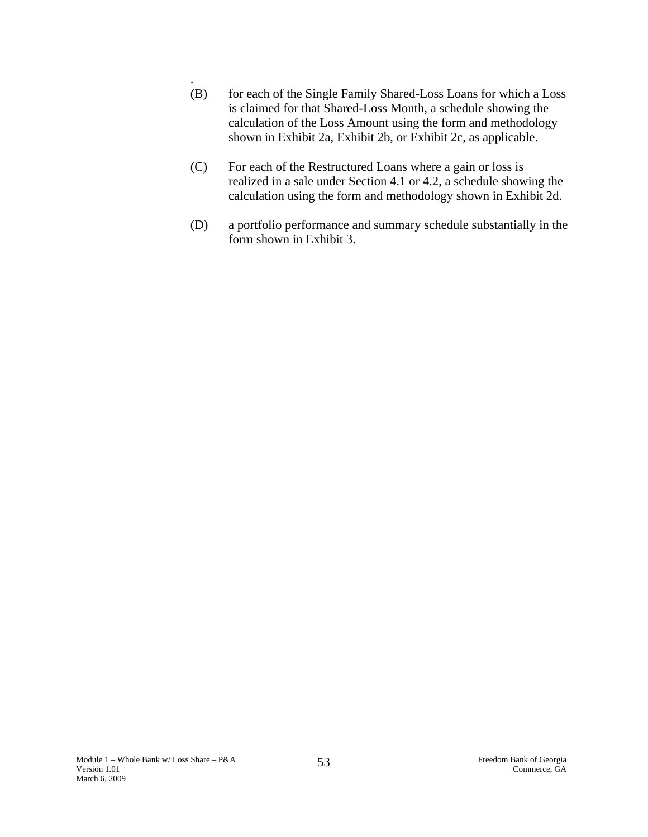- (B) for each of the Single Family Shared-Loss Loans for which a Loss is claimed for that Shared-Loss Month, a schedule showing the calculation of the Loss Amount using the form and methodology shown in Exhibit 2a, Exhibit 2b, or Exhibit 2c, as applicable.
- (C) For each of the Restructured Loans where a gain or loss is realized in a sale under Section 4.1 or 4.2, a schedule showing the calculation using the form and methodology shown in Exhibit 2d.
- (D) a portfolio performance and summary schedule substantially in the form shown in Exhibit 3.

.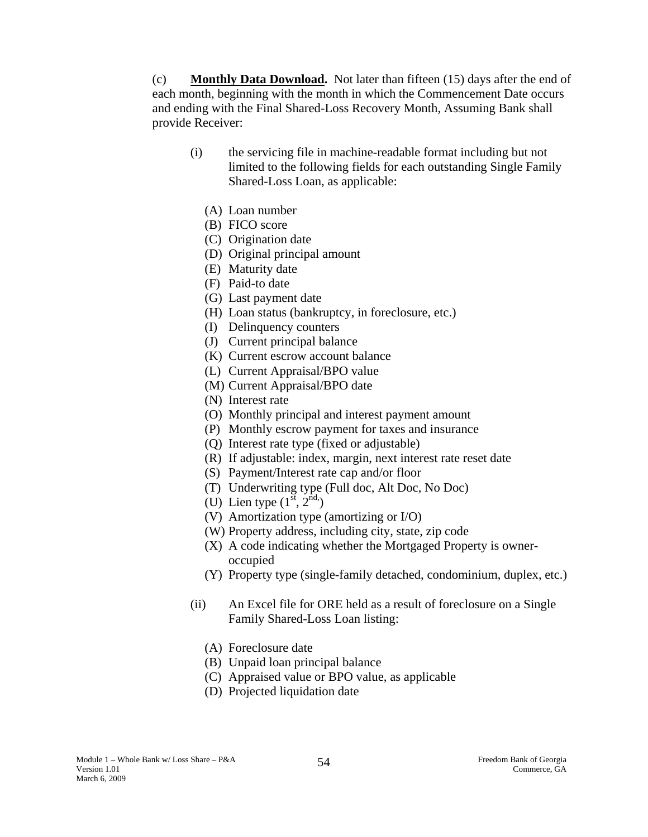(c) **Monthly Data Download.** Not later than fifteen (15) days after the end of each month, beginning with the month in which the Commencement Date occurs and ending with the Final Shared-Loss Recovery Month, Assuming Bank shall provide Receiver:

- (i) the servicing file in machine-readable format including but not limited to the following fields for each outstanding Single Family Shared-Loss Loan, as applicable:
	- (A) Loan number
	- (B) FICO score
	- (C) Origination date
	- (D) Original principal amount
	- (E) Maturity date
	- (F) Paid-to date
	- (G) Last payment date
	- (H) Loan status (bankruptcy, in foreclosure, etc.)
	- (I) Delinquency counters
	- (J) Current principal balance
	- (K) Current escrow account balance
	- (L) Current Appraisal/BPO value
	- (M) Current Appraisal/BPO date
	- (N) Interest rate
	- (O) Monthly principal and interest payment amount
	- (P) Monthly escrow payment for taxes and insurance
	- (Q) Interest rate type (fixed or adjustable)
	- (R) If adjustable: index, margin, next interest rate reset date
	- (S) Payment/Interest rate cap and/or floor
	- (T) Underwriting type (Full doc, Alt Doc, No Doc)
	- (U) Lien type  $(1<sup>st</sup>, 2<sup>nd</sup>)$
	- (V) Amortization type (amortizing or I/O)
	- (W) Property address, including city, state, zip code
	- (X) A code indicating whether the Mortgaged Property is owneroccupied
	- (Y) Property type (single-family detached, condominium, duplex, etc.)
- (ii) An Excel file for ORE held as a result of foreclosure on a Single Family Shared-Loss Loan listing:
	- (A) Foreclosure date
	- (B) Unpaid loan principal balance
	- (C) Appraised value or BPO value, as applicable
	- (D) Projected liquidation date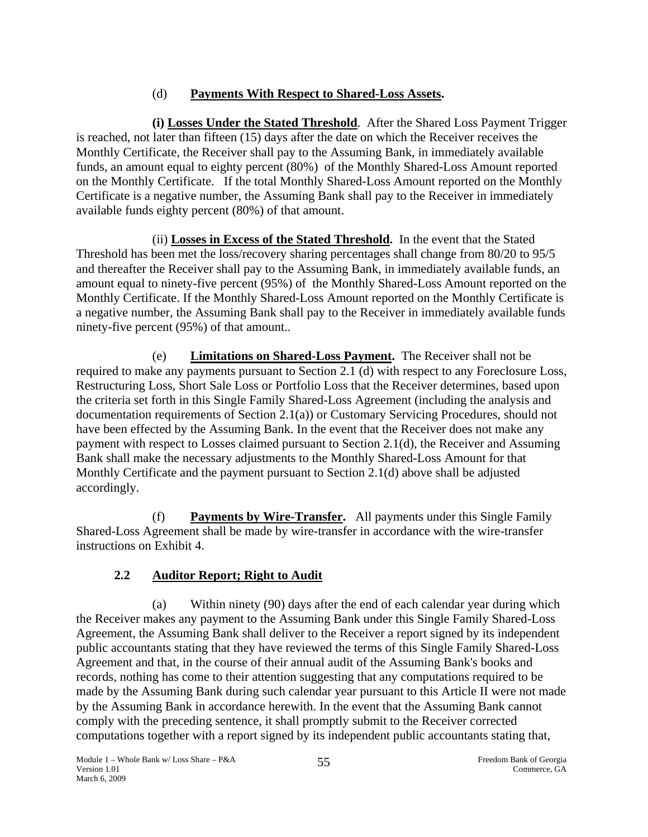# (d) **Payments With Respect to Shared-Loss Assets.**

**(i) Losses Under the Stated Threshold**. After the Shared Loss Payment Trigger is reached, not later than fifteen (15) days after the date on which the Receiver receives the Monthly Certificate, the Receiver shall pay to the Assuming Bank, in immediately available funds, an amount equal to eighty percent (80%) of the Monthly Shared-Loss Amount reported on the Monthly Certificate. If the total Monthly Shared-Loss Amount reported on the Monthly Certificate is a negative number, the Assuming Bank shall pay to the Receiver in immediately available funds eighty percent (80%) of that amount.

(ii) **Losses in Excess of the Stated Threshold.** In the event that the Stated Threshold has been met the loss/recovery sharing percentages shall change from 80/20 to 95/5 and thereafter the Receiver shall pay to the Assuming Bank, in immediately available funds, an amount equal to ninety-five percent (95%) of the Monthly Shared-Loss Amount reported on the Monthly Certificate. If the Monthly Shared-Loss Amount reported on the Monthly Certificate is a negative number, the Assuming Bank shall pay to the Receiver in immediately available funds ninety-five percent (95%) of that amount..

 accordingly. (e) **Limitations on Shared-Loss Payment.** The Receiver shall not be required to make any payments pursuant to Section 2.1 (d) with respect to any Foreclosure Loss, Restructuring Loss, Short Sale Loss or Portfolio Loss that the Receiver determines, based upon the criteria set forth in this Single Family Shared-Loss Agreement (including the analysis and documentation requirements of Section 2.1(a)) or Customary Servicing Procedures, should not have been effected by the Assuming Bank. In the event that the Receiver does not make any payment with respect to Losses claimed pursuant to Section 2.1(d), the Receiver and Assuming Bank shall make the necessary adjustments to the Monthly Shared-Loss Amount for that Monthly Certificate and the payment pursuant to Section 2.1(d) above shall be adjusted

 (f) **Payments by Wire-Transfer.** All payments under this Single Family Shared-Loss Agreement shall be made by wire-transfer in accordance with the wire-transfer instructions on Exhibit 4.

# **2.2 Auditor Report; Right to Audit**

(a) Within ninety (90) days after the end of each calendar year during which the Receiver makes any payment to the Assuming Bank under this Single Family Shared-Loss Agreement, the Assuming Bank shall deliver to the Receiver a report signed by its independent public accountants stating that they have reviewed the terms of this Single Family Shared-Loss Agreement and that, in the course of their annual audit of the Assuming Bank's books and records, nothing has come to their attention suggesting that any computations required to be made by the Assuming Bank during such calendar year pursuant to this Article II were not made by the Assuming Bank in accordance herewith. In the event that the Assuming Bank cannot comply with the preceding sentence, it shall promptly submit to the Receiver corrected computations together with a report signed by its independent public accountants stating that,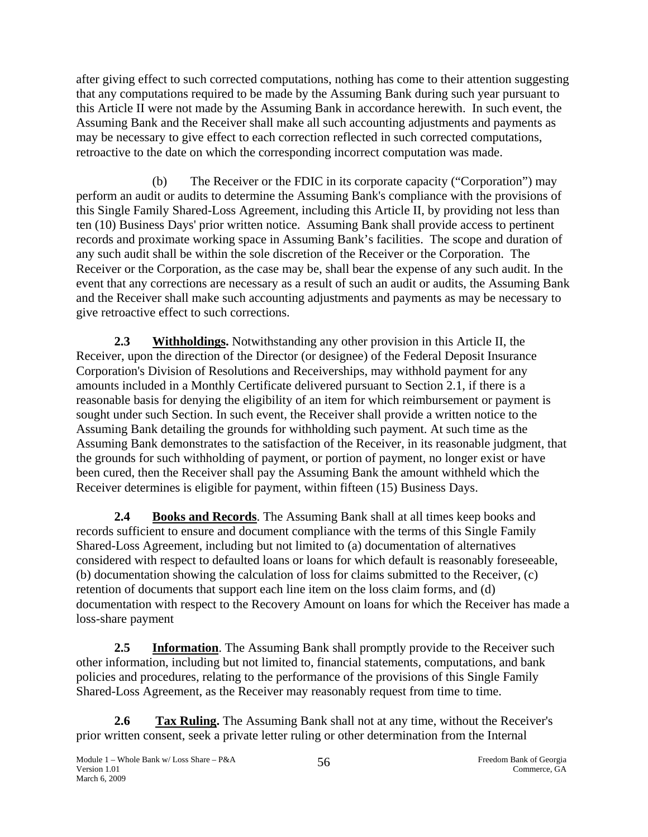after giving effect to such corrected computations, nothing has come to their attention suggesting that any computations required to be made by the Assuming Bank during such year pursuant to this Article II were not made by the Assuming Bank in accordance herewith. In such event, the Assuming Bank and the Receiver shall make all such accounting adjustments and payments as may be necessary to give effect to each correction reflected in such corrected computations, retroactive to the date on which the corresponding incorrect computation was made.

(b) The Receiver or the FDIC in its corporate capacity ("Corporation") may perform an audit or audits to determine the Assuming Bank's compliance with the provisions of this Single Family Shared-Loss Agreement, including this Article II, by providing not less than ten (10) Business Days' prior written notice. Assuming Bank shall provide access to pertinent records and proximate working space in Assuming Bank's facilities. The scope and duration of any such audit shall be within the sole discretion of the Receiver or the Corporation. The Receiver or the Corporation, as the case may be, shall bear the expense of any such audit. In the event that any corrections are necessary as a result of such an audit or audits, the Assuming Bank and the Receiver shall make such accounting adjustments and payments as may be necessary to give retroactive effect to such corrections.

**2.3 Withholdings.** Notwithstanding any other provision in this Article II, the Receiver, upon the direction of the Director (or designee) of the Federal Deposit Insurance Corporation's Division of Resolutions and Receiverships, may withhold payment for any amounts included in a Monthly Certificate delivered pursuant to Section 2.1, if there is a reasonable basis for denying the eligibility of an item for which reimbursement or payment is sought under such Section. In such event, the Receiver shall provide a written notice to the Assuming Bank detailing the grounds for withholding such payment. At such time as the Assuming Bank demonstrates to the satisfaction of the Receiver, in its reasonable judgment, that the grounds for such withholding of payment, or portion of payment, no longer exist or have been cured, then the Receiver shall pay the Assuming Bank the amount withheld which the Receiver determines is eligible for payment, within fifteen (15) Business Days.

**2.4 Books and Records**. The Assuming Bank shall at all times keep books and records sufficient to ensure and document compliance with the terms of this Single Family Shared-Loss Agreement, including but not limited to (a) documentation of alternatives considered with respect to defaulted loans or loans for which default is reasonably foreseeable, (b) documentation showing the calculation of loss for claims submitted to the Receiver, (c) retention of documents that support each line item on the loss claim forms, and (d) documentation with respect to the Recovery Amount on loans for which the Receiver has made a loss-share payment

**2.5 Information**. The Assuming Bank shall promptly provide to the Receiver such other information, including but not limited to, financial statements, computations, and bank policies and procedures, relating to the performance of the provisions of this Single Family Shared-Loss Agreement, as the Receiver may reasonably request from time to time.

**2.6 Tax Ruling.** The Assuming Bank shall not at any time, without the Receiver's prior written consent, seek a private letter ruling or other determination from the Internal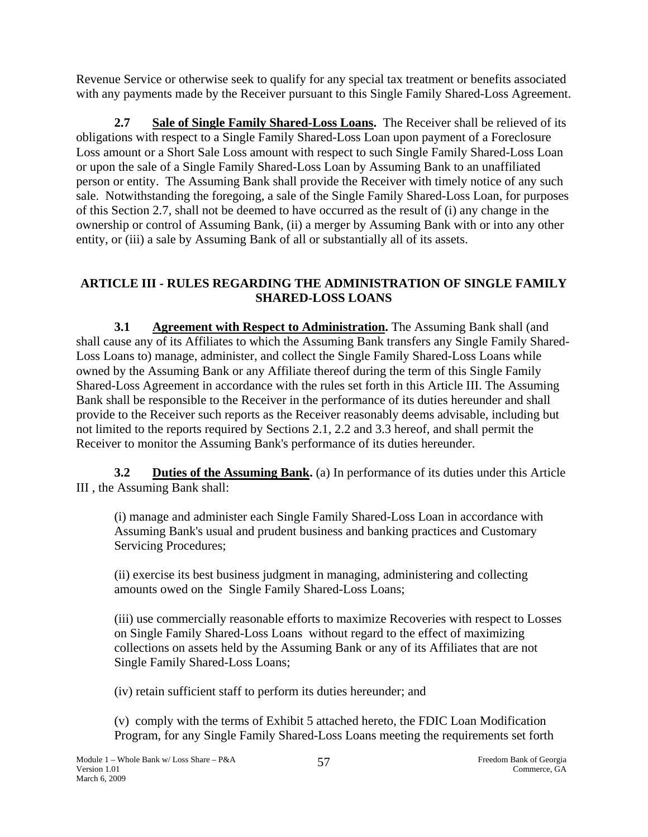Revenue Service or otherwise seek to qualify for any special tax treatment or benefits associated with any payments made by the Receiver pursuant to this Single Family Shared-Loss Agreement.

**2.7 Sale of Single Family Shared-Loss Loans.** The Receiver shall be relieved of its obligations with respect to a Single Family Shared-Loss Loan upon payment of a Foreclosure Loss amount or a Short Sale Loss amount with respect to such Single Family Shared-Loss Loan or upon the sale of a Single Family Shared-Loss Loan by Assuming Bank to an unaffiliated person or entity. The Assuming Bank shall provide the Receiver with timely notice of any such sale. Notwithstanding the foregoing, a sale of the Single Family Shared-Loss Loan, for purposes of this Section 2.7, shall not be deemed to have occurred as the result of (i) any change in the ownership or control of Assuming Bank, (ii) a merger by Assuming Bank with or into any other entity, or (iii) a sale by Assuming Bank of all or substantially all of its assets.

# **ARTICLE III - RULES REGARDING THE ADMINISTRATION OF SINGLE FAMILY SHARED-LOSS LOANS**

**3.1 Agreement with Respect to Administration.** The Assuming Bank shall (and shall cause any of its Affiliates to which the Assuming Bank transfers any Single Family Shared-Loss Loans to) manage, administer, and collect the Single Family Shared-Loss Loans while owned by the Assuming Bank or any Affiliate thereof during the term of this Single Family Shared-Loss Agreement in accordance with the rules set forth in this Article III. The Assuming Bank shall be responsible to the Receiver in the performance of its duties hereunder and shall provide to the Receiver such reports as the Receiver reasonably deems advisable, including but not limited to the reports required by Sections 2.1, 2.2 and 3.3 hereof, and shall permit the Receiver to monitor the Assuming Bank's performance of its duties hereunder.

**3.2 Duties of the Assuming Bank.** (a) In performance of its duties under this Article III , the Assuming Bank shall:

(i) manage and administer each Single Family Shared-Loss Loan in accordance with Assuming Bank's usual and prudent business and banking practices and Customary Servicing Procedures;

(ii) exercise its best business judgment in managing, administering and collecting amounts owed on the Single Family Shared-Loss Loans;

(iii) use commercially reasonable efforts to maximize Recoveries with respect to Losses on Single Family Shared-Loss Loans without regard to the effect of maximizing collections on assets held by the Assuming Bank or any of its Affiliates that are not Single Family Shared-Loss Loans;

(iv) retain sufficient staff to perform its duties hereunder; and

(v) comply with the terms of Exhibit 5 attached hereto, the FDIC Loan Modification Program, for any Single Family Shared-Loss Loans meeting the requirements set forth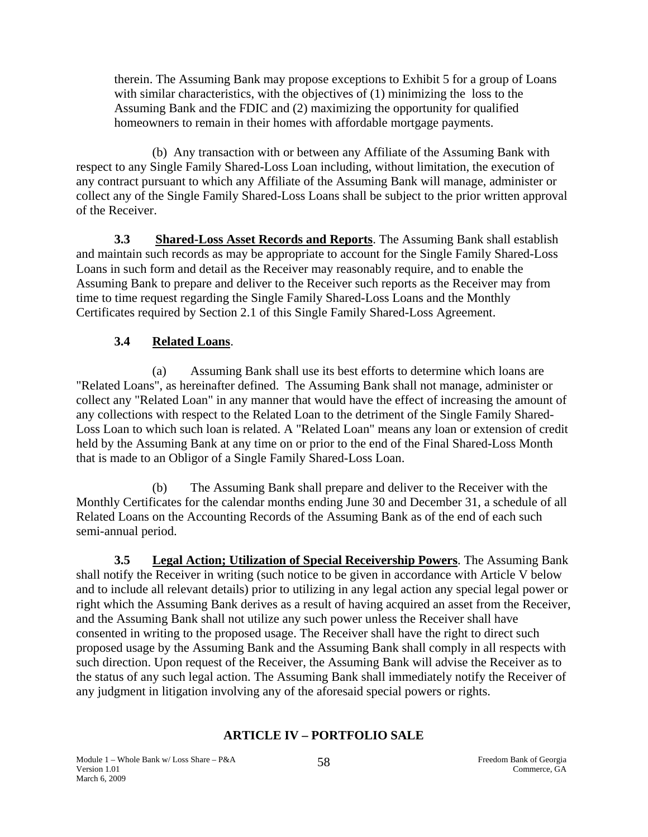therein. The Assuming Bank may propose exceptions to Exhibit 5 for a group of Loans with similar characteristics, with the objectives of (1) minimizing the loss to the Assuming Bank and the FDIC and (2) maximizing the opportunity for qualified homeowners to remain in their homes with affordable mortgage payments.

(b) Any transaction with or between any Affiliate of the Assuming Bank with respect to any Single Family Shared-Loss Loan including, without limitation, the execution of any contract pursuant to which any Affiliate of the Assuming Bank will manage, administer or collect any of the Single Family Shared-Loss Loans shall be subject to the prior written approval of the Receiver.

**3.3 Shared-Loss Asset Records and Reports**. The Assuming Bank shall establish and maintain such records as may be appropriate to account for the Single Family Shared-Loss Loans in such form and detail as the Receiver may reasonably require, and to enable the Assuming Bank to prepare and deliver to the Receiver such reports as the Receiver may from time to time request regarding the Single Family Shared-Loss Loans and the Monthly Certificates required by Section 2.1 of this Single Family Shared-Loss Agreement.

# **3.4 Related Loans**.

(a) Assuming Bank shall use its best efforts to determine which loans are "Related Loans", as hereinafter defined. The Assuming Bank shall not manage, administer or collect any "Related Loan" in any manner that would have the effect of increasing the amount of any collections with respect to the Related Loan to the detriment of the Single Family Shared-Loss Loan to which such loan is related. A "Related Loan" means any loan or extension of credit held by the Assuming Bank at any time on or prior to the end of the Final Shared-Loss Month that is made to an Obligor of a Single Family Shared-Loss Loan.

(b) The Assuming Bank shall prepare and deliver to the Receiver with the Monthly Certificates for the calendar months ending June 30 and December 31, a schedule of all Related Loans on the Accounting Records of the Assuming Bank as of the end of each such semi-annual period.

**3.5 Legal Action; Utilization of Special Receivership Powers**. The Assuming Bank shall notify the Receiver in writing (such notice to be given in accordance with Article V below and to include all relevant details) prior to utilizing in any legal action any special legal power or right which the Assuming Bank derives as a result of having acquired an asset from the Receiver, and the Assuming Bank shall not utilize any such power unless the Receiver shall have consented in writing to the proposed usage. The Receiver shall have the right to direct such proposed usage by the Assuming Bank and the Assuming Bank shall comply in all respects with such direction. Upon request of the Receiver, the Assuming Bank will advise the Receiver as to the status of any such legal action. The Assuming Bank shall immediately notify the Receiver of any judgment in litigation involving any of the aforesaid special powers or rights.

### **ARTICLE IV – PORTFOLIO SALE**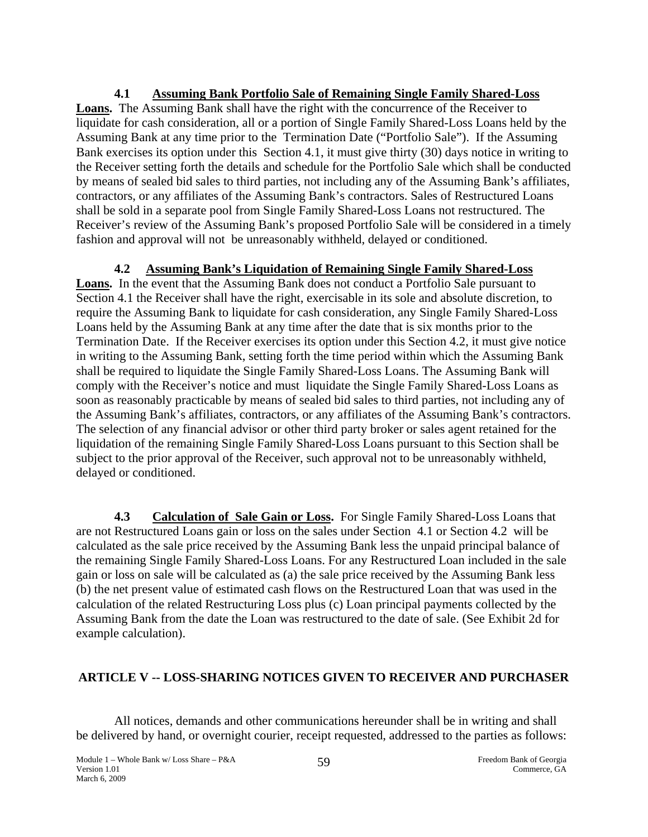**4.1 Assuming Bank Portfolio Sale of Remaining Single Family Shared-Loss Loans.** The Assuming Bank shall have the right with the concurrence of the Receiver to liquidate for cash consideration, all or a portion of Single Family Shared-Loss Loans held by the Assuming Bank at any time prior to the Termination Date ("Portfolio Sale"). If the Assuming Bank exercises its option under this Section 4.1, it must give thirty (30) days notice in writing to the Receiver setting forth the details and schedule for the Portfolio Sale which shall be conducted by means of sealed bid sales to third parties, not including any of the Assuming Bank's affiliates, contractors, or any affiliates of the Assuming Bank's contractors. Sales of Restructured Loans shall be sold in a separate pool from Single Family Shared-Loss Loans not restructured. The Receiver's review of the Assuming Bank's proposed Portfolio Sale will be considered in a timely fashion and approval will not be unreasonably withheld, delayed or conditioned.

# **4.2 Assuming Bank's Liquidation of Remaining Single Family Shared-Loss**

**Loans.** In the event that the Assuming Bank does not conduct a Portfolio Sale pursuant to Section 4.1 the Receiver shall have the right, exercisable in its sole and absolute discretion, to require the Assuming Bank to liquidate for cash consideration, any Single Family Shared-Loss Loans held by the Assuming Bank at any time after the date that is six months prior to the Termination Date. If the Receiver exercises its option under this Section 4.2, it must give notice in writing to the Assuming Bank, setting forth the time period within which the Assuming Bank shall be required to liquidate the Single Family Shared-Loss Loans. The Assuming Bank will comply with the Receiver's notice and must liquidate the Single Family Shared-Loss Loans as soon as reasonably practicable by means of sealed bid sales to third parties, not including any of the Assuming Bank's affiliates, contractors, or any affiliates of the Assuming Bank's contractors. The selection of any financial advisor or other third party broker or sales agent retained for the liquidation of the remaining Single Family Shared-Loss Loans pursuant to this Section shall be subject to the prior approval of the Receiver, such approval not to be unreasonably withheld, delayed or conditioned.

**4.3 Calculation of Sale Gain or Loss.** For Single Family Shared-Loss Loans that are not Restructured Loans gain or loss on the sales under Section 4.1 or Section 4.2 will be calculated as the sale price received by the Assuming Bank less the unpaid principal balance of the remaining Single Family Shared-Loss Loans. For any Restructured Loan included in the sale gain or loss on sale will be calculated as (a) the sale price received by the Assuming Bank less (b) the net present value of estimated cash flows on the Restructured Loan that was used in the calculation of the related Restructuring Loss plus (c) Loan principal payments collected by the Assuming Bank from the date the Loan was restructured to the date of sale. (See Exhibit 2d for example calculation).

# **ARTICLE V -- LOSS-SHARING NOTICES GIVEN TO RECEIVER AND PURCHASER**

All notices, demands and other communications hereunder shall be in writing and shall be delivered by hand, or overnight courier, receipt requested, addressed to the parties as follows: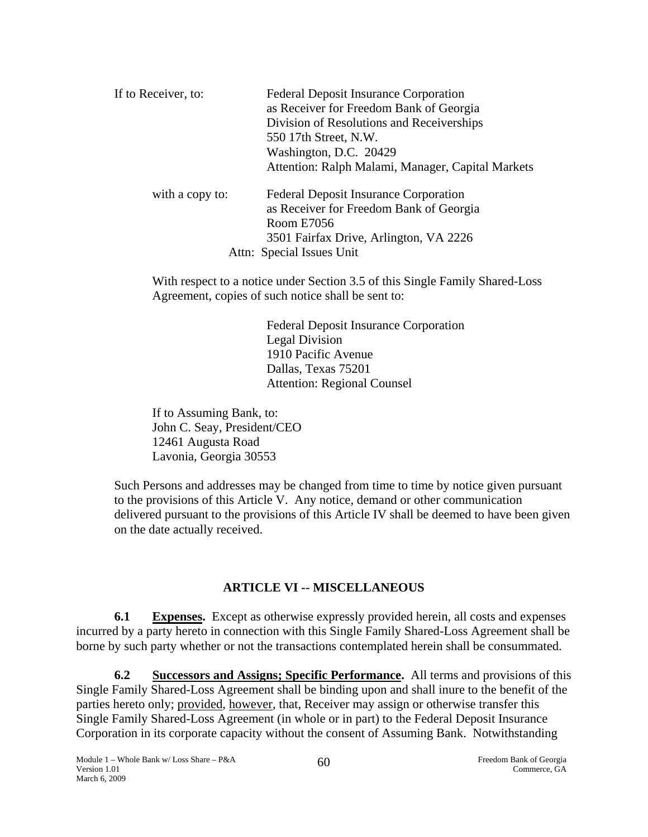| If to Receiver, to: | <b>Federal Deposit Insurance Corporation</b>      |
|---------------------|---------------------------------------------------|
|                     | as Receiver for Freedom Bank of Georgia           |
|                     | Division of Resolutions and Receiverships         |
|                     | 550 17th Street, N.W.                             |
|                     | Washington, D.C. 20429                            |
|                     | Attention: Ralph Malami, Manager, Capital Markets |
| with a copy to:     | <b>Federal Deposit Insurance Corporation</b>      |
|                     | as Receiver for Freedom Bank of Georgia           |
|                     | Room E7056                                        |
|                     | 3501 Fairfax Drive, Arlington, VA 2226            |
|                     | Attn: Special Issues Unit                         |
|                     |                                                   |

With respect to a notice under Section 3.5 of this Single Family Shared-Loss Agreement, copies of such notice shall be sent to:

> Federal Deposit Insurance Corporation Legal Division 1910 Pacific Avenue Dallas, Texas 75201 Attention: Regional Counsel

If to Assuming Bank, to: John C. Seay, President/CEO 12461 Augusta Road Lavonia, Georgia 30553

Such Persons and addresses may be changed from time to time by notice given pursuant to the provisions of this Article V. Any notice, demand or other communication delivered pursuant to the provisions of this Article IV shall be deemed to have been given on the date actually received.

# **ARTICLE VI -- MISCELLANEOUS**

**6.1 Expenses.** Except as otherwise expressly provided herein, all costs and expenses incurred by a party hereto in connection with this Single Family Shared-Loss Agreement shall be borne by such party whether or not the transactions contemplated herein shall be consummated.

**6.2 Successors and Assigns; Specific Performance.** All terms and provisions of this Single Family Shared-Loss Agreement shall be binding upon and shall inure to the benefit of the parties hereto only; provided, however, that, Receiver may assign or otherwise transfer this Single Family Shared-Loss Agreement (in whole or in part) to the Federal Deposit Insurance Corporation in its corporate capacity without the consent of Assuming Bank. Notwithstanding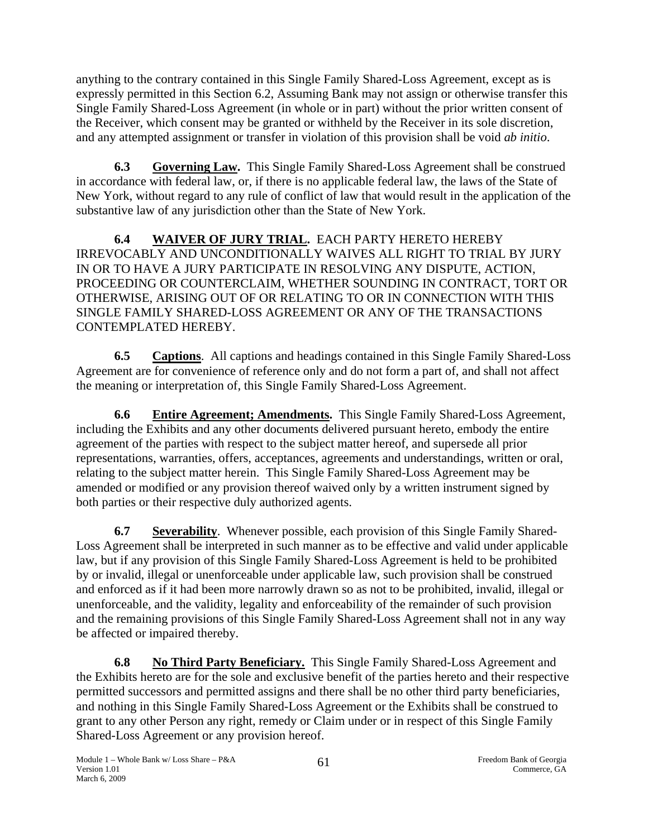anything to the contrary contained in this Single Family Shared-Loss Agreement, except as is expressly permitted in this Section 6.2, Assuming Bank may not assign or otherwise transfer this Single Family Shared-Loss Agreement (in whole or in part) without the prior written consent of the Receiver, which consent may be granted or withheld by the Receiver in its sole discretion, and any attempted assignment or transfer in violation of this provision shall be void *ab initio*.

**6.3 Governing Law.** This Single Family Shared-Loss Agreement shall be construed in accordance with federal law, or, if there is no applicable federal law, the laws of the State of New York, without regard to any rule of conflict of law that would result in the application of the substantive law of any jurisdiction other than the State of New York.

**6.4 WAIVER OF JURY TRIAL.** EACH PARTY HERETO HEREBY IRREVOCABLY AND UNCONDITIONALLY WAIVES ALL RIGHT TO TRIAL BY JURY IN OR TO HAVE A JURY PARTICIPATE IN RESOLVING ANY DISPUTE, ACTION, PROCEEDING OR COUNTERCLAIM, WHETHER SOUNDING IN CONTRACT, TORT OR OTHERWISE, ARISING OUT OF OR RELATING TO OR IN CONNECTION WITH THIS SINGLE FAMILY SHARED-LOSS AGREEMENT OR ANY OF THE TRANSACTIONS CONTEMPLATED HEREBY.

**6.5 Captions**. All captions and headings contained in this Single Family Shared-Loss Agreement are for convenience of reference only and do not form a part of, and shall not affect the meaning or interpretation of, this Single Family Shared-Loss Agreement.

**6.6 Entire Agreement; Amendments.** This Single Family Shared-Loss Agreement, including the Exhibits and any other documents delivered pursuant hereto, embody the entire agreement of the parties with respect to the subject matter hereof, and supersede all prior representations, warranties, offers, acceptances, agreements and understandings, written or oral, relating to the subject matter herein. This Single Family Shared-Loss Agreement may be amended or modified or any provision thereof waived only by a written instrument signed by both parties or their respective duly authorized agents.

**6.7 Severability**. Whenever possible, each provision of this Single Family Shared-Loss Agreement shall be interpreted in such manner as to be effective and valid under applicable law, but if any provision of this Single Family Shared-Loss Agreement is held to be prohibited by or invalid, illegal or unenforceable under applicable law, such provision shall be construed and enforced as if it had been more narrowly drawn so as not to be prohibited, invalid, illegal or unenforceable, and the validity, legality and enforceability of the remainder of such provision and the remaining provisions of this Single Family Shared-Loss Agreement shall not in any way be affected or impaired thereby.

6.8 No Third Party Beneficiary. This Single Family Shared-Loss Agreement and the Exhibits hereto are for the sole and exclusive benefit of the parties hereto and their respective permitted successors and permitted assigns and there shall be no other third party beneficiaries, and nothing in this Single Family Shared-Loss Agreement or the Exhibits shall be construed to grant to any other Person any right, remedy or Claim under or in respect of this Single Family Shared-Loss Agreement or any provision hereof.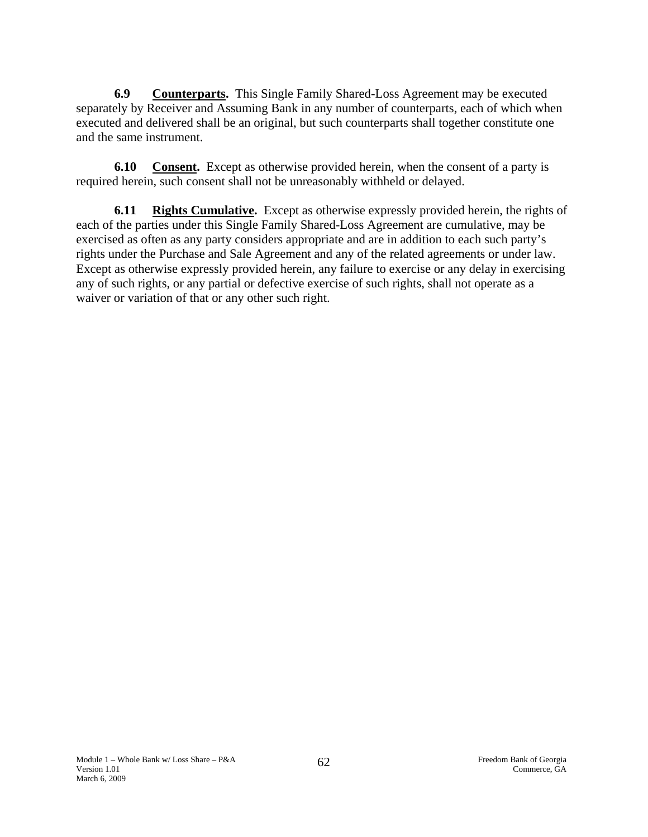**6.9 Counterparts.** This Single Family Shared-Loss Agreement may be executed separately by Receiver and Assuming Bank in any number of counterparts, each of which when executed and delivered shall be an original, but such counterparts shall together constitute one and the same instrument.

**6.10 Consent.** Except as otherwise provided herein, when the consent of a party is required herein, such consent shall not be unreasonably withheld or delayed.

**6.11 Rights Cumulative.** Except as otherwise expressly provided herein, the rights of each of the parties under this Single Family Shared-Loss Agreement are cumulative, may be exercised as often as any party considers appropriate and are in addition to each such party's rights under the Purchase and Sale Agreement and any of the related agreements or under law. Except as otherwise expressly provided herein, any failure to exercise or any delay in exercising any of such rights, or any partial or defective exercise of such rights, shall not operate as a waiver or variation of that or any other such right.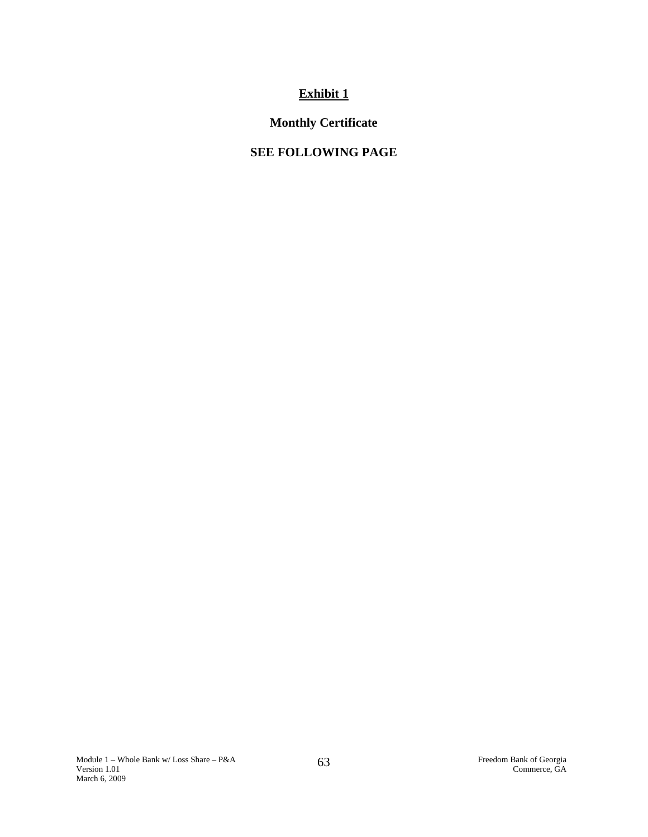# **Exhibit 1**

# **Monthly Certificate**

# **SEE FOLLOWING PAGE**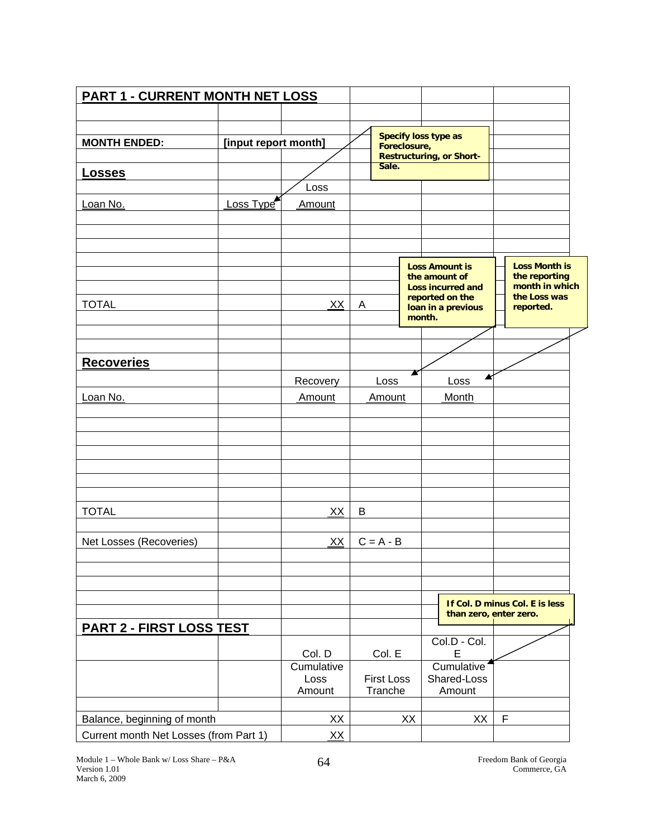| <b>PART 1 - CURRENT MONTH NET LOSS</b> |                      |            |        |                   |       |                                       |   |                                |
|----------------------------------------|----------------------|------------|--------|-------------------|-------|---------------------------------------|---|--------------------------------|
|                                        |                      |            |        |                   |       |                                       |   |                                |
|                                        |                      |            |        |                   |       | Specify loss type as                  |   |                                |
| <b>MONTH ENDED:</b>                    | [input report month] |            |        | Foreclosure,      |       |                                       |   |                                |
|                                        |                      |            |        |                   |       | <b>Restructuring, or Short-</b>       |   |                                |
| <b>Losses</b>                          |                      |            |        | Sale.             |       |                                       |   |                                |
|                                        |                      | Loss       |        |                   |       |                                       |   |                                |
| Loan No.                               | Loss Type            | Amount     |        |                   |       |                                       |   |                                |
|                                        |                      |            |        |                   |       |                                       |   |                                |
|                                        |                      |            |        |                   |       |                                       |   |                                |
|                                        |                      |            |        |                   |       |                                       |   |                                |
|                                        |                      |            |        |                   |       | <b>Loss Amount is</b>                 |   | <b>Loss Month is</b>           |
|                                        |                      |            |        |                   |       | the amount of                         |   | the reporting                  |
|                                        |                      |            |        |                   |       | <b>Loss incurred and</b>              |   | month in which<br>the Loss was |
| <b>TOTAL</b>                           |                      | XX         | Α      |                   |       | reported on the<br>loan in a previous |   | reported.                      |
|                                        |                      |            |        |                   |       | month.                                |   |                                |
|                                        |                      |            |        |                   |       |                                       |   |                                |
|                                        |                      |            |        |                   |       |                                       |   |                                |
| <b>Recoveries</b>                      |                      |            |        |                   |       |                                       |   |                                |
|                                        |                      | Recovery   |        | Loss              | ×     | ▲<br>Loss                             |   |                                |
| Loan No.                               |                      | Amount     | Amount |                   | Month |                                       |   |                                |
|                                        |                      |            |        |                   |       |                                       |   |                                |
|                                        |                      |            |        |                   |       |                                       |   |                                |
|                                        |                      |            |        |                   |       |                                       |   |                                |
|                                        |                      |            |        |                   |       |                                       |   |                                |
|                                        |                      |            |        |                   |       |                                       |   |                                |
|                                        |                      |            |        |                   |       |                                       |   |                                |
|                                        |                      |            |        |                   |       |                                       |   |                                |
| <b>TOTAL</b>                           |                      | XX         | B      |                   |       |                                       |   |                                |
|                                        |                      |            |        |                   |       |                                       |   |                                |
| Net Losses (Recoveries)                |                      | XX         |        | $C = A - B$       |       |                                       |   |                                |
|                                        |                      |            |        |                   |       |                                       |   |                                |
|                                        |                      |            |        |                   |       |                                       |   |                                |
|                                        |                      |            |        |                   |       |                                       |   |                                |
|                                        |                      |            |        |                   |       |                                       |   | If Col. D minus Col. E is less |
|                                        |                      |            |        |                   |       | than zero, enter zero.                |   |                                |
| <b>PART 2 - FIRST LOSS TEST</b>        |                      |            |        |                   |       |                                       |   |                                |
|                                        |                      | Col. D     |        | Col. E            |       | Col.D - Col.<br>E                     |   |                                |
|                                        |                      | Cumulative |        |                   |       | Cumulative                            |   |                                |
|                                        |                      | Loss       |        | <b>First Loss</b> |       | Shared-Loss                           |   |                                |
|                                        |                      | Amount     |        | Tranche           |       | Amount                                |   |                                |
|                                        |                      |            |        |                   |       |                                       |   |                                |
| Balance, beginning of month            |                      | XX         |        |                   | XX    | XX                                    | F |                                |
| Current month Net Losses (from Part 1) |                      | XX         |        |                   |       |                                       |   |                                |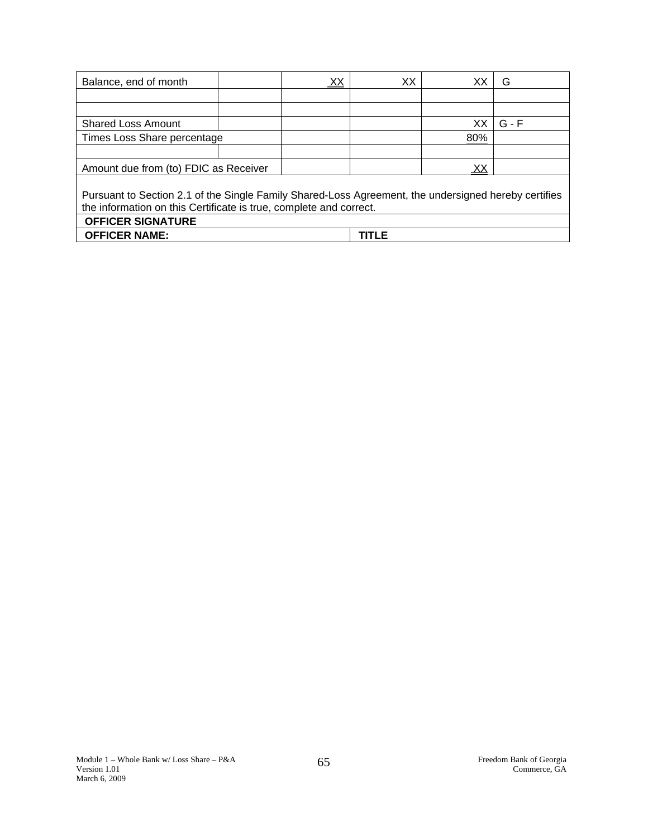| Balance, end of month                                                                                                                                                      |  | XX | XХ  |    | G       |  |  |
|----------------------------------------------------------------------------------------------------------------------------------------------------------------------------|--|----|-----|----|---------|--|--|
|                                                                                                                                                                            |  |    |     |    |         |  |  |
|                                                                                                                                                                            |  |    |     |    |         |  |  |
| <b>Shared Loss Amount</b>                                                                                                                                                  |  |    |     | xх | $G - F$ |  |  |
| Times Loss Share percentage                                                                                                                                                |  |    | 80% |    |         |  |  |
|                                                                                                                                                                            |  |    |     |    |         |  |  |
| Amount due from (to) FDIC as Receiver                                                                                                                                      |  |    |     | XХ |         |  |  |
| Pursuant to Section 2.1 of the Single Family Shared-Loss Agreement, the undersigned hereby certifies<br>the information on this Certificate is true, complete and correct. |  |    |     |    |         |  |  |
| <b>OFFICER SIGNATURE</b>                                                                                                                                                   |  |    |     |    |         |  |  |
| <b>OFFICER NAME:</b><br><b>TITLE</b>                                                                                                                                       |  |    |     |    |         |  |  |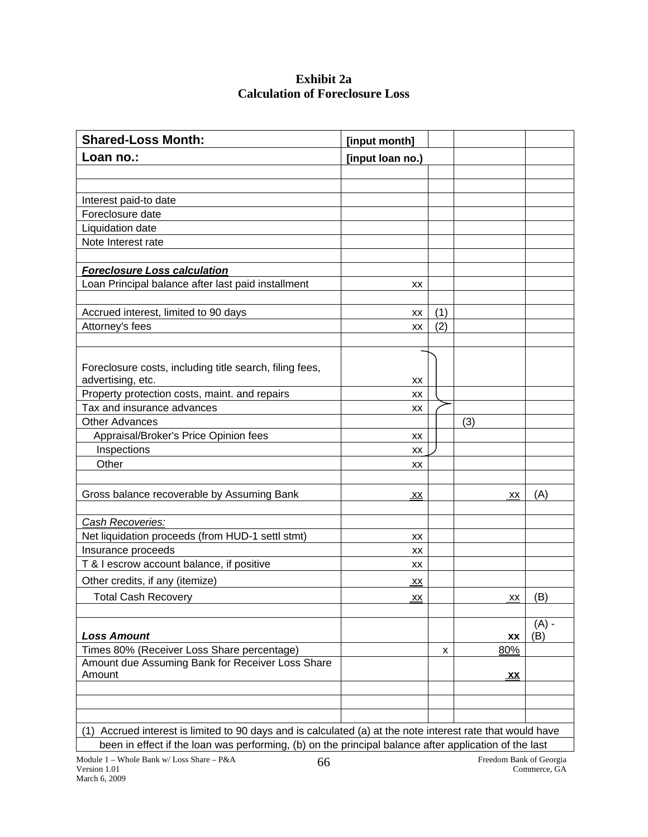# **Exhibit 2a Calculation of Foreclosure Loss**

| <b>Shared-Loss Month:</b>                                                                                  | [input month]    |     |           |         |
|------------------------------------------------------------------------------------------------------------|------------------|-----|-----------|---------|
| Loan no.:                                                                                                  | [input loan no.) |     |           |         |
|                                                                                                            |                  |     |           |         |
|                                                                                                            |                  |     |           |         |
| Interest paid-to date                                                                                      |                  |     |           |         |
| Foreclosure date                                                                                           |                  |     |           |         |
| Liquidation date                                                                                           |                  |     |           |         |
| Note Interest rate                                                                                         |                  |     |           |         |
|                                                                                                            |                  |     |           |         |
| <b>Foreclosure Loss calculation</b>                                                                        |                  |     |           |         |
| Loan Principal balance after last paid installment                                                         | ХX               |     |           |         |
|                                                                                                            |                  |     |           |         |
| Accrued interest, limited to 90 days                                                                       | XХ               | (1) |           |         |
| Attorney's fees                                                                                            | XX               | (2) |           |         |
|                                                                                                            |                  |     |           |         |
|                                                                                                            |                  |     |           |         |
| Foreclosure costs, including title search, filing fees,                                                    |                  |     |           |         |
| advertising, etc.                                                                                          | XХ               |     |           |         |
| Property protection costs, maint. and repairs                                                              | XX               |     |           |         |
| Tax and insurance advances                                                                                 | XX               |     |           |         |
| <b>Other Advances</b>                                                                                      |                  |     | (3)       |         |
| Appraisal/Broker's Price Opinion fees                                                                      | XX               |     |           |         |
| Inspections                                                                                                | XX               |     |           |         |
| Other                                                                                                      | ХX               |     |           |         |
|                                                                                                            |                  |     |           |         |
| Gross balance recoverable by Assuming Bank                                                                 | <u>xx</u>        |     | ХX        | (A)     |
|                                                                                                            |                  |     |           |         |
| Cash Recoveries:                                                                                           |                  |     |           |         |
| Net liquidation proceeds (from HUD-1 settl stmt)                                                           | XX               |     |           |         |
| Insurance proceeds                                                                                         | XX               |     |           |         |
| T & I escrow account balance, if positive                                                                  | XХ               |     |           |         |
| Other credits, if any (itemize)                                                                            | xх               |     |           |         |
| <b>Total Cash Recovery</b>                                                                                 |                  |     |           |         |
|                                                                                                            | <u>XX</u>        |     | <u>XX</u> | (B)     |
|                                                                                                            |                  |     |           | $(A)$ - |
| <b>Loss Amount</b>                                                                                         |                  |     | XX        | (B)     |
| Times 80% (Receiver Loss Share percentage)                                                                 |                  | x   | 80%       |         |
| Amount due Assuming Bank for Receiver Loss Share                                                           |                  |     |           |         |
| Amount                                                                                                     |                  |     | <u>XX</u> |         |
|                                                                                                            |                  |     |           |         |
|                                                                                                            |                  |     |           |         |
|                                                                                                            |                  |     |           |         |
| (1) Accrued interest is limited to 90 days and is calculated (a) at the note interest rate that would have |                  |     |           |         |
| been in effect if the loan was performing, (b) on the principal balance after application of the last      |                  |     |           |         |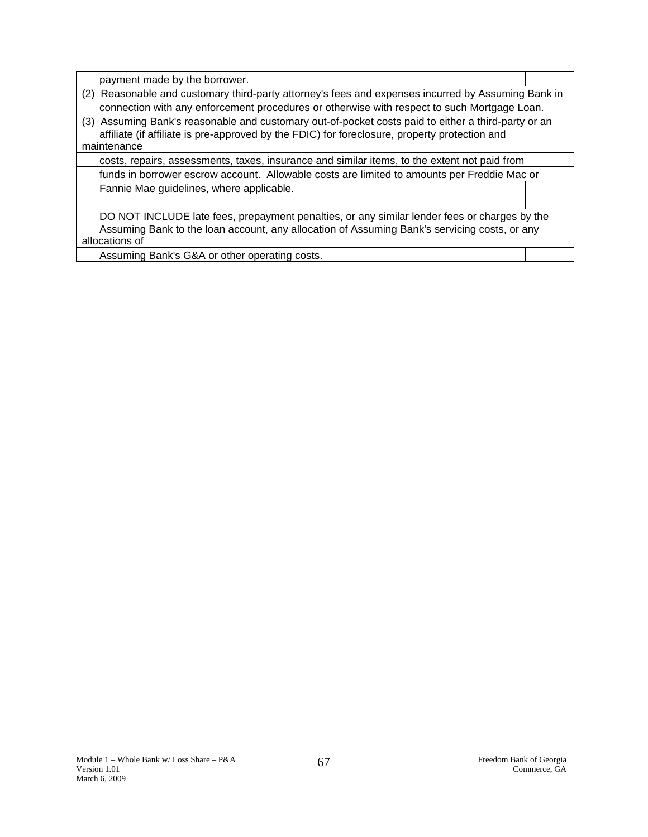| payment made by the borrower.                                                                                |  |  |  |  |  |  |  |
|--------------------------------------------------------------------------------------------------------------|--|--|--|--|--|--|--|
| (2) Reasonable and customary third-party attorney's fees and expenses incurred by Assuming Bank in           |  |  |  |  |  |  |  |
| connection with any enforcement procedures or otherwise with respect to such Mortgage Loan.                  |  |  |  |  |  |  |  |
| (3) Assuming Bank's reasonable and customary out-of-pocket costs paid to either a third-party or an          |  |  |  |  |  |  |  |
| affiliate (if affiliate is pre-approved by the FDIC) for foreclosure, property protection and<br>maintenance |  |  |  |  |  |  |  |
| costs, repairs, assessments, taxes, insurance and similar items, to the extent not paid from                 |  |  |  |  |  |  |  |
| funds in borrower escrow account. Allowable costs are limited to amounts per Freddie Mac or                  |  |  |  |  |  |  |  |
| Fannie Mae guidelines, where applicable.                                                                     |  |  |  |  |  |  |  |
|                                                                                                              |  |  |  |  |  |  |  |
| DO NOT INCLUDE late fees, prepayment penalties, or any similar lender fees or charges by the                 |  |  |  |  |  |  |  |
| Assuming Bank to the loan account, any allocation of Assuming Bank's servicing costs, or any                 |  |  |  |  |  |  |  |
| allocations of                                                                                               |  |  |  |  |  |  |  |
| Assuming Bank's G&A or other operating costs.                                                                |  |  |  |  |  |  |  |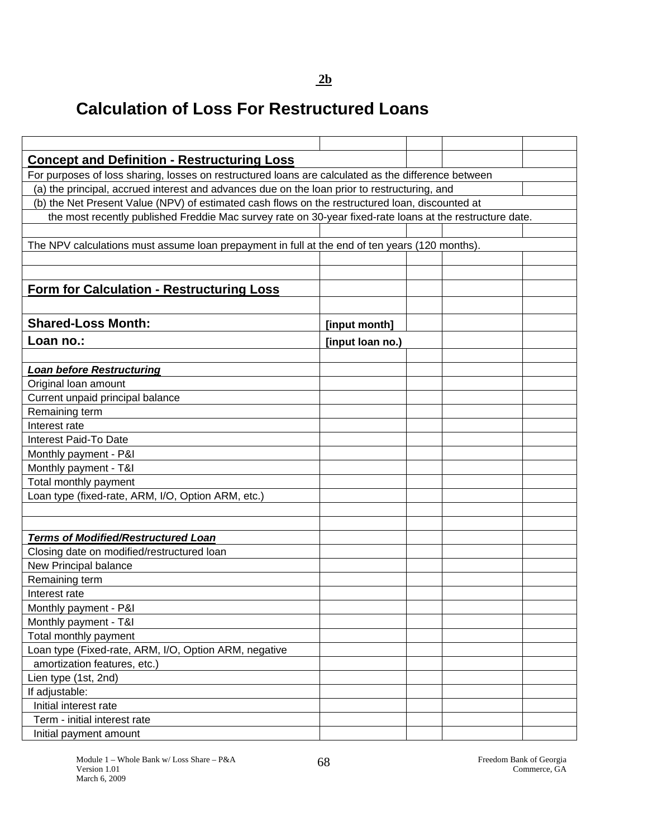# **Calculation of Loss For Restructured Loans**

| <b>Concept and Definition - Restructuring Loss</b>                                                       |                  |  |  |
|----------------------------------------------------------------------------------------------------------|------------------|--|--|
| For purposes of loss sharing, losses on restructured loans are calculated as the difference between      |                  |  |  |
| (a) the principal, accrued interest and advances due on the loan prior to restructuring, and             |                  |  |  |
| (b) the Net Present Value (NPV) of estimated cash flows on the restructured loan, discounted at          |                  |  |  |
| the most recently published Freddie Mac survey rate on 30-year fixed-rate loans at the restructure date. |                  |  |  |
|                                                                                                          |                  |  |  |
| The NPV calculations must assume loan prepayment in full at the end of ten years (120 months).           |                  |  |  |
|                                                                                                          |                  |  |  |
|                                                                                                          |                  |  |  |
| <b>Form for Calculation - Restructuring Loss</b>                                                         |                  |  |  |
|                                                                                                          |                  |  |  |
| <b>Shared-Loss Month:</b>                                                                                | [input month]    |  |  |
| Loan no.:                                                                                                |                  |  |  |
|                                                                                                          | [input loan no.) |  |  |
| <b>Loan before Restructuring</b>                                                                         |                  |  |  |
| Original loan amount                                                                                     |                  |  |  |
| Current unpaid principal balance                                                                         |                  |  |  |
| Remaining term                                                                                           |                  |  |  |
| Interest rate                                                                                            |                  |  |  |
| Interest Paid-To Date                                                                                    |                  |  |  |
| Monthly payment - P&I                                                                                    |                  |  |  |
| Monthly payment - T&I                                                                                    |                  |  |  |
| Total monthly payment                                                                                    |                  |  |  |
| Loan type (fixed-rate, ARM, I/O, Option ARM, etc.)                                                       |                  |  |  |
|                                                                                                          |                  |  |  |
|                                                                                                          |                  |  |  |
| <b>Terms of Modified/Restructured Loan</b>                                                               |                  |  |  |
| Closing date on modified/restructured loan                                                               |                  |  |  |
| New Principal balance                                                                                    |                  |  |  |
| Remaining term                                                                                           |                  |  |  |
| Interest rate                                                                                            |                  |  |  |
| Monthly payment - P&I                                                                                    |                  |  |  |
| Monthly payment - T&I                                                                                    |                  |  |  |
| Total monthly payment                                                                                    |                  |  |  |
| Loan type (Fixed-rate, ARM, I/O, Option ARM, negative                                                    |                  |  |  |
| amortization features, etc.)                                                                             |                  |  |  |
| Lien type (1st, 2nd)                                                                                     |                  |  |  |
| If adjustable:                                                                                           |                  |  |  |
| Initial interest rate                                                                                    |                  |  |  |
| Term - initial interest rate                                                                             |                  |  |  |
| Initial payment amount                                                                                   |                  |  |  |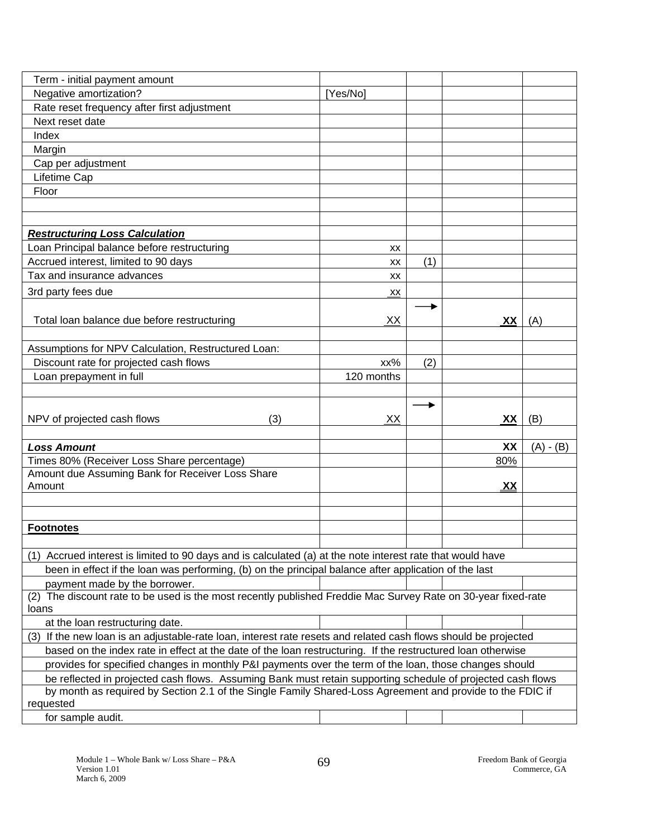| Term - initial payment amount                                                                                          |            |     |     |             |  |
|------------------------------------------------------------------------------------------------------------------------|------------|-----|-----|-------------|--|
| Negative amortization?                                                                                                 | [Yes/No]   |     |     |             |  |
| Rate reset frequency after first adjustment                                                                            |            |     |     |             |  |
| Next reset date                                                                                                        |            |     |     |             |  |
| Index                                                                                                                  |            |     |     |             |  |
| Margin                                                                                                                 |            |     |     |             |  |
| Cap per adjustment                                                                                                     |            |     |     |             |  |
| Lifetime Cap                                                                                                           |            |     |     |             |  |
| Floor                                                                                                                  |            |     |     |             |  |
|                                                                                                                        |            |     |     |             |  |
|                                                                                                                        |            |     |     |             |  |
| <b>Restructuring Loss Calculation</b>                                                                                  |            |     |     |             |  |
| Loan Principal balance before restructuring                                                                            | XX         |     |     |             |  |
| Accrued interest, limited to 90 days                                                                                   | XX         | (1) |     |             |  |
| Tax and insurance advances                                                                                             | XX         |     |     |             |  |
|                                                                                                                        |            |     |     |             |  |
| 3rd party fees due                                                                                                     | XX         |     |     |             |  |
|                                                                                                                        |            |     |     |             |  |
| Total loan balance due before restructuring                                                                            | XX         |     | XX  | (A)         |  |
|                                                                                                                        |            |     |     |             |  |
| Assumptions for NPV Calculation, Restructured Loan:                                                                    |            |     |     |             |  |
| Discount rate for projected cash flows                                                                                 | xx%        | (2) |     |             |  |
| Loan prepayment in full                                                                                                | 120 months |     |     |             |  |
|                                                                                                                        |            |     |     |             |  |
|                                                                                                                        |            |     |     |             |  |
| NPV of projected cash flows<br>(3)                                                                                     | XX         |     | XX  | (B)         |  |
|                                                                                                                        |            |     |     |             |  |
| <b>Loss Amount</b>                                                                                                     |            |     | XX  | $(A) - (B)$ |  |
| Times 80% (Receiver Loss Share percentage)                                                                             |            |     | 80% |             |  |
| Amount due Assuming Bank for Receiver Loss Share                                                                       |            |     |     |             |  |
| Amount                                                                                                                 |            |     | XX  |             |  |
|                                                                                                                        |            |     |     |             |  |
|                                                                                                                        |            |     |     |             |  |
| <b>Footnotes</b>                                                                                                       |            |     |     |             |  |
|                                                                                                                        |            |     |     |             |  |
| (1) Accrued interest is limited to 90 days and is calculated (a) at the note interest rate that would have             |            |     |     |             |  |
| been in effect if the loan was performing, (b) on the principal balance after application of the last                  |            |     |     |             |  |
| payment made by the borrower.                                                                                          |            |     |     |             |  |
| (2) The discount rate to be used is the most recently published Freddie Mac Survey Rate on 30-year fixed-rate<br>loans |            |     |     |             |  |
| at the loan restructuring date.                                                                                        |            |     |     |             |  |
| (3) If the new loan is an adjustable-rate loan, interest rate resets and related cash flows should be projected        |            |     |     |             |  |
| based on the index rate in effect at the date of the loan restructuring. If the restructured loan otherwise            |            |     |     |             |  |
| provides for specified changes in monthly P&I payments over the term of the loan, those changes should                 |            |     |     |             |  |
| be reflected in projected cash flows. Assuming Bank must retain supporting schedule of projected cash flows            |            |     |     |             |  |
| by month as required by Section 2.1 of the Single Family Shared-Loss Agreement and provide to the FDIC if              |            |     |     |             |  |
| requested                                                                                                              |            |     |     |             |  |
| for sample audit.                                                                                                      |            |     |     |             |  |
|                                                                                                                        |            |     |     |             |  |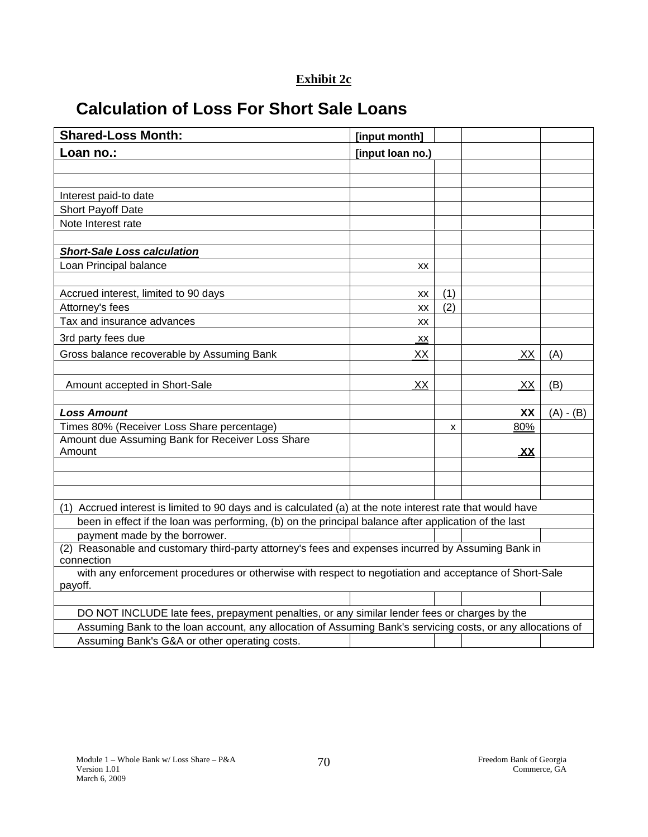| <b>Shared-Loss Month:</b>                                                                                        | [input month]    |     |     |             |  |  |
|------------------------------------------------------------------------------------------------------------------|------------------|-----|-----|-------------|--|--|
| Loan no.:                                                                                                        | [input loan no.) |     |     |             |  |  |
|                                                                                                                  |                  |     |     |             |  |  |
|                                                                                                                  |                  |     |     |             |  |  |
| Interest paid-to date                                                                                            |                  |     |     |             |  |  |
| Short Payoff Date                                                                                                |                  |     |     |             |  |  |
| Note Interest rate                                                                                               |                  |     |     |             |  |  |
| <b>Short-Sale Loss calculation</b>                                                                               |                  |     |     |             |  |  |
| Loan Principal balance                                                                                           | XX               |     |     |             |  |  |
| Accrued interest, limited to 90 days                                                                             | XX               | (1) |     |             |  |  |
| Attorney's fees                                                                                                  | <b>XX</b>        | (2) |     |             |  |  |
| Tax and insurance advances                                                                                       | XX               |     |     |             |  |  |
| 3rd party fees due                                                                                               | XX               |     |     |             |  |  |
| Gross balance recoverable by Assuming Bank                                                                       | XX               |     | XX  | (A)         |  |  |
| Amount accepted in Short-Sale                                                                                    | XX               |     | XX  | (B)         |  |  |
| <b>Loss Amount</b>                                                                                               |                  |     | XX  | $(A) - (B)$ |  |  |
| Times 80% (Receiver Loss Share percentage)                                                                       |                  | X   | 80% |             |  |  |
| Amount due Assuming Bank for Receiver Loss Share<br>Amount                                                       |                  |     | XХ  |             |  |  |
|                                                                                                                  |                  |     |     |             |  |  |
|                                                                                                                  |                  |     |     |             |  |  |
| (1) Accrued interest is limited to 90 days and is calculated (a) at the note interest rate that would have       |                  |     |     |             |  |  |
| been in effect if the loan was performing, (b) on the principal balance after application of the last            |                  |     |     |             |  |  |
| payment made by the borrower.                                                                                    |                  |     |     |             |  |  |
| (2) Reasonable and customary third-party attorney's fees and expenses incurred by Assuming Bank in<br>connection |                  |     |     |             |  |  |
| with any enforcement procedures or otherwise with respect to negotiation and acceptance of Short-Sale<br>payoff. |                  |     |     |             |  |  |
|                                                                                                                  |                  |     |     |             |  |  |
| DO NOT INCLUDE late fees, prepayment penalties, or any similar lender fees or charges by the                     |                  |     |     |             |  |  |
| Assuming Bank to the loan account, any allocation of Assuming Bank's servicing costs, or any allocations of      |                  |     |     |             |  |  |
| Assuming Bank's G&A or other operating costs.                                                                    |                  |     |     |             |  |  |

**Exhibit 2c** 

# **Calculation of Loss For Short Sale Loans**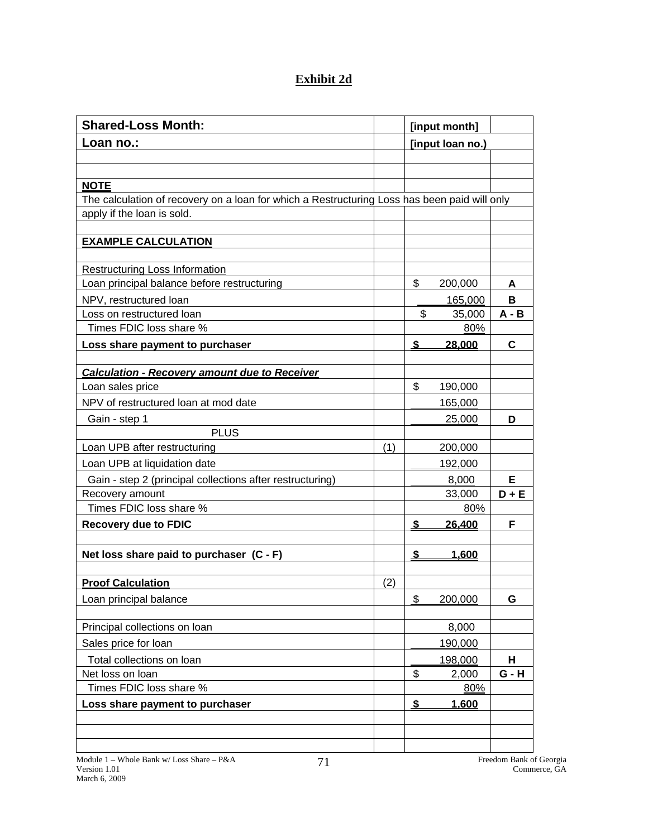# **Exhibit 2d**

| <b>Shared-Loss Month:</b>                                                                    | [input month]    |                           |         |         |
|----------------------------------------------------------------------------------------------|------------------|---------------------------|---------|---------|
| Loan no.:                                                                                    | [input loan no.) |                           |         |         |
|                                                                                              |                  |                           |         |         |
|                                                                                              |                  |                           |         |         |
| <b>NOTE</b>                                                                                  |                  |                           |         |         |
| The calculation of recovery on a loan for which a Restructuring Loss has been paid will only |                  |                           |         |         |
| apply if the loan is sold.                                                                   |                  |                           |         |         |
|                                                                                              |                  |                           |         |         |
| <b>EXAMPLE CALCULATION</b>                                                                   |                  |                           |         |         |
| Restructuring Loss Information                                                               |                  |                           |         |         |
| Loan principal balance before restructuring                                                  |                  | \$                        | 200,000 | A       |
| NPV, restructured loan                                                                       |                  |                           | 165,000 | В       |
| Loss on restructured loan                                                                    |                  | \$                        | 35,000  | $A - B$ |
| Times FDIC loss share %                                                                      |                  |                           | 80%     |         |
| Loss share payment to purchaser                                                              |                  | \$                        | 28.000  | C       |
|                                                                                              |                  |                           |         |         |
| <b>Calculation - Recovery amount due to Receiver</b>                                         |                  |                           |         |         |
| Loan sales price                                                                             |                  | \$                        | 190,000 |         |
| NPV of restructured loan at mod date                                                         |                  |                           | 165,000 |         |
| Gain - step 1                                                                                |                  |                           | 25,000  | D       |
| <b>PLUS</b>                                                                                  |                  |                           |         |         |
| Loan UPB after restructuring                                                                 | (1)              |                           | 200,000 |         |
| Loan UPB at liquidation date                                                                 |                  |                           | 192,000 |         |
| Gain - step 2 (principal collections after restructuring)                                    |                  |                           | 8,000   | Е       |
| Recovery amount                                                                              |                  |                           | 33,000  | $D + E$ |
| Times FDIC loss share %                                                                      |                  |                           | 80%     |         |
| <b>Recovery due to FDIC</b>                                                                  |                  | \$                        | 26,400  | F       |
|                                                                                              |                  |                           |         |         |
| Net loss share paid to purchaser (C - F)                                                     |                  | <u>\$</u>                 | 1,600   |         |
| <b>Proof Calculation</b>                                                                     | (2)              |                           |         |         |
| Loan principal balance                                                                       |                  | \$                        | 200,000 | G       |
|                                                                                              |                  |                           |         |         |
| Principal collections on loan                                                                |                  |                           | 8,000   |         |
| Sales price for loan                                                                         |                  |                           | 190,000 |         |
| Total collections on loan                                                                    |                  |                           | 198,000 | н       |
| Net loss on loan                                                                             |                  | \$                        | 2,000   | $G - H$ |
| Times FDIC loss share %                                                                      |                  |                           | 80%     |         |
| Loss share payment to purchaser                                                              |                  | $\boldsymbol{\mathsf{s}}$ | 1,600   |         |
|                                                                                              |                  |                           |         |         |
|                                                                                              |                  |                           |         |         |
|                                                                                              |                  |                           |         |         |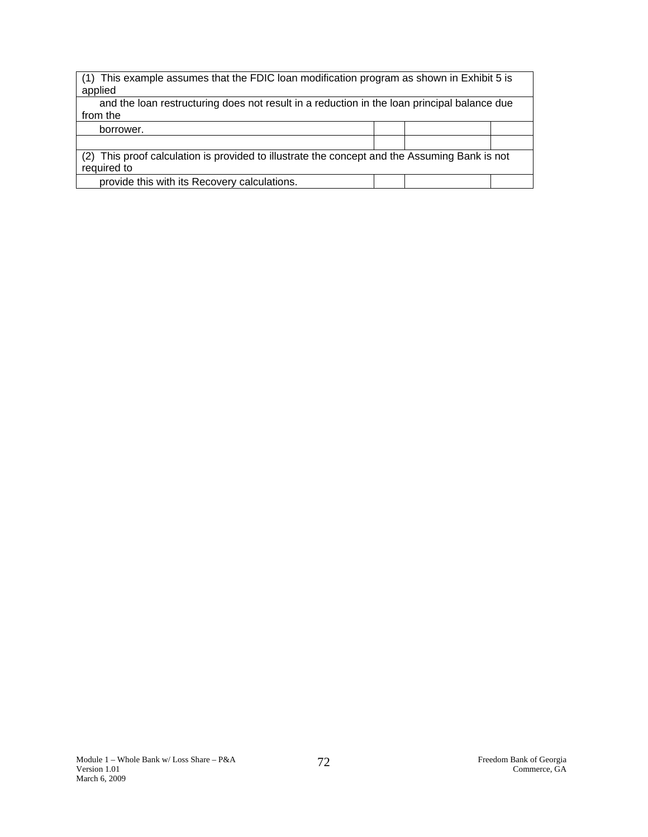| (1) This example assumes that the FDIC loan modification program as shown in Exhibit 5 is     |  |  |  |  |
|-----------------------------------------------------------------------------------------------|--|--|--|--|
| applied                                                                                       |  |  |  |  |
| and the loan restructuring does not result in a reduction in the loan principal balance due   |  |  |  |  |
| from the                                                                                      |  |  |  |  |
| borrower.                                                                                     |  |  |  |  |
|                                                                                               |  |  |  |  |
| (2) This proof calculation is provided to illustrate the concept and the Assuming Bank is not |  |  |  |  |
| required to                                                                                   |  |  |  |  |
| provide this with its Recovery calculations.                                                  |  |  |  |  |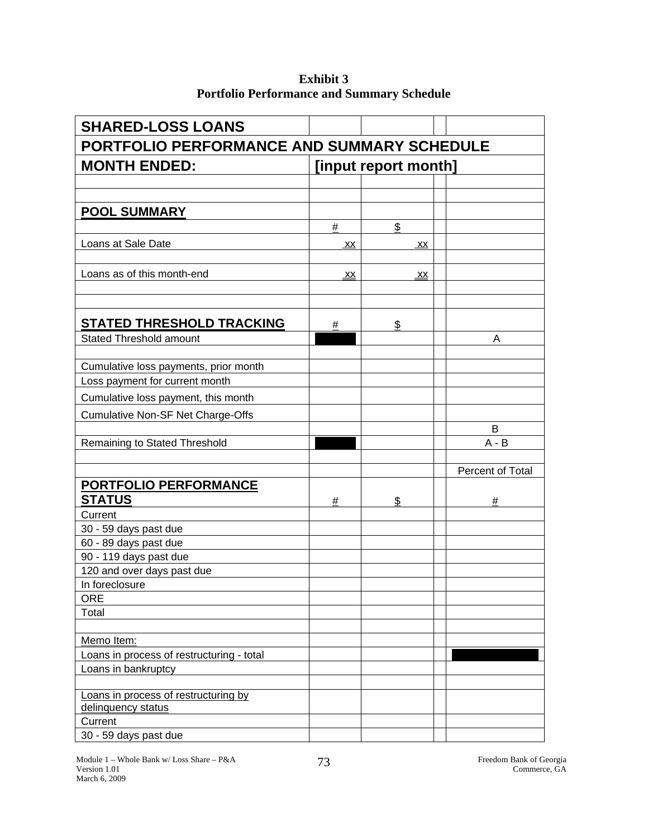| <b>Exhibit 3</b>                                  |
|---------------------------------------------------|
| <b>Portfolio Performance and Summary Schedule</b> |

| <b>SHARED-LOSS LOANS</b>                    |           |               |                  |  |  |
|---------------------------------------------|-----------|---------------|------------------|--|--|
| PORTFOLIO PERFORMANCE AND SUMMARY SCHEDULE  |           |               |                  |  |  |
| <b>MONTH ENDED:</b><br>[input report month] |           |               |                  |  |  |
|                                             |           |               |                  |  |  |
|                                             |           |               |                  |  |  |
| <b>POOL SUMMARY</b>                         |           |               |                  |  |  |
|                                             | #         | $\frac{1}{2}$ |                  |  |  |
|                                             |           |               |                  |  |  |
| Loans at Sale Date                          | <u>XX</u> | XX            |                  |  |  |
|                                             |           |               |                  |  |  |
| Loans as of this month-end                  | XX        | xх            |                  |  |  |
|                                             |           |               |                  |  |  |
|                                             |           |               |                  |  |  |
| STATED THRESHOLD TRACKING                   | #         | \$            |                  |  |  |
| <b>Stated Threshold amount</b>              |           |               | A                |  |  |
|                                             |           |               |                  |  |  |
| Cumulative loss payments, prior month       |           |               |                  |  |  |
| Loss payment for current month              |           |               |                  |  |  |
| Cumulative loss payment, this month         |           |               |                  |  |  |
| <b>Cumulative Non-SF Net Charge-Offs</b>    |           |               |                  |  |  |
|                                             |           |               | B                |  |  |
| Remaining to Stated Threshold               |           |               | $A - B$          |  |  |
|                                             |           |               |                  |  |  |
|                                             |           |               | Percent of Total |  |  |
| PORTFOLIO PERFORMANCE                       |           |               |                  |  |  |
| <b>STATUS</b>                               | #         | \$            | #                |  |  |
| Current                                     |           |               |                  |  |  |
| 30 - 59 days past due                       |           |               |                  |  |  |
| 60 - 89 days past due                       |           |               |                  |  |  |
| 90 - 119 days past due                      |           |               |                  |  |  |
| 120 and over days past due                  |           |               |                  |  |  |
| In foreclosure                              |           |               |                  |  |  |
| <b>ORE</b>                                  |           |               |                  |  |  |
| Total                                       |           |               |                  |  |  |
| Memo Item:                                  |           |               |                  |  |  |
| Loans in process of restructuring - total   |           |               |                  |  |  |
| Loans in bankruptcy                         |           |               |                  |  |  |
|                                             |           |               |                  |  |  |
| Loans in process of restructuring by        |           |               |                  |  |  |
| delinquency status                          |           |               |                  |  |  |
| Current                                     |           |               |                  |  |  |
| 30 - 59 days past due                       |           |               |                  |  |  |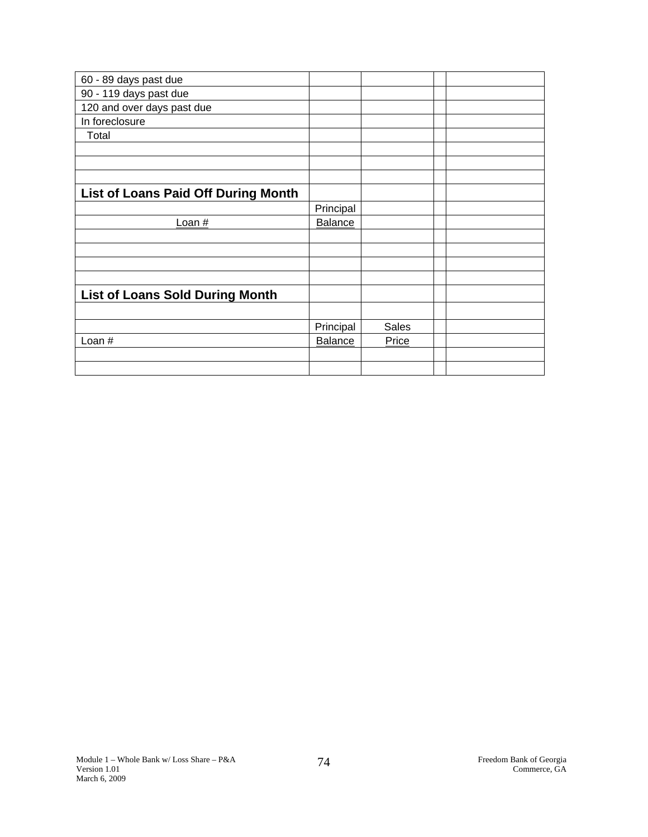| 60 - 89 days past due                      |           |              |  |
|--------------------------------------------|-----------|--------------|--|
| 90 - 119 days past due                     |           |              |  |
| 120 and over days past due                 |           |              |  |
| In foreclosure                             |           |              |  |
| Total                                      |           |              |  |
|                                            |           |              |  |
|                                            |           |              |  |
|                                            |           |              |  |
| <b>List of Loans Paid Off During Month</b> |           |              |  |
|                                            | Principal |              |  |
| Loan #                                     | Balance   |              |  |
|                                            |           |              |  |
|                                            |           |              |  |
|                                            |           |              |  |
|                                            |           |              |  |
| <b>List of Loans Sold During Month</b>     |           |              |  |
|                                            |           |              |  |
|                                            | Principal | <b>Sales</b> |  |
| Loan $#$                                   | Balance   | Price        |  |
|                                            |           |              |  |
|                                            |           |              |  |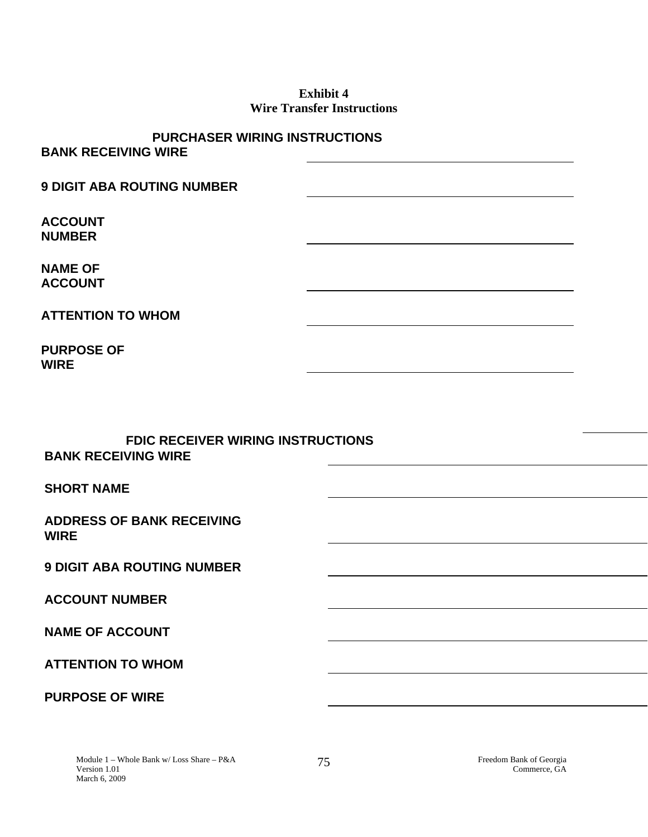#### **Exhibit 4 Wire Transfer Instructions**

#### **PURCHASER WIRING INSTRUCTIONS BANK RECEIVING WIRE**

**9 DIGIT ABA ROUTING NUMBER ACCOUNT NUMBER NAME OF ACCOUNT ATTENTION TO WHOM** 

**PURPOSE OF WIRE** 

#### **FDIC RECEIVER WIRING INSTRUCTIONS BANK RECEIVING WIRE**

**SHORT NAME** 

**ADDRESS OF BANK RECEIVING WIRE** 

**9 DIGIT ABA ROUTING NUMBER** 

**ACCOUNT NUMBER** 

**NAME OF ACCOUNT** 

**ATTENTION TO WHOM** 

**PURPOSE OF WIRE**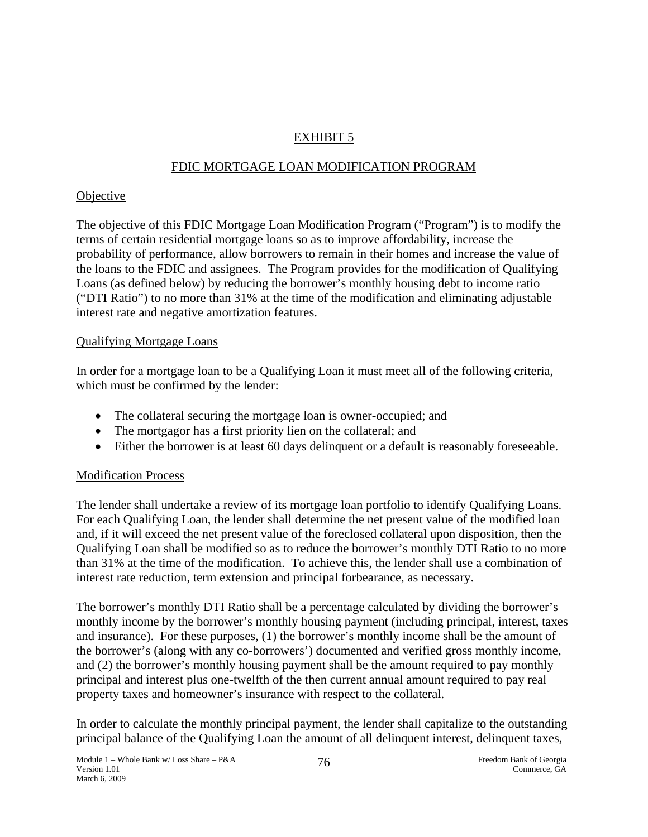# EXHIBIT 5

# FDIC MORTGAGE LOAN MODIFICATION PROGRAM

# **Objective**

The objective of this FDIC Mortgage Loan Modification Program ("Program") is to modify the terms of certain residential mortgage loans so as to improve affordability, increase the probability of performance, allow borrowers to remain in their homes and increase the value of the loans to the FDIC and assignees. The Program provides for the modification of Qualifying Loans (as defined below) by reducing the borrower's monthly housing debt to income ratio ("DTI Ratio") to no more than 31% at the time of the modification and eliminating adjustable interest rate and negative amortization features.

# Qualifying Mortgage Loans

In order for a mortgage loan to be a Qualifying Loan it must meet all of the following criteria, which must be confirmed by the lender:

- The collateral securing the mortgage loan is owner-occupied; and
- The mortgagor has a first priority lien on the collateral; and
- Either the borrower is at least 60 days delinquent or a default is reasonably foreseeable. Modification Process

The lender shall undertake a review of its mortgage loan portfolio to identify Qualifying Loans. For each Qualifying Loan, the lender shall determine the net present value of the modified loan and, if it will exceed the net present value of the foreclosed collateral upon disposition, then the Qualifying Loan shall be modified so as to reduce the borrower's monthly DTI Ratio to no more than 31% at the time of the modification. To achieve this, the lender shall use a combination of interest rate reduction, term extension and principal forbearance, as necessary.

The borrower's monthly DTI Ratio shall be a percentage calculated by dividing the borrower's monthly income by the borrower's monthly housing payment (including principal, interest, taxes and insurance). For these purposes, (1) the borrower's monthly income shall be the amount of the borrower's (along with any co-borrowers') documented and verified gross monthly income, and (2) the borrower's monthly housing payment shall be the amount required to pay monthly principal and interest plus one-twelfth of the then current annual amount required to pay real property taxes and homeowner's insurance with respect to the collateral.

In order to calculate the monthly principal payment, the lender shall capitalize to the outstanding principal balance of the Qualifying Loan the amount of all delinquent interest, delinquent taxes,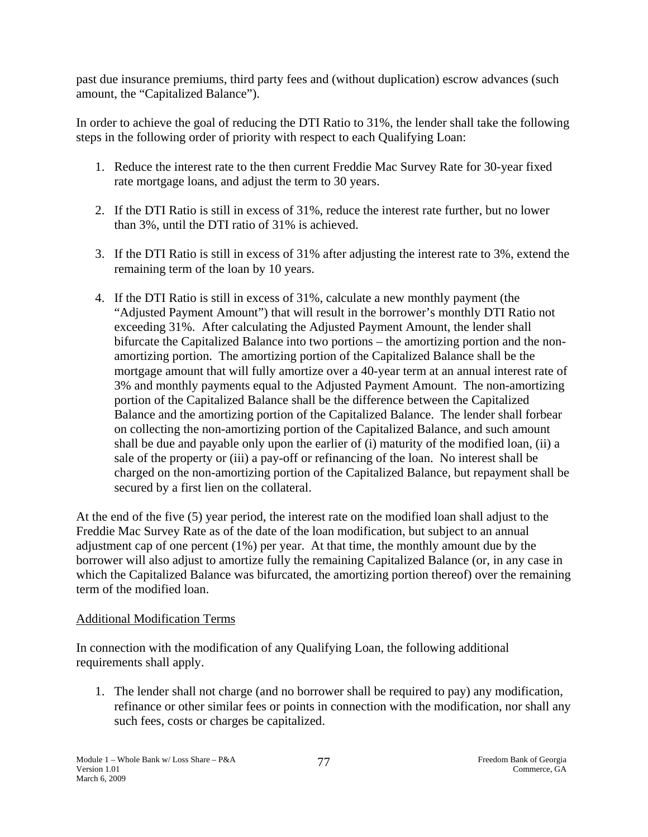past due insurance premiums, third party fees and (without duplication) escrow advances (such amount, the "Capitalized Balance").

In order to achieve the goal of reducing the DTI Ratio to 31%, the lender shall take the following steps in the following order of priority with respect to each Qualifying Loan:

- 1. Reduce the interest rate to the then current Freddie Mac Survey Rate for 30-year fixed rate mortgage loans, and adjust the term to 30 years.
- 2. If the DTI Ratio is still in excess of 31%, reduce the interest rate further, but no lower than 3%, until the DTI ratio of 31% is achieved.
- 3. If the DTI Ratio is still in excess of 31% after adjusting the interest rate to 3%, extend the remaining term of the loan by 10 years.
- 4. If the DTI Ratio is still in excess of 31%, calculate a new monthly payment (the "Adjusted Payment Amount") that will result in the borrower's monthly DTI Ratio not exceeding 31%. After calculating the Adjusted Payment Amount, the lender shall bifurcate the Capitalized Balance into two portions – the amortizing portion and the nonamortizing portion. The amortizing portion of the Capitalized Balance shall be the mortgage amount that will fully amortize over a 40-year term at an annual interest rate of 3% and monthly payments equal to the Adjusted Payment Amount. The non-amortizing portion of the Capitalized Balance shall be the difference between the Capitalized Balance and the amortizing portion of the Capitalized Balance. The lender shall forbear on collecting the non-amortizing portion of the Capitalized Balance, and such amount shall be due and payable only upon the earlier of (i) maturity of the modified loan, (ii) a sale of the property or (iii) a pay-off or refinancing of the loan. No interest shall be charged on the non-amortizing portion of the Capitalized Balance, but repayment shall be secured by a first lien on the collateral.

At the end of the five (5) year period, the interest rate on the modified loan shall adjust to the Freddie Mac Survey Rate as of the date of the loan modification, but subject to an annual adjustment cap of one percent (1%) per year. At that time, the monthly amount due by the borrower will also adjust to amortize fully the remaining Capitalized Balance (or, in any case in which the Capitalized Balance was bifurcated, the amortizing portion thereof) over the remaining term of the modified loan.

#### Additional Modification Terms

In connection with the modification of any Qualifying Loan, the following additional requirements shall apply.

1. The lender shall not charge (and no borrower shall be required to pay) any modification, refinance or other similar fees or points in connection with the modification, nor shall any such fees, costs or charges be capitalized.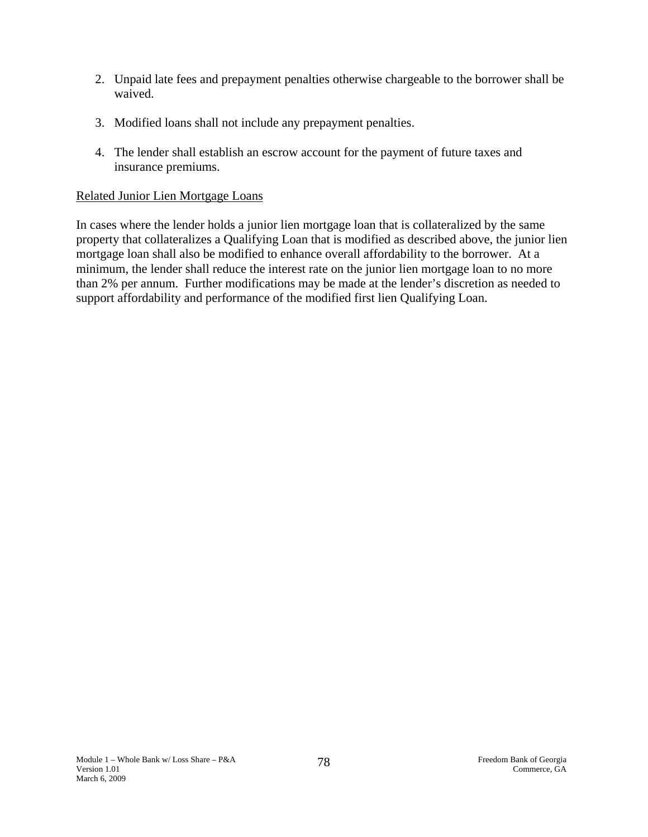- 2. Unpaid late fees and prepayment penalties otherwise chargeable to the borrower shall be waived.
- 3. Modified loans shall not include any prepayment penalties.
- 4. The lender shall establish an escrow account for the payment of future taxes and insurance premiums.

#### Related Junior Lien Mortgage Loans

In cases where the lender holds a junior lien mortgage loan that is collateralized by the same property that collateralizes a Qualifying Loan that is modified as described above, the junior lien mortgage loan shall also be modified to enhance overall affordability to the borrower. At a minimum, the lender shall reduce the interest rate on the junior lien mortgage loan to no more than 2% per annum. Further modifications may be made at the lender's discretion as needed to support affordability and performance of the modified first lien Qualifying Loan.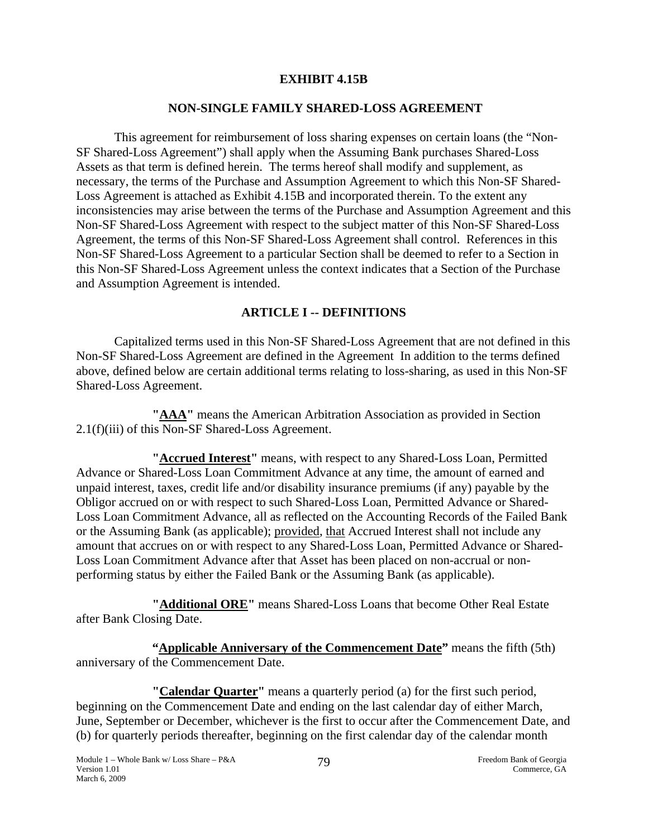#### **EXHIBIT 4.15B**

#### **NON-SINGLE FAMILY SHARED-LOSS AGREEMENT**

This agreement for reimbursement of loss sharing expenses on certain loans (the "Non-SF Shared-Loss Agreement") shall apply when the Assuming Bank purchases Shared-Loss Assets as that term is defined herein. The terms hereof shall modify and supplement, as necessary, the terms of the Purchase and Assumption Agreement to which this Non-SF Shared-Loss Agreement is attached as Exhibit 4.15B and incorporated therein. To the extent any inconsistencies may arise between the terms of the Purchase and Assumption Agreement and this Non-SF Shared-Loss Agreement with respect to the subject matter of this Non-SF Shared-Loss Agreement, the terms of this Non-SF Shared-Loss Agreement shall control. References in this Non-SF Shared-Loss Agreement to a particular Section shall be deemed to refer to a Section in this Non-SF Shared-Loss Agreement unless the context indicates that a Section of the Purchase and Assumption Agreement is intended.

#### **ARTICLE I -- DEFINITIONS**

Capitalized terms used in this Non-SF Shared-Loss Agreement that are not defined in this Non-SF Shared-Loss Agreement are defined in the Agreement In addition to the terms defined above, defined below are certain additional terms relating to loss-sharing, as used in this Non-SF Shared-Loss Agreement.

**"AAA"** means the American Arbitration Association as provided in Section 2.1(f)(iii) of this Non-SF Shared-Loss Agreement.

**"Accrued Interest"** means, with respect to any Shared-Loss Loan, Permitted Advance or Shared-Loss Loan Commitment Advance at any time, the amount of earned and unpaid interest, taxes, credit life and/or disability insurance premiums (if any) payable by the Obligor accrued on or with respect to such Shared-Loss Loan, Permitted Advance or Shared-Loss Loan Commitment Advance, all as reflected on the Accounting Records of the Failed Bank or the Assuming Bank (as applicable); provided, that Accrued Interest shall not include any amount that accrues on or with respect to any Shared-Loss Loan, Permitted Advance or Shared-Loss Loan Commitment Advance after that Asset has been placed on non-accrual or nonperforming status by either the Failed Bank or the Assuming Bank (as applicable).

**"Additional ORE"** means Shared-Loss Loans that become Other Real Estate after Bank Closing Date.

**Examplicable Anniversary of the Commencement Date**" means the fifth (5th) anniversary of the Commencement Date.

**"Calendar Quarter"** means a quarterly period (a) for the first such period, beginning on the Commencement Date and ending on the last calendar day of either March, June, September or December, whichever is the first to occur after the Commencement Date, and (b) for quarterly periods thereafter, beginning on the first calendar day of the calendar month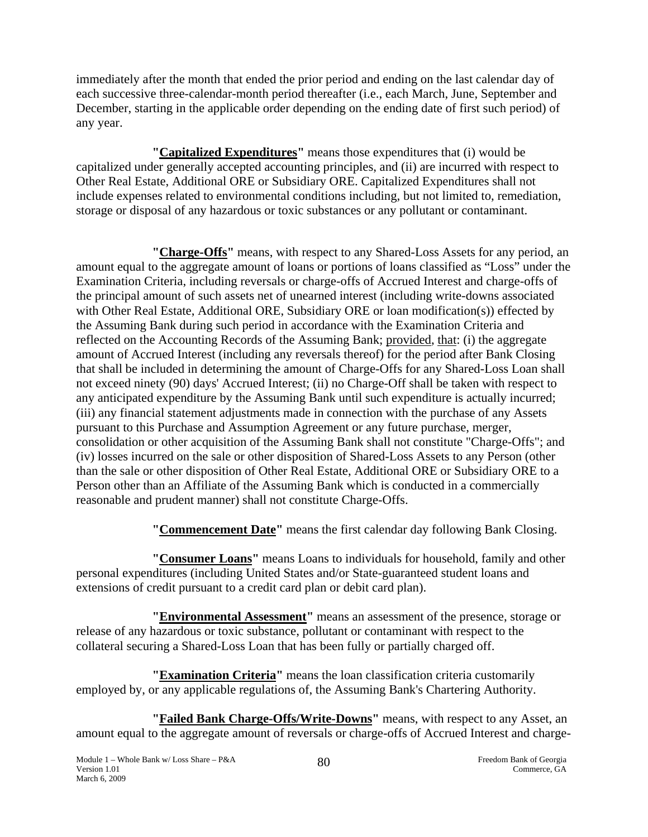immediately after the month that ended the prior period and ending on the last calendar day of each successive three-calendar-month period thereafter (i.e., each March, June, September and December, starting in the applicable order depending on the ending date of first such period) of any year.

**"Capitalized Expenditures"** means those expenditures that (i) would be capitalized under generally accepted accounting principles, and (ii) are incurred with respect to Other Real Estate, Additional ORE or Subsidiary ORE. Capitalized Expenditures shall not include expenses related to environmental conditions including, but not limited to, remediation, storage or disposal of any hazardous or toxic substances or any pollutant or contaminant.

**"Charge-Offs"** means, with respect to any Shared-Loss Assets for any period, an amount equal to the aggregate amount of loans or portions of loans classified as "Loss" under the Examination Criteria, including reversals or charge-offs of Accrued Interest and charge-offs of the principal amount of such assets net of unearned interest (including write-downs associated with Other Real Estate, Additional ORE, Subsidiary ORE or loan modification(s)) effected by the Assuming Bank during such period in accordance with the Examination Criteria and reflected on the Accounting Records of the Assuming Bank; provided, that: (i) the aggregate amount of Accrued Interest (including any reversals thereof) for the period after Bank Closing that shall be included in determining the amount of Charge-Offs for any Shared-Loss Loan shall not exceed ninety (90) days' Accrued Interest; (ii) no Charge-Off shall be taken with respect to any anticipated expenditure by the Assuming Bank until such expenditure is actually incurred; (iii) any financial statement adjustments made in connection with the purchase of any Assets pursuant to this Purchase and Assumption Agreement or any future purchase, merger, consolidation or other acquisition of the Assuming Bank shall not constitute "Charge-Offs"; and (iv) losses incurred on the sale or other disposition of Shared-Loss Assets to any Person (other than the sale or other disposition of Other Real Estate, Additional ORE or Subsidiary ORE to a Person other than an Affiliate of the Assuming Bank which is conducted in a commercially reasonable and prudent manner) shall not constitute Charge-Offs.

**"Commencement Date"** means the first calendar day following Bank Closing.

**"Consumer Loans"** means Loans to individuals for household, family and other personal expenditures (including United States and/or State-guaranteed student loans and extensions of credit pursuant to a credit card plan or debit card plan).

**"Environmental Assessment"** means an assessment of the presence, storage or release of any hazardous or toxic substance, pollutant or contaminant with respect to the collateral securing a Shared-Loss Loan that has been fully or partially charged off.

**"Examination Criteria"** means the loan classification criteria customarily employed by, or any applicable regulations of, the Assuming Bank's Chartering Authority.

**"Failed Bank Charge-Offs/Write-Downs"** means, with respect to any Asset, an amount equal to the aggregate amount of reversals or charge-offs of Accrued Interest and charge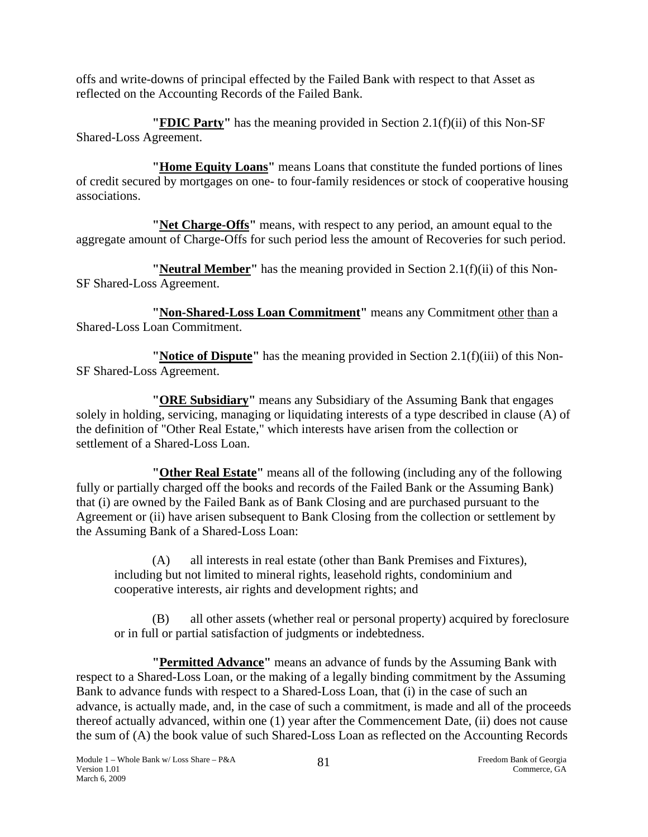offs and write-downs of principal effected by the Failed Bank with respect to that Asset as reflected on the Accounting Records of the Failed Bank.

**"FDIC Party"** has the meaning provided in Section 2.1(f)(ii) of this Non-SF Shared-Loss Agreement.

**"Home Equity Loans"** means Loans that constitute the funded portions of lines of credit secured by mortgages on one- to four-family residences or stock of cooperative housing associations.

**"Net Charge-Offs"** means, with respect to any period, an amount equal to the aggregate amount of Charge-Offs for such period less the amount of Recoveries for such period.

 SF Shared-Loss Agreement. **"Neutral Member"** has the meaning provided in Section 2.1(f)(ii) of this Non-

**"Non-Shared-Loss Loan Commitment"** means any Commitment other than a Shared-Loss Loan Commitment.

**"Notice of Dispute"** has the meaning provided in Section 2.1(f)(iii) of this Non-SF Shared-Loss Agreement.

**"ORE Subsidiary"** means any Subsidiary of the Assuming Bank that engages solely in holding, servicing, managing or liquidating interests of a type described in clause (A) of the definition of "Other Real Estate," which interests have arisen from the collection or settlement of a Shared-Loss Loan.

**"Other Real Estate"** means all of the following (including any of the following fully or partially charged off the books and records of the Failed Bank or the Assuming Bank) that (i) are owned by the Failed Bank as of Bank Closing and are purchased pursuant to the Agreement or (ii) have arisen subsequent to Bank Closing from the collection or settlement by the Assuming Bank of a Shared-Loss Loan:

(A) all interests in real estate (other than Bank Premises and Fixtures), including but not limited to mineral rights, leasehold rights, condominium and cooperative interests, air rights and development rights; and

(B) all other assets (whether real or personal property) acquired by foreclosure or in full or partial satisfaction of judgments or indebtedness.

**"Permitted Advance"** means an advance of funds by the Assuming Bank with respect to a Shared-Loss Loan, or the making of a legally binding commitment by the Assuming Bank to advance funds with respect to a Shared-Loss Loan, that (i) in the case of such an advance, is actually made, and, in the case of such a commitment, is made and all of the proceeds thereof actually advanced, within one (1) year after the Commencement Date, (ii) does not cause the sum of (A) the book value of such Shared-Loss Loan as reflected on the Accounting Records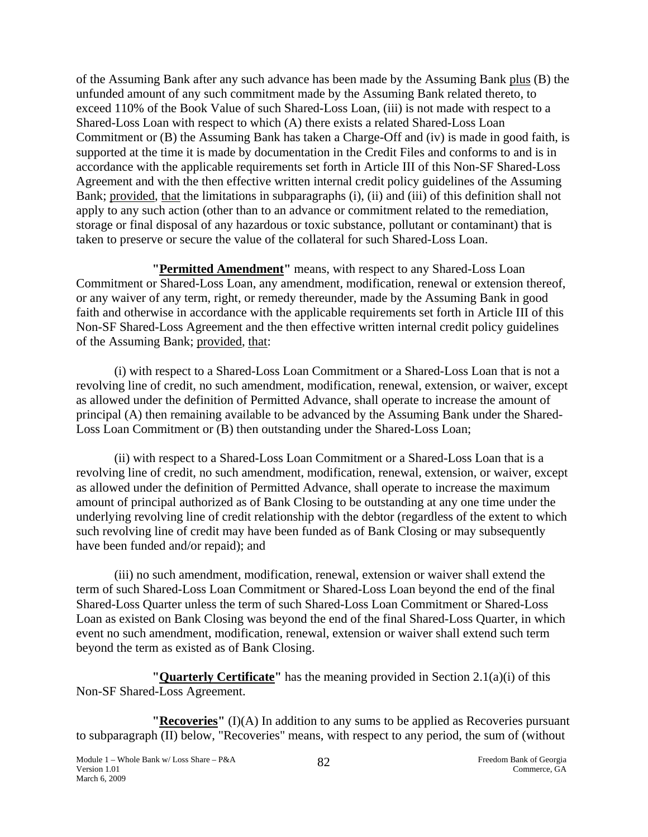of the Assuming Bank after any such advance has been made by the Assuming Bank plus (B) the unfunded amount of any such commitment made by the Assuming Bank related thereto, to exceed 110% of the Book Value of such Shared-Loss Loan, (iii) is not made with respect to a Shared-Loss Loan with respect to which (A) there exists a related Shared-Loss Loan Commitment or (B) the Assuming Bank has taken a Charge-Off and (iv) is made in good faith, is supported at the time it is made by documentation in the Credit Files and conforms to and is in accordance with the applicable requirements set forth in Article III of this Non-SF Shared-Loss Agreement and with the then effective written internal credit policy guidelines of the Assuming Bank; provided, that the limitations in subparagraphs (i), (ii) and (iii) of this definition shall not apply to any such action (other than to an advance or commitment related to the remediation, storage or final disposal of any hazardous or toxic substance, pollutant or contaminant) that is taken to preserve or secure the value of the collateral for such Shared-Loss Loan.

**"Permitted Amendment"** means, with respect to any Shared-Loss Loan Commitment or Shared-Loss Loan, any amendment, modification, renewal or extension thereof, or any waiver of any term, right, or remedy thereunder, made by the Assuming Bank in good faith and otherwise in accordance with the applicable requirements set forth in Article III of this Non-SF Shared-Loss Agreement and the then effective written internal credit policy guidelines of the Assuming Bank; provided, that:

(i) with respect to a Shared-Loss Loan Commitment or a Shared-Loss Loan that is not a revolving line of credit, no such amendment, modification, renewal, extension, or waiver, except as allowed under the definition of Permitted Advance, shall operate to increase the amount of principal (A) then remaining available to be advanced by the Assuming Bank under the Shared-Loss Loan Commitment or (B) then outstanding under the Shared-Loss Loan;

(ii) with respect to a Shared-Loss Loan Commitment or a Shared-Loss Loan that is a revolving line of credit, no such amendment, modification, renewal, extension, or waiver, except as allowed under the definition of Permitted Advance, shall operate to increase the maximum amount of principal authorized as of Bank Closing to be outstanding at any one time under the underlying revolving line of credit relationship with the debtor (regardless of the extent to which such revolving line of credit may have been funded as of Bank Closing or may subsequently have been funded and/or repaid); and

(iii) no such amendment, modification, renewal, extension or waiver shall extend the term of such Shared-Loss Loan Commitment or Shared-Loss Loan beyond the end of the final Shared-Loss Quarter unless the term of such Shared-Loss Loan Commitment or Shared-Loss Loan as existed on Bank Closing was beyond the end of the final Shared-Loss Quarter, in which event no such amendment, modification, renewal, extension or waiver shall extend such term beyond the term as existed as of Bank Closing.

**"Quarterly Certificate"** has the meaning provided in Section 2.1(a)(i) of this Non-SF Shared-Loss Agreement.

**"Recoveries"** (I)(A) In addition to any sums to be applied as Recoveries pursuant to subparagraph (II) below, "Recoveries" means, with respect to any period, the sum of (without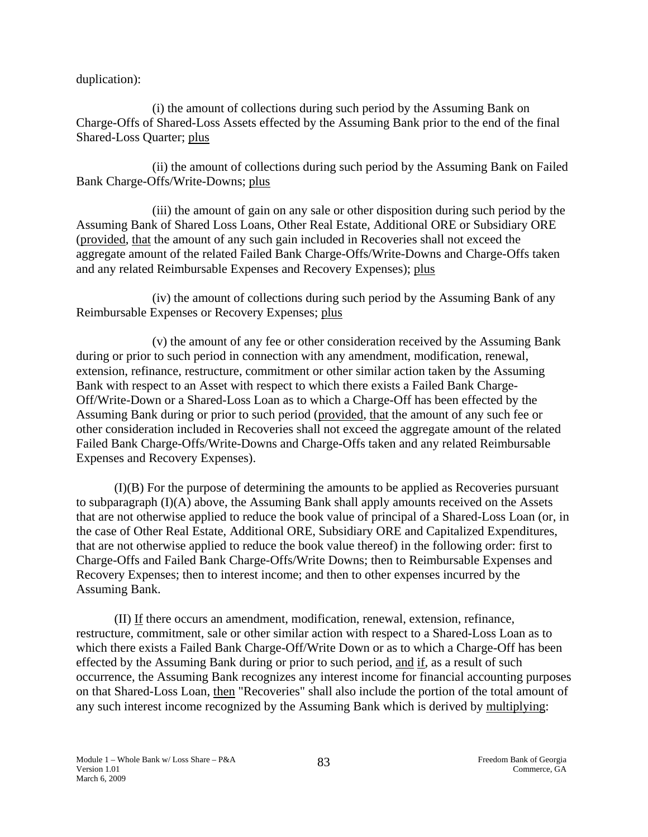duplication):

Shared-Loss Quarter; plus (i) the amount of collections during such period by the Assuming Bank on Charge-Offs of Shared-Loss Assets effected by the Assuming Bank prior to the end of the final

(ii) the amount of collections during such period by the Assuming Bank on Failed Bank Charge-Offs/Write-Downs; plus

(iii) the amount of gain on any sale or other disposition during such period by the Assuming Bank of Shared Loss Loans, Other Real Estate, Additional ORE or Subsidiary ORE (provided, that the amount of any such gain included in Recoveries shall not exceed the aggregate amount of the related Failed Bank Charge-Offs/Write-Downs and Charge-Offs taken and any related Reimbursable Expenses and Recovery Expenses); plus

(iv) the amount of collections during such period by the Assuming Bank of any Reimbursable Expenses or Recovery Expenses; plus

(v) the amount of any fee or other consideration received by the Assuming Bank during or prior to such period in connection with any amendment, modification, renewal, extension, refinance, restructure, commitment or other similar action taken by the Assuming Bank with respect to an Asset with respect to which there exists a Failed Bank Charge-Off/Write-Down or a Shared-Loss Loan as to which a Charge-Off has been effected by the Assuming Bank during or prior to such period (provided, that the amount of any such fee or other consideration included in Recoveries shall not exceed the aggregate amount of the related Failed Bank Charge-Offs/Write-Downs and Charge-Offs taken and any related Reimbursable Expenses and Recovery Expenses).

(I)(B) For the purpose of determining the amounts to be applied as Recoveries pursuant to subparagraph (I)(A) above, the Assuming Bank shall apply amounts received on the Assets that are not otherwise applied to reduce the book value of principal of a Shared-Loss Loan (or, in the case of Other Real Estate, Additional ORE, Subsidiary ORE and Capitalized Expenditures, that are not otherwise applied to reduce the book value thereof) in the following order: first to Charge-Offs and Failed Bank Charge-Offs/Write Downs; then to Reimbursable Expenses and Recovery Expenses; then to interest income; and then to other expenses incurred by the Assuming Bank.

(II) If there occurs an amendment, modification, renewal, extension, refinance, restructure, commitment, sale or other similar action with respect to a Shared-Loss Loan as to which there exists a Failed Bank Charge-Off/Write Down or as to which a Charge-Off has been effected by the Assuming Bank during or prior to such period, and if, as a result of such occurrence, the Assuming Bank recognizes any interest income for financial accounting purposes on that Shared-Loss Loan, then "Recoveries" shall also include the portion of the total amount of any such interest income recognized by the Assuming Bank which is derived by multiplying: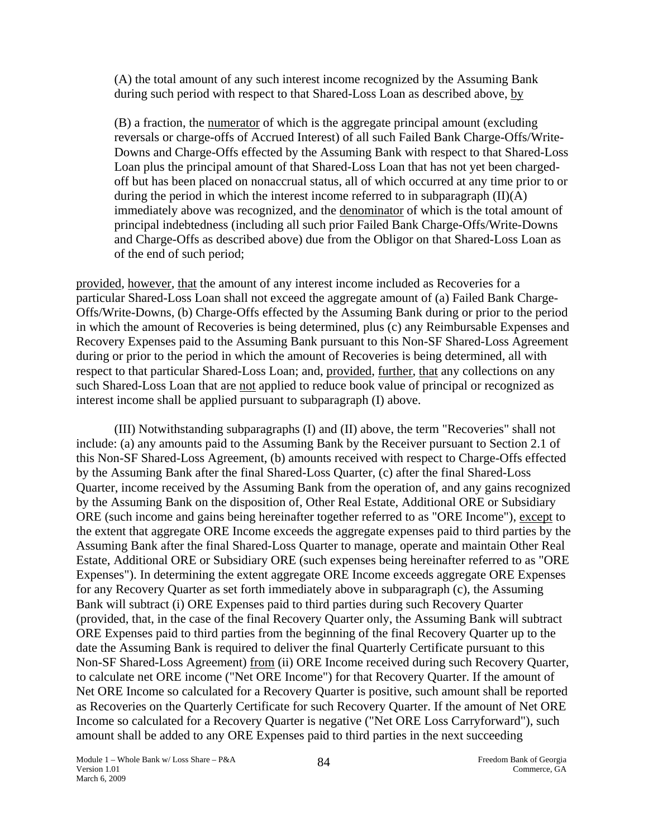(A) the total amount of any such interest income recognized by the Assuming Bank during such period with respect to that Shared-Loss Loan as described above, by

(B) a fraction, the numerator of which is the aggregate principal amount (excluding reversals or charge-offs of Accrued Interest) of all such Failed Bank Charge-Offs/Write-Downs and Charge-Offs effected by the Assuming Bank with respect to that Shared-Loss Loan plus the principal amount of that Shared-Loss Loan that has not yet been chargedoff but has been placed on nonaccrual status, all of which occurred at any time prior to or during the period in which the interest income referred to in subparagraph  $(II)(A)$ immediately above was recognized, and the denominator of which is the total amount of principal indebtedness (including all such prior Failed Bank Charge-Offs/Write-Downs and Charge-Offs as described above) due from the Obligor on that Shared-Loss Loan as of the end of such period;

provided, however, that the amount of any interest income included as Recoveries for a particular Shared-Loss Loan shall not exceed the aggregate amount of (a) Failed Bank Charge-Offs/Write-Downs, (b) Charge-Offs effected by the Assuming Bank during or prior to the period in which the amount of Recoveries is being determined, plus (c) any Reimbursable Expenses and Recovery Expenses paid to the Assuming Bank pursuant to this Non-SF Shared-Loss Agreement during or prior to the period in which the amount of Recoveries is being determined, all with respect to that particular Shared-Loss Loan; and, provided, further, that any collections on any such Shared-Loss Loan that are not applied to reduce book value of principal or recognized as interest income shall be applied pursuant to subparagraph (I) above.

(III) Notwithstanding subparagraphs (I) and (II) above, the term "Recoveries" shall not include: (a) any amounts paid to the Assuming Bank by the Receiver pursuant to Section 2.1 of this Non-SF Shared-Loss Agreement, (b) amounts received with respect to Charge-Offs effected by the Assuming Bank after the final Shared-Loss Quarter, (c) after the final Shared-Loss Quarter, income received by the Assuming Bank from the operation of, and any gains recognized by the Assuming Bank on the disposition of, Other Real Estate, Additional ORE or Subsidiary ORE (such income and gains being hereinafter together referred to as "ORE Income"), except to the extent that aggregate ORE Income exceeds the aggregate expenses paid to third parties by the Assuming Bank after the final Shared-Loss Quarter to manage, operate and maintain Other Real Estate, Additional ORE or Subsidiary ORE (such expenses being hereinafter referred to as "ORE Expenses"). In determining the extent aggregate ORE Income exceeds aggregate ORE Expenses for any Recovery Quarter as set forth immediately above in subparagraph (c), the Assuming Bank will subtract (i) ORE Expenses paid to third parties during such Recovery Quarter (provided, that, in the case of the final Recovery Quarter only, the Assuming Bank will subtract ORE Expenses paid to third parties from the beginning of the final Recovery Quarter up to the date the Assuming Bank is required to deliver the final Quarterly Certificate pursuant to this Non-SF Shared-Loss Agreement) from (ii) ORE Income received during such Recovery Quarter, to calculate net ORE income ("Net ORE Income") for that Recovery Quarter. If the amount of Net ORE Income so calculated for a Recovery Quarter is positive, such amount shall be reported as Recoveries on the Quarterly Certificate for such Recovery Quarter. If the amount of Net ORE Income so calculated for a Recovery Quarter is negative ("Net ORE Loss Carryforward"), such amount shall be added to any ORE Expenses paid to third parties in the next succeeding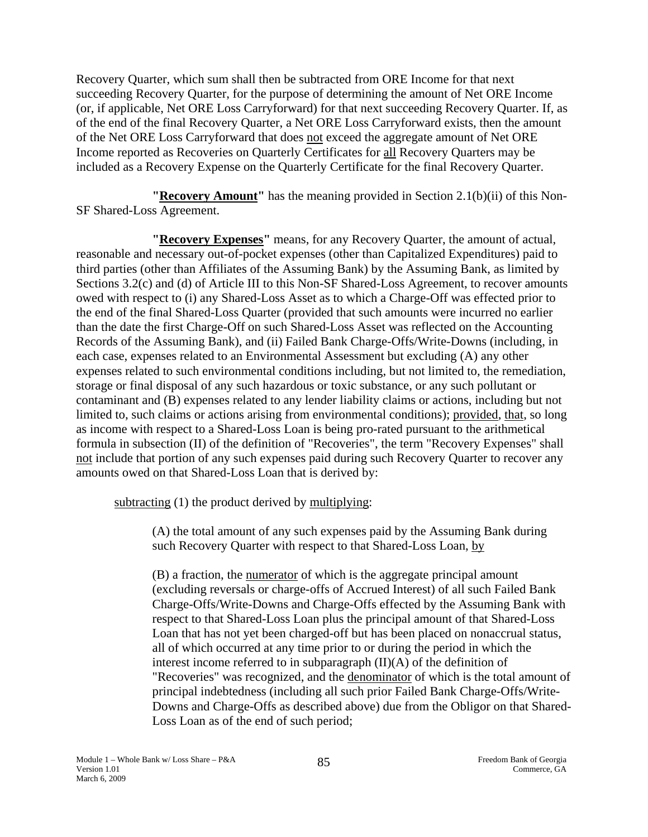Recovery Quarter, which sum shall then be subtracted from ORE Income for that next succeeding Recovery Quarter, for the purpose of determining the amount of Net ORE Income (or, if applicable, Net ORE Loss Carryforward) for that next succeeding Recovery Quarter. If, as of the end of the final Recovery Quarter, a Net ORE Loss Carryforward exists, then the amount of the Net ORE Loss Carryforward that does not exceed the aggregate amount of Net ORE Income reported as Recoveries on Quarterly Certificates for all Recovery Quarters may be included as a Recovery Expense on the Quarterly Certificate for the final Recovery Quarter.

**"Recovery Amount"** has the meaning provided in Section 2.1(b)(ii) of this Non-SF Shared-Loss Agreement.

**"Recovery Expenses"** means, for any Recovery Quarter, the amount of actual, reasonable and necessary out-of-pocket expenses (other than Capitalized Expenditures) paid to third parties (other than Affiliates of the Assuming Bank) by the Assuming Bank, as limited by Sections 3.2(c) and (d) of Article III to this Non-SF Shared-Loss Agreement, to recover amounts owed with respect to (i) any Shared-Loss Asset as to which a Charge-Off was effected prior to the end of the final Shared-Loss Quarter (provided that such amounts were incurred no earlier than the date the first Charge-Off on such Shared-Loss Asset was reflected on the Accounting Records of the Assuming Bank), and (ii) Failed Bank Charge-Offs/Write-Downs (including, in each case, expenses related to an Environmental Assessment but excluding (A) any other expenses related to such environmental conditions including, but not limited to, the remediation, storage or final disposal of any such hazardous or toxic substance, or any such pollutant or contaminant and (B) expenses related to any lender liability claims or actions, including but not limited to, such claims or actions arising from environmental conditions); provided, that, so long as income with respect to a Shared-Loss Loan is being pro-rated pursuant to the arithmetical formula in subsection (II) of the definition of "Recoveries", the term "Recovery Expenses" shall not include that portion of any such expenses paid during such Recovery Quarter to recover any amounts owed on that Shared-Loss Loan that is derived by:

subtracting (1) the product derived by multiplying:

(A) the total amount of any such expenses paid by the Assuming Bank during such Recovery Quarter with respect to that Shared-Loss Loan, by

(B) a fraction, the numerator of which is the aggregate principal amount (excluding reversals or charge-offs of Accrued Interest) of all such Failed Bank Charge-Offs/Write-Downs and Charge-Offs effected by the Assuming Bank with respect to that Shared-Loss Loan plus the principal amount of that Shared-Loss Loan that has not yet been charged-off but has been placed on nonaccrual status, all of which occurred at any time prior to or during the period in which the interest income referred to in subparagraph (II)(A) of the definition of "Recoveries" was recognized, and the denominator of which is the total amount of principal indebtedness (including all such prior Failed Bank Charge-Offs/Write-Downs and Charge-Offs as described above) due from the Obligor on that Shared-Loss Loan as of the end of such period;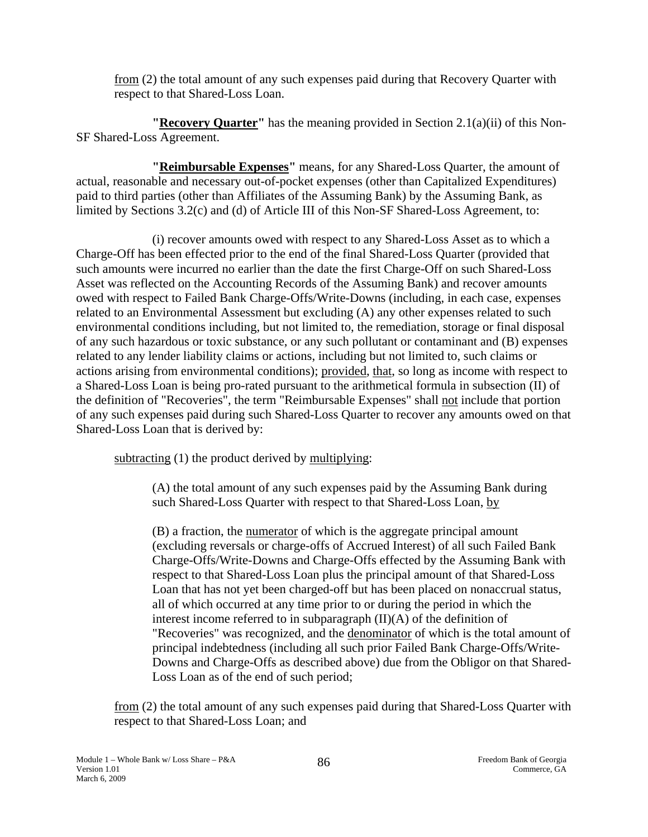from (2) the total amount of any such expenses paid during that Recovery Quarter with respect to that Shared-Loss Loan.

**"Recovery Quarter"** has the meaning provided in Section 2.1(a)(ii) of this Non-SF Shared-Loss Agreement.

**"Reimbursable Expenses"** means, for any Shared-Loss Quarter, the amount of actual, reasonable and necessary out-of-pocket expenses (other than Capitalized Expenditures) paid to third parties (other than Affiliates of the Assuming Bank) by the Assuming Bank, as limited by Sections 3.2(c) and (d) of Article III of this Non-SF Shared-Loss Agreement, to:

(i) recover amounts owed with respect to any Shared-Loss Asset as to which a Charge-Off has been effected prior to the end of the final Shared-Loss Quarter (provided that such amounts were incurred no earlier than the date the first Charge-Off on such Shared-Loss Asset was reflected on the Accounting Records of the Assuming Bank) and recover amounts owed with respect to Failed Bank Charge-Offs/Write-Downs (including, in each case, expenses related to an Environmental Assessment but excluding (A) any other expenses related to such environmental conditions including, but not limited to, the remediation, storage or final disposal of any such hazardous or toxic substance, or any such pollutant or contaminant and (B) expenses related to any lender liability claims or actions, including but not limited to, such claims or actions arising from environmental conditions); provided, that, so long as income with respect to a Shared-Loss Loan is being pro-rated pursuant to the arithmetical formula in subsection (II) of the definition of "Recoveries", the term "Reimbursable Expenses" shall not include that portion of any such expenses paid during such Shared-Loss Quarter to recover any amounts owed on that Shared-Loss Loan that is derived by:

subtracting (1) the product derived by multiplying:

(A) the total amount of any such expenses paid by the Assuming Bank during such Shared-Loss Quarter with respect to that Shared-Loss Loan, by

(B) a fraction, the numerator of which is the aggregate principal amount (excluding reversals or charge-offs of Accrued Interest) of all such Failed Bank Charge-Offs/Write-Downs and Charge-Offs effected by the Assuming Bank with respect to that Shared-Loss Loan plus the principal amount of that Shared-Loss Loan that has not yet been charged-off but has been placed on nonaccrual status, all of which occurred at any time prior to or during the period in which the interest income referred to in subparagraph  $(II)(A)$  of the definition of "Recoveries" was recognized, and the denominator of which is the total amount of principal indebtedness (including all such prior Failed Bank Charge-Offs/Write-Downs and Charge-Offs as described above) due from the Obligor on that Shared-Loss Loan as of the end of such period;

from (2) the total amount of any such expenses paid during that Shared-Loss Quarter with respect to that Shared-Loss Loan; and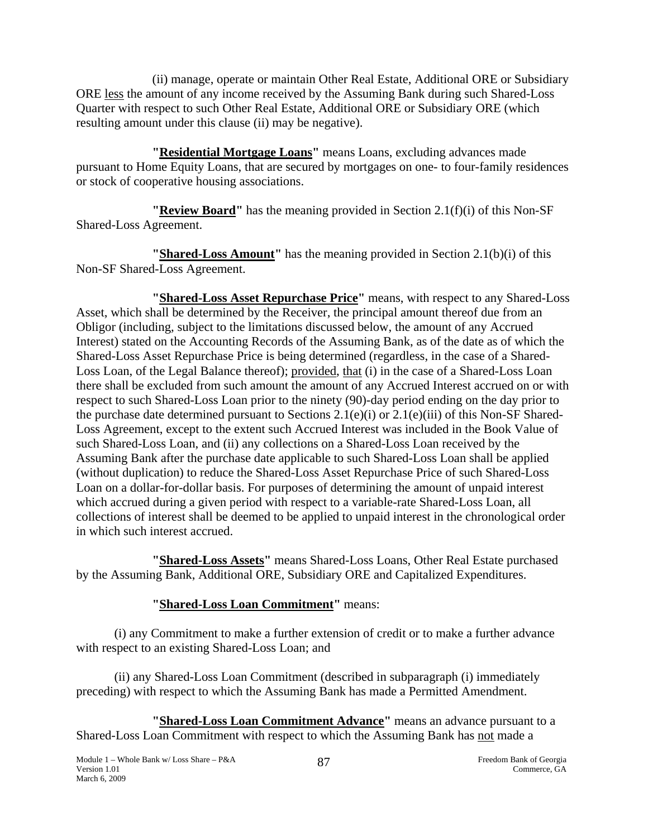(ii) manage, operate or maintain Other Real Estate, Additional ORE or Subsidiary ORE less the amount of any income received by the Assuming Bank during such Shared-Loss Quarter with respect to such Other Real Estate, Additional ORE or Subsidiary ORE (which resulting amount under this clause (ii) may be negative).

**"Residential Mortgage Loans"** means Loans, excluding advances made pursuant to Home Equity Loans, that are secured by mortgages on one- to four-family residences or stock of cooperative housing associations.

**"Review Board"** has the meaning provided in Section 2.1(f)(i) of this Non-SF Shared-Loss Agreement.

**"Shared-Loss Amount"** has the meaning provided in Section 2.1(b)(i) of this Non-SF Shared-Loss Agreement.

 in which such interest accrued. **"Shared-Loss Asset Repurchase Price"** means, with respect to any Shared-Loss Asset, which shall be determined by the Receiver, the principal amount thereof due from an Obligor (including, subject to the limitations discussed below, the amount of any Accrued Interest) stated on the Accounting Records of the Assuming Bank, as of the date as of which the Shared-Loss Asset Repurchase Price is being determined (regardless, in the case of a Shared-Loss Loan, of the Legal Balance thereof); provided, that (i) in the case of a Shared-Loss Loan there shall be excluded from such amount the amount of any Accrued Interest accrued on or with respect to such Shared-Loss Loan prior to the ninety (90)-day period ending on the day prior to the purchase date determined pursuant to Sections  $2.1(e)(i)$  or  $2.1(e)(iii)$  of this Non-SF Shared-Loss Agreement, except to the extent such Accrued Interest was included in the Book Value of such Shared-Loss Loan, and (ii) any collections on a Shared-Loss Loan received by the Assuming Bank after the purchase date applicable to such Shared-Loss Loan shall be applied (without duplication) to reduce the Shared-Loss Asset Repurchase Price of such Shared-Loss Loan on a dollar-for-dollar basis. For purposes of determining the amount of unpaid interest which accrued during a given period with respect to a variable-rate Shared-Loss Loan, all collections of interest shall be deemed to be applied to unpaid interest in the chronological order

**"Shared-Loss Assets"** means Shared-Loss Loans, Other Real Estate purchased by the Assuming Bank, Additional ORE, Subsidiary ORE and Capitalized Expenditures.

# **"Shared-Loss Loan Commitment"** means:

(i) any Commitment to make a further extension of credit or to make a further advance with respect to an existing Shared-Loss Loan; and

(ii) any Shared-Loss Loan Commitment (described in subparagraph (i) immediately preceding) with respect to which the Assuming Bank has made a Permitted Amendment.

**"Shared-Loss Loan Commitment Advance"** means an advance pursuant to a Shared-Loss Loan Commitment with respect to which the Assuming Bank has not made a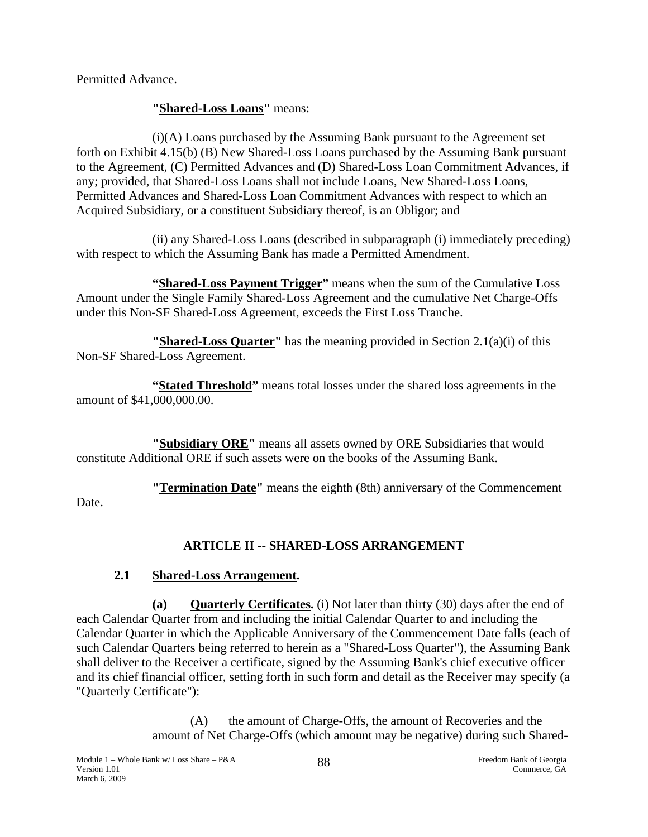Permitted Advance.

## **"Shared-Loss Loans"** means:

(i)(A) Loans purchased by the Assuming Bank pursuant to the Agreement set forth on Exhibit 4.15(b) (B) New Shared-Loss Loans purchased by the Assuming Bank pursuant to the Agreement, (C) Permitted Advances and (D) Shared-Loss Loan Commitment Advances, if any; provided, that Shared-Loss Loans shall not include Loans, New Shared-Loss Loans, Permitted Advances and Shared-Loss Loan Commitment Advances with respect to which an Acquired Subsidiary, or a constituent Subsidiary thereof, is an Obligor; and

(ii) any Shared-Loss Loans (described in subparagraph (i) immediately preceding) with respect to which the Assuming Bank has made a Permitted Amendment.

**"Shared-Loss Payment Trigger"** means when the sum of the Cumulative Loss Amount under the Single Family Shared-Loss Agreement and the cumulative Net Charge-Offs under this Non-SF Shared-Loss Agreement, exceeds the First Loss Tranche.

**"Shared-Loss Quarter"** has the meaning provided in Section 2.1(a)(i) of this Non-SF Shared-Loss Agreement.

**"Stated Threshold"** means total losses under the shared loss agreements in the amount of \$41,000,000.00.

**"Subsidiary ORE"** means all assets owned by ORE Subsidiaries that would constitute Additional ORE if such assets were on the books of the Assuming Bank.

**"Termination Date"** means the eighth (8th) anniversary of the Commencement Date.

# **ARTICLE II** -- **SHARED-LOSS ARRANGEMENT**

# **2.1 Shared-Loss Arrangement.**

**(a) Quarterly Certificates.** (i) Not later than thirty (30) days after the end of each Calendar Quarter from and including the initial Calendar Quarter to and including the Calendar Quarter in which the Applicable Anniversary of the Commencement Date falls (each of such Calendar Quarters being referred to herein as a "Shared-Loss Quarter"), the Assuming Bank shall deliver to the Receiver a certificate, signed by the Assuming Bank's chief executive officer and its chief financial officer, setting forth in such form and detail as the Receiver may specify (a "Quarterly Certificate"):

> (A) the amount of Charge-Offs, the amount of Recoveries and the amount of Net Charge-Offs (which amount may be negative) during such Shared-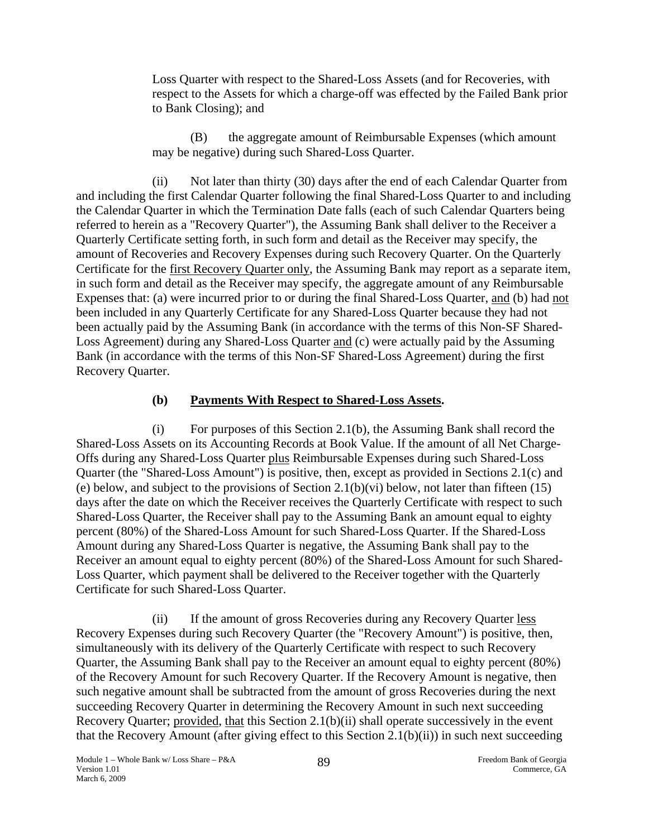Loss Quarter with respect to the Shared-Loss Assets (and for Recoveries, with respect to the Assets for which a charge-off was effected by the Failed Bank prior to Bank Closing); and

(B) the aggregate amount of Reimbursable Expenses (which amount may be negative) during such Shared-Loss Quarter.

(ii) Not later than thirty (30) days after the end of each Calendar Quarter from and including the first Calendar Quarter following the final Shared-Loss Quarter to and including the Calendar Quarter in which the Termination Date falls (each of such Calendar Quarters being referred to herein as a "Recovery Quarter"), the Assuming Bank shall deliver to the Receiver a Quarterly Certificate setting forth, in such form and detail as the Receiver may specify, the amount of Recoveries and Recovery Expenses during such Recovery Quarter. On the Quarterly Certificate for the first Recovery Quarter only, the Assuming Bank may report as a separate item, in such form and detail as the Receiver may specify, the aggregate amount of any Reimbursable Expenses that: (a) were incurred prior to or during the final Shared-Loss Quarter, and (b) had not been included in any Quarterly Certificate for any Shared-Loss Quarter because they had not been actually paid by the Assuming Bank (in accordance with the terms of this Non-SF Shared-Loss Agreement) during any Shared-Loss Quarter and (c) were actually paid by the Assuming Bank (in accordance with the terms of this Non-SF Shared-Loss Agreement) during the first Recovery Quarter.

### **(b) Payments With Respect to Shared-Loss Assets.**

 $(i)$  For purposes of this Section 2.1(b), the Assuming Bank shall record the Shared-Loss Assets on its Accounting Records at Book Value. If the amount of all Net Charge-Offs during any Shared-Loss Quarter plus Reimbursable Expenses during such Shared-Loss Quarter (the "Shared-Loss Amount") is positive, then, except as provided in Sections 2.1(c) and (e) below, and subject to the provisions of Section 2.1(b)(vi) below, not later than fifteen (15) days after the date on which the Receiver receives the Quarterly Certificate with respect to such Shared-Loss Quarter, the Receiver shall pay to the Assuming Bank an amount equal to eighty percent (80%) of the Shared-Loss Amount for such Shared-Loss Quarter. If the Shared-Loss Amount during any Shared-Loss Quarter is negative, the Assuming Bank shall pay to the Receiver an amount equal to eighty percent (80%) of the Shared-Loss Amount for such Shared-Loss Quarter, which payment shall be delivered to the Receiver together with the Quarterly Certificate for such Shared-Loss Quarter.

(ii) If the amount of gross Recoveries during any Recovery Quarter less Recovery Expenses during such Recovery Quarter (the "Recovery Amount") is positive, then, simultaneously with its delivery of the Quarterly Certificate with respect to such Recovery Quarter, the Assuming Bank shall pay to the Receiver an amount equal to eighty percent (80%) of the Recovery Amount for such Recovery Quarter. If the Recovery Amount is negative, then such negative amount shall be subtracted from the amount of gross Recoveries during the next succeeding Recovery Quarter in determining the Recovery Amount in such next succeeding Recovery Quarter; provided, that this Section 2.1(b)(ii) shall operate successively in the event that the Recovery Amount (after giving effect to this Section 2.1(b)(ii)) in such next succeeding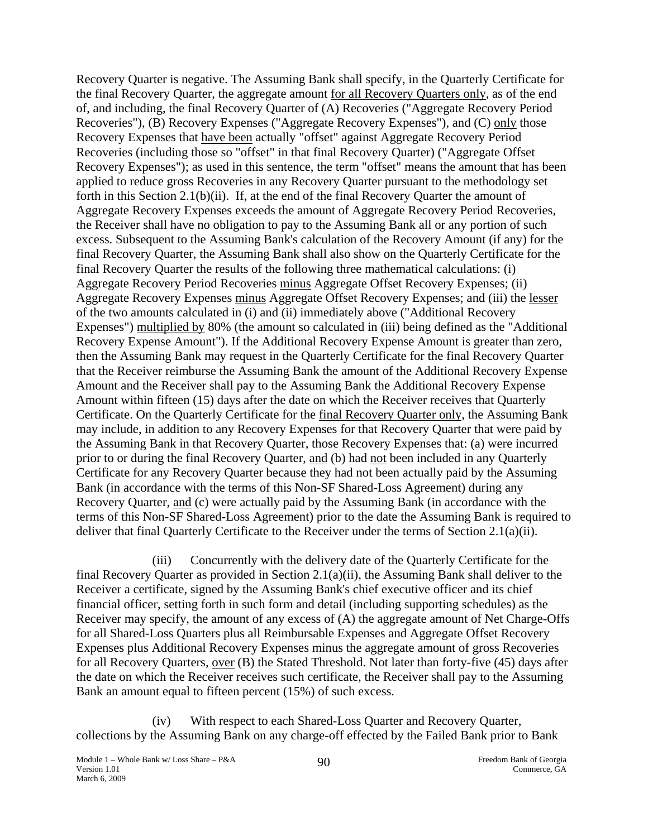Recovery Quarter is negative. The Assuming Bank shall specify, in the Quarterly Certificate for the final Recovery Quarter, the aggregate amount for all Recovery Quarters only, as of the end of, and including, the final Recovery Quarter of (A) Recoveries ("Aggregate Recovery Period Recoveries"), (B) Recovery Expenses ("Aggregate Recovery Expenses"), and (C) only those Recovery Expenses that have been actually "offset" against Aggregate Recovery Period Recoveries (including those so "offset" in that final Recovery Quarter) ("Aggregate Offset Recovery Expenses"); as used in this sentence, the term "offset" means the amount that has been applied to reduce gross Recoveries in any Recovery Quarter pursuant to the methodology set forth in this Section 2.1(b)(ii). If, at the end of the final Recovery Quarter the amount of Aggregate Recovery Expenses exceeds the amount of Aggregate Recovery Period Recoveries, the Receiver shall have no obligation to pay to the Assuming Bank all or any portion of such excess. Subsequent to the Assuming Bank's calculation of the Recovery Amount (if any) for the final Recovery Quarter, the Assuming Bank shall also show on the Quarterly Certificate for the final Recovery Quarter the results of the following three mathematical calculations: (i) Aggregate Recovery Period Recoveries minus Aggregate Offset Recovery Expenses; (ii) Aggregate Recovery Expenses minus Aggregate Offset Recovery Expenses; and (iii) the lesser of the two amounts calculated in (i) and (ii) immediately above ("Additional Recovery Expenses") multiplied by 80% (the amount so calculated in (iii) being defined as the "Additional Recovery Expense Amount"). If the Additional Recovery Expense Amount is greater than zero, then the Assuming Bank may request in the Quarterly Certificate for the final Recovery Quarter that the Receiver reimburse the Assuming Bank the amount of the Additional Recovery Expense Amount and the Receiver shall pay to the Assuming Bank the Additional Recovery Expense Amount within fifteen (15) days after the date on which the Receiver receives that Quarterly Certificate. On the Quarterly Certificate for the final Recovery Quarter only, the Assuming Bank may include, in addition to any Recovery Expenses for that Recovery Quarter that were paid by the Assuming Bank in that Recovery Quarter, those Recovery Expenses that: (a) were incurred prior to or during the final Recovery Quarter, and (b) had not been included in any Quarterly Certificate for any Recovery Quarter because they had not been actually paid by the Assuming Bank (in accordance with the terms of this Non-SF Shared-Loss Agreement) during any Recovery Quarter, and (c) were actually paid by the Assuming Bank (in accordance with the terms of this Non-SF Shared-Loss Agreement) prior to the date the Assuming Bank is required to deliver that final Quarterly Certificate to the Receiver under the terms of Section 2.1(a)(ii).

(iii) Concurrently with the delivery date of the Quarterly Certificate for the final Recovery Quarter as provided in Section 2.1(a)(ii), the Assuming Bank shall deliver to the Receiver a certificate, signed by the Assuming Bank's chief executive officer and its chief financial officer, setting forth in such form and detail (including supporting schedules) as the Receiver may specify, the amount of any excess of (A) the aggregate amount of Net Charge-Offs for all Shared-Loss Quarters plus all Reimbursable Expenses and Aggregate Offset Recovery Expenses plus Additional Recovery Expenses minus the aggregate amount of gross Recoveries for all Recovery Quarters, over (B) the Stated Threshold. Not later than forty-five (45) days after the date on which the Receiver receives such certificate, the Receiver shall pay to the Assuming Bank an amount equal to fifteen percent (15%) of such excess.

(iv) With respect to each Shared-Loss Quarter and Recovery Quarter, collections by the Assuming Bank on any charge-off effected by the Failed Bank prior to Bank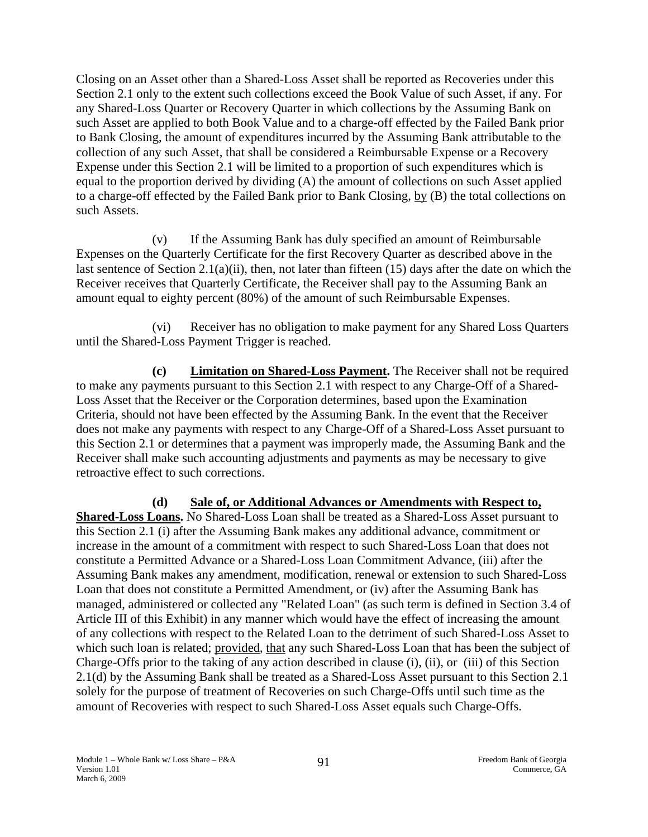Closing on an Asset other than a Shared-Loss Asset shall be reported as Recoveries under this Section 2.1 only to the extent such collections exceed the Book Value of such Asset, if any. For any Shared-Loss Quarter or Recovery Quarter in which collections by the Assuming Bank on such Asset are applied to both Book Value and to a charge-off effected by the Failed Bank prior to Bank Closing, the amount of expenditures incurred by the Assuming Bank attributable to the collection of any such Asset, that shall be considered a Reimbursable Expense or a Recovery Expense under this Section 2.1 will be limited to a proportion of such expenditures which is equal to the proportion derived by dividing (A) the amount of collections on such Asset applied to a charge-off effected by the Failed Bank prior to Bank Closing, by (B) the total collections on such Assets.

(v) If the Assuming Bank has duly specified an amount of Reimbursable Expenses on the Quarterly Certificate for the first Recovery Quarter as described above in the last sentence of Section 2.1(a)(ii), then, not later than fifteen (15) days after the date on which the Receiver receives that Quarterly Certificate, the Receiver shall pay to the Assuming Bank an amount equal to eighty percent (80%) of the amount of such Reimbursable Expenses.

(vi) Receiver has no obligation to make payment for any Shared Loss Quarters until the Shared-Loss Payment Trigger is reached.

**(c) Limitation on Shared-Loss Payment.** The Receiver shall not be required to make any payments pursuant to this Section 2.1 with respect to any Charge-Off of a Shared-Loss Asset that the Receiver or the Corporation determines, based upon the Examination Criteria, should not have been effected by the Assuming Bank. In the event that the Receiver does not make any payments with respect to any Charge-Off of a Shared-Loss Asset pursuant to this Section 2.1 or determines that a payment was improperly made, the Assuming Bank and the Receiver shall make such accounting adjustments and payments as may be necessary to give retroactive effect to such corrections.

**(d) Sale of, or Additional Advances or Amendments with Respect to, Shared-Loss Loans.** No Shared-Loss Loan shall be treated as a Shared-Loss Asset pursuant to this Section 2.1 (i) after the Assuming Bank makes any additional advance, commitment or increase in the amount of a commitment with respect to such Shared-Loss Loan that does not constitute a Permitted Advance or a Shared-Loss Loan Commitment Advance, (iii) after the Assuming Bank makes any amendment, modification, renewal or extension to such Shared-Loss Loan that does not constitute a Permitted Amendment, or (iv) after the Assuming Bank has managed, administered or collected any "Related Loan" (as such term is defined in Section 3.4 of Article III of this Exhibit) in any manner which would have the effect of increasing the amount of any collections with respect to the Related Loan to the detriment of such Shared-Loss Asset to which such loan is related; provided, that any such Shared-Loss Loan that has been the subject of Charge-Offs prior to the taking of any action described in clause (i), (ii), or (iii) of this Section 2.1(d) by the Assuming Bank shall be treated as a Shared-Loss Asset pursuant to this Section 2.1 solely for the purpose of treatment of Recoveries on such Charge-Offs until such time as the amount of Recoveries with respect to such Shared-Loss Asset equals such Charge-Offs.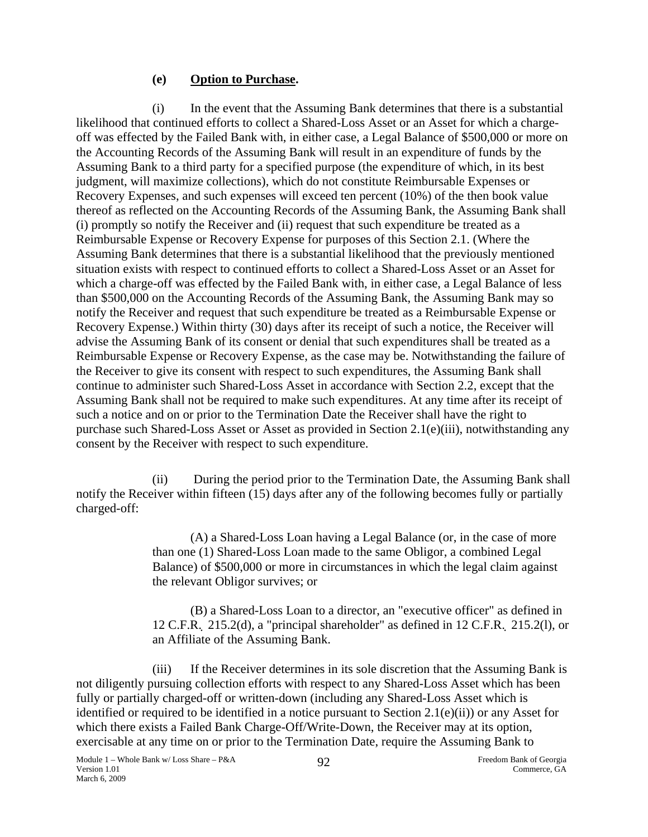#### **(e) Option to Purchase.**

(i) In the event that the Assuming Bank determines that there is a substantial likelihood that continued efforts to collect a Shared-Loss Asset or an Asset for which a chargeoff was effected by the Failed Bank with, in either case, a Legal Balance of \$500,000 or more on the Accounting Records of the Assuming Bank will result in an expenditure of funds by the Assuming Bank to a third party for a specified purpose (the expenditure of which, in its best judgment, will maximize collections), which do not constitute Reimbursable Expenses or Recovery Expenses, and such expenses will exceed ten percent (10%) of the then book value thereof as reflected on the Accounting Records of the Assuming Bank, the Assuming Bank shall (i) promptly so notify the Receiver and (ii) request that such expenditure be treated as a Reimbursable Expense or Recovery Expense for purposes of this Section 2.1. (Where the Assuming Bank determines that there is a substantial likelihood that the previously mentioned situation exists with respect to continued efforts to collect a Shared-Loss Asset or an Asset for which a charge-off was effected by the Failed Bank with, in either case, a Legal Balance of less than \$500,000 on the Accounting Records of the Assuming Bank, the Assuming Bank may so notify the Receiver and request that such expenditure be treated as a Reimbursable Expense or Recovery Expense.) Within thirty (30) days after its receipt of such a notice, the Receiver will advise the Assuming Bank of its consent or denial that such expenditures shall be treated as a Reimbursable Expense or Recovery Expense, as the case may be. Notwithstanding the failure of the Receiver to give its consent with respect to such expenditures, the Assuming Bank shall continue to administer such Shared-Loss Asset in accordance with Section 2.2, except that the Assuming Bank shall not be required to make such expenditures. At any time after its receipt of such a notice and on or prior to the Termination Date the Receiver shall have the right to purchase such Shared-Loss Asset or Asset as provided in Section 2.1(e)(iii), notwithstanding any consent by the Receiver with respect to such expenditure.

(ii) During the period prior to the Termination Date, the Assuming Bank shall notify the Receiver within fifteen (15) days after any of the following becomes fully or partially charged-off:

> (A) a Shared-Loss Loan having a Legal Balance (or, in the case of more than one (1) Shared-Loss Loan made to the same Obligor, a combined Legal Balance) of \$500,000 or more in circumstances in which the legal claim against the relevant Obligor survives; or

(B) a Shared-Loss Loan to a director, an "executive officer" as defined in 12 C.F.R. 215.2(d), a "principal shareholder" as defined in 12 C.F.R. 215.2(l), or an Affiliate of the Assuming Bank.

(iii) If the Receiver determines in its sole discretion that the Assuming Bank is not diligently pursuing collection efforts with respect to any Shared-Loss Asset which has been fully or partially charged-off or written-down (including any Shared-Loss Asset which is identified or required to be identified in a notice pursuant to Section 2.1(e)(ii)) or any Asset for which there exists a Failed Bank Charge-Off/Write-Down, the Receiver may at its option, exercisable at any time on or prior to the Termination Date, require the Assuming Bank to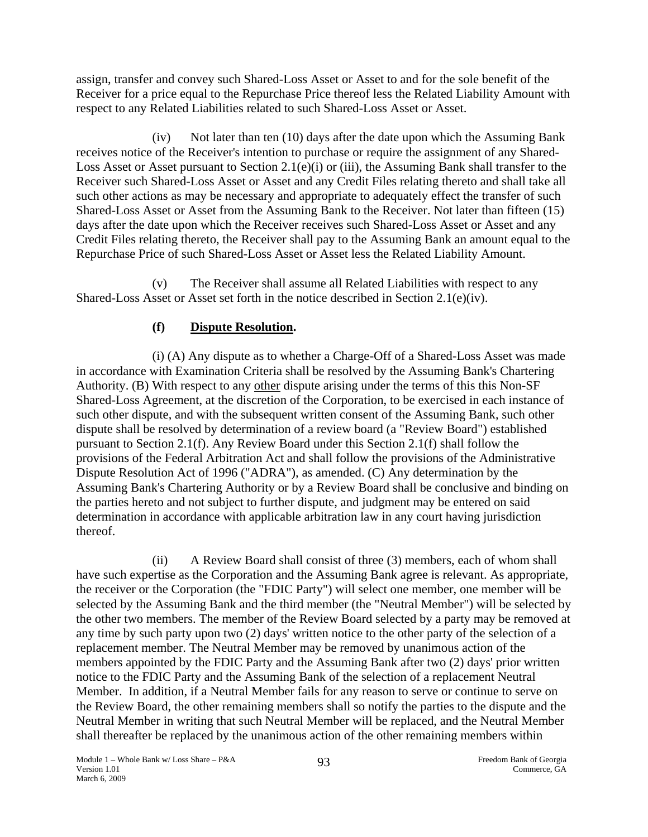assign, transfer and convey such Shared-Loss Asset or Asset to and for the sole benefit of the Receiver for a price equal to the Repurchase Price thereof less the Related Liability Amount with respect to any Related Liabilities related to such Shared-Loss Asset or Asset.

(iv) Not later than ten (10) days after the date upon which the Assuming Bank receives notice of the Receiver's intention to purchase or require the assignment of any Shared-Loss Asset or Asset pursuant to Section 2.1(e)(i) or (iii), the Assuming Bank shall transfer to the Receiver such Shared-Loss Asset or Asset and any Credit Files relating thereto and shall take all such other actions as may be necessary and appropriate to adequately effect the transfer of such Shared-Loss Asset or Asset from the Assuming Bank to the Receiver. Not later than fifteen (15) days after the date upon which the Receiver receives such Shared-Loss Asset or Asset and any Credit Files relating thereto, the Receiver shall pay to the Assuming Bank an amount equal to the Repurchase Price of such Shared-Loss Asset or Asset less the Related Liability Amount.

(v) The Receiver shall assume all Related Liabilities with respect to any Shared-Loss Asset or Asset set forth in the notice described in Section 2.1(e)(iv).

# **(f) Dispute Resolution.**

(i) (A) Any dispute as to whether a Charge-Off of a Shared-Loss Asset was made in accordance with Examination Criteria shall be resolved by the Assuming Bank's Chartering Authority. (B) With respect to any other dispute arising under the terms of this this Non-SF Shared-Loss Agreement, at the discretion of the Corporation, to be exercised in each instance of such other dispute, and with the subsequent written consent of the Assuming Bank, such other dispute shall be resolved by determination of a review board (a "Review Board") established pursuant to Section 2.1(f). Any Review Board under this Section 2.1(f) shall follow the provisions of the Federal Arbitration Act and shall follow the provisions of the Administrative Dispute Resolution Act of 1996 ("ADRA"), as amended. (C) Any determination by the Assuming Bank's Chartering Authority or by a Review Board shall be conclusive and binding on the parties hereto and not subject to further dispute, and judgment may be entered on said determination in accordance with applicable arbitration law in any court having jurisdiction thereof.

(ii) A Review Board shall consist of three (3) members, each of whom shall have such expertise as the Corporation and the Assuming Bank agree is relevant. As appropriate, the receiver or the Corporation (the "FDIC Party") will select one member, one member will be selected by the Assuming Bank and the third member (the "Neutral Member") will be selected by the other two members. The member of the Review Board selected by a party may be removed at any time by such party upon two (2) days' written notice to the other party of the selection of a replacement member. The Neutral Member may be removed by unanimous action of the members appointed by the FDIC Party and the Assuming Bank after two (2) days' prior written notice to the FDIC Party and the Assuming Bank of the selection of a replacement Neutral Member. In addition, if a Neutral Member fails for any reason to serve or continue to serve on the Review Board, the other remaining members shall so notify the parties to the dispute and the Neutral Member in writing that such Neutral Member will be replaced, and the Neutral Member shall thereafter be replaced by the unanimous action of the other remaining members within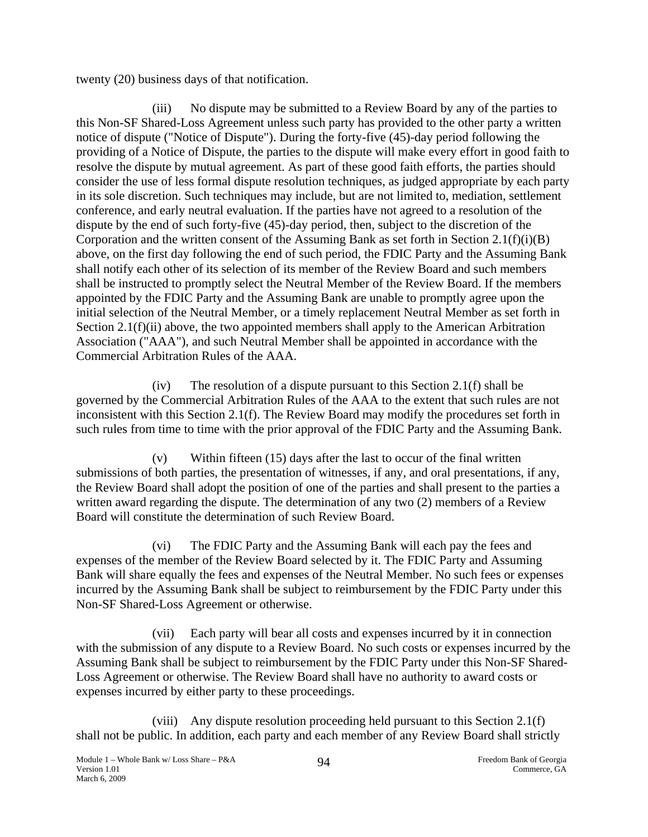twenty (20) business days of that notification.

(iii) No dispute may be submitted to a Review Board by any of the parties to this Non-SF Shared-Loss Agreement unless such party has provided to the other party a written notice of dispute ("Notice of Dispute"). During the forty-five (45)-day period following the providing of a Notice of Dispute, the parties to the dispute will make every effort in good faith to resolve the dispute by mutual agreement. As part of these good faith efforts, the parties should consider the use of less formal dispute resolution techniques, as judged appropriate by each party in its sole discretion. Such techniques may include, but are not limited to, mediation, settlement conference, and early neutral evaluation. If the parties have not agreed to a resolution of the dispute by the end of such forty-five (45)-day period, then, subject to the discretion of the Corporation and the written consent of the Assuming Bank as set forth in Section 2.1(f)(i)(B) above, on the first day following the end of such period, the FDIC Party and the Assuming Bank shall notify each other of its selection of its member of the Review Board and such members shall be instructed to promptly select the Neutral Member of the Review Board. If the members appointed by the FDIC Party and the Assuming Bank are unable to promptly agree upon the initial selection of the Neutral Member, or a timely replacement Neutral Member as set forth in Section 2.1(f)(ii) above, the two appointed members shall apply to the American Arbitration Association ("AAA"), and such Neutral Member shall be appointed in accordance with the Commercial Arbitration Rules of the AAA.

(iv) The resolution of a dispute pursuant to this Section 2.1(f) shall be governed by the Commercial Arbitration Rules of the AAA to the extent that such rules are not inconsistent with this Section 2.1(f). The Review Board may modify the procedures set forth in such rules from time to time with the prior approval of the FDIC Party and the Assuming Bank.

(v) Within fifteen (15) days after the last to occur of the final written submissions of both parties, the presentation of witnesses, if any, and oral presentations, if any, the Review Board shall adopt the position of one of the parties and shall present to the parties a written award regarding the dispute. The determination of any two (2) members of a Review Board will constitute the determination of such Review Board.

(vi) The FDIC Party and the Assuming Bank will each pay the fees and expenses of the member of the Review Board selected by it. The FDIC Party and Assuming Bank will share equally the fees and expenses of the Neutral Member. No such fees or expenses incurred by the Assuming Bank shall be subject to reimbursement by the FDIC Party under this Non-SF Shared-Loss Agreement or otherwise.

(vii) Each party will bear all costs and expenses incurred by it in connection with the submission of any dispute to a Review Board. No such costs or expenses incurred by the Assuming Bank shall be subject to reimbursement by the FDIC Party under this Non-SF Shared-Loss Agreement or otherwise. The Review Board shall have no authority to award costs or expenses incurred by either party to these proceedings.

(viii) Any dispute resolution proceeding held pursuant to this Section 2.1(f) shall not be public. In addition, each party and each member of any Review Board shall strictly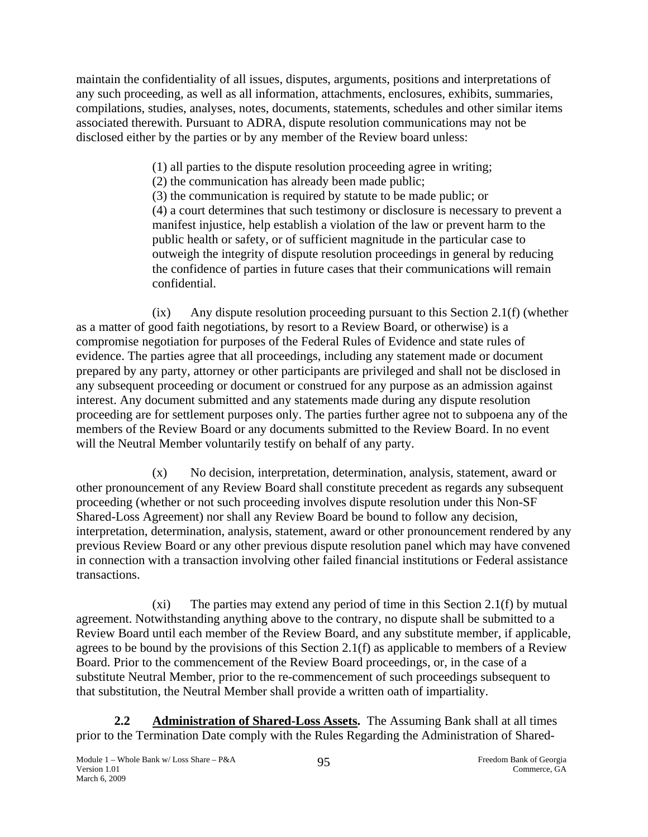maintain the confidentiality of all issues, disputes, arguments, positions and interpretations of any such proceeding, as well as all information, attachments, enclosures, exhibits, summaries, compilations, studies, analyses, notes, documents, statements, schedules and other similar items associated therewith. Pursuant to ADRA, dispute resolution communications may not be disclosed either by the parties or by any member of the Review board unless:

(1) all parties to the dispute resolution proceeding agree in writing;

(2) the communication has already been made public;

(3) the communication is required by statute to be made public; or (4) a court determines that such testimony or disclosure is necessary to prevent a manifest injustice, help establish a violation of the law or prevent harm to the public health or safety, or of sufficient magnitude in the particular case to outweigh the integrity of dispute resolution proceedings in general by reducing the confidence of parties in future cases that their communications will remain confidential.

(ix) Any dispute resolution proceeding pursuant to this Section 2.1(f) (whether as a matter of good faith negotiations, by resort to a Review Board, or otherwise) is a compromise negotiation for purposes of the Federal Rules of Evidence and state rules of evidence. The parties agree that all proceedings, including any statement made or document prepared by any party, attorney or other participants are privileged and shall not be disclosed in any subsequent proceeding or document or construed for any purpose as an admission against interest. Any document submitted and any statements made during any dispute resolution proceeding are for settlement purposes only. The parties further agree not to subpoena any of the members of the Review Board or any documents submitted to the Review Board. In no event will the Neutral Member voluntarily testify on behalf of any party.

(x) No decision, interpretation, determination, analysis, statement, award or other pronouncement of any Review Board shall constitute precedent as regards any subsequent proceeding (whether or not such proceeding involves dispute resolution under this Non-SF Shared-Loss Agreement) nor shall any Review Board be bound to follow any decision, interpretation, determination, analysis, statement, award or other pronouncement rendered by any previous Review Board or any other previous dispute resolution panel which may have convened in connection with a transaction involving other failed financial institutions or Federal assistance transactions.

(xi) The parties may extend any period of time in this Section 2.1(f) by mutual agreement. Notwithstanding anything above to the contrary, no dispute shall be submitted to a Review Board until each member of the Review Board, and any substitute member, if applicable, agrees to be bound by the provisions of this Section 2.1(f) as applicable to members of a Review Board. Prior to the commencement of the Review Board proceedings, or, in the case of a substitute Neutral Member, prior to the re-commencement of such proceedings subsequent to that substitution, the Neutral Member shall provide a written oath of impartiality.

**2.2 Administration of Shared-Loss Assets.** The Assuming Bank shall at all times prior to the Termination Date comply with the Rules Regarding the Administration of Shared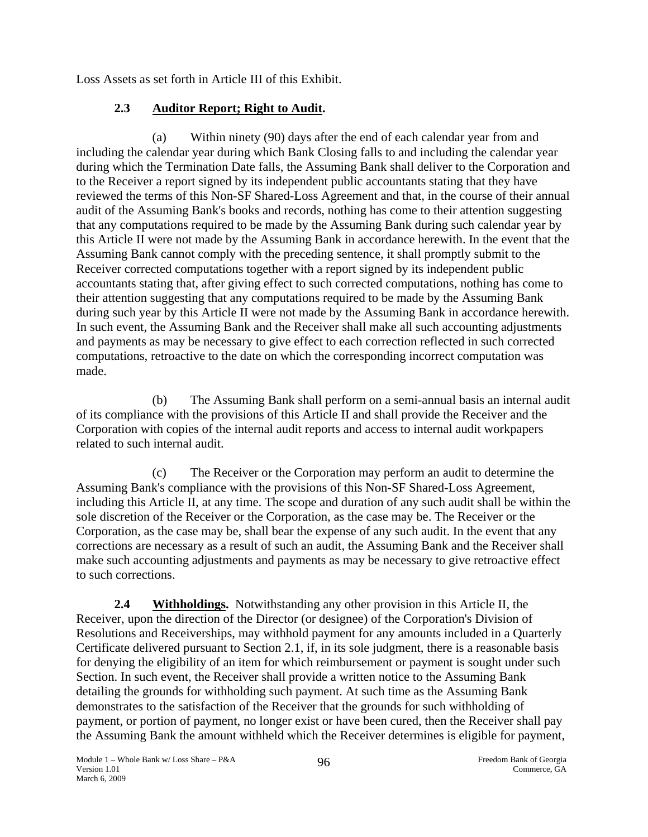Loss Assets as set forth in Article III of this Exhibit.

# **2.3 Auditor Report; Right to Audit.**

(a) Within ninety (90) days after the end of each calendar year from and including the calendar year during which Bank Closing falls to and including the calendar year during which the Termination Date falls, the Assuming Bank shall deliver to the Corporation and to the Receiver a report signed by its independent public accountants stating that they have reviewed the terms of this Non-SF Shared-Loss Agreement and that, in the course of their annual audit of the Assuming Bank's books and records, nothing has come to their attention suggesting that any computations required to be made by the Assuming Bank during such calendar year by this Article II were not made by the Assuming Bank in accordance herewith. In the event that the Assuming Bank cannot comply with the preceding sentence, it shall promptly submit to the Receiver corrected computations together with a report signed by its independent public accountants stating that, after giving effect to such corrected computations, nothing has come to their attention suggesting that any computations required to be made by the Assuming Bank during such year by this Article II were not made by the Assuming Bank in accordance herewith. In such event, the Assuming Bank and the Receiver shall make all such accounting adjustments and payments as may be necessary to give effect to each correction reflected in such corrected computations, retroactive to the date on which the corresponding incorrect computation was made.

(b) The Assuming Bank shall perform on a semi-annual basis an internal audit of its compliance with the provisions of this Article II and shall provide the Receiver and the Corporation with copies of the internal audit reports and access to internal audit workpapers related to such internal audit.

(c) The Receiver or the Corporation may perform an audit to determine the Assuming Bank's compliance with the provisions of this Non-SF Shared-Loss Agreement, including this Article II, at any time. The scope and duration of any such audit shall be within the sole discretion of the Receiver or the Corporation, as the case may be. The Receiver or the Corporation, as the case may be, shall bear the expense of any such audit. In the event that any corrections are necessary as a result of such an audit, the Assuming Bank and the Receiver shall make such accounting adjustments and payments as may be necessary to give retroactive effect to such corrections.

**2.4 Withholdings.** Notwithstanding any other provision in this Article II, the Receiver, upon the direction of the Director (or designee) of the Corporation's Division of Resolutions and Receiverships, may withhold payment for any amounts included in a Quarterly Certificate delivered pursuant to Section 2.1, if, in its sole judgment, there is a reasonable basis for denying the eligibility of an item for which reimbursement or payment is sought under such Section. In such event, the Receiver shall provide a written notice to the Assuming Bank detailing the grounds for withholding such payment. At such time as the Assuming Bank demonstrates to the satisfaction of the Receiver that the grounds for such withholding of payment, or portion of payment, no longer exist or have been cured, then the Receiver shall pay the Assuming Bank the amount withheld which the Receiver determines is eligible for payment,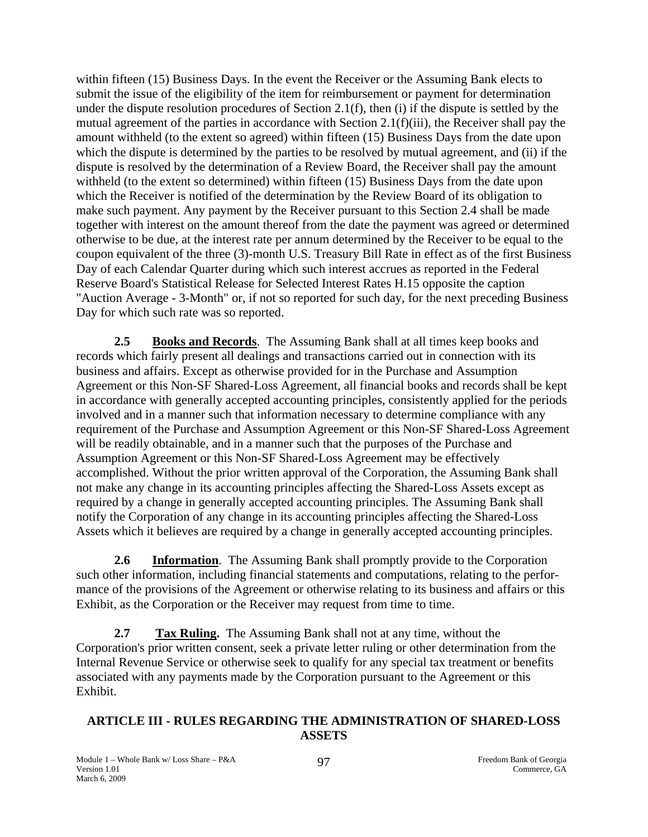within fifteen (15) Business Days. In the event the Receiver or the Assuming Bank elects to submit the issue of the eligibility of the item for reimbursement or payment for determination under the dispute resolution procedures of Section 2.1(f), then (i) if the dispute is settled by the mutual agreement of the parties in accordance with Section 2.1(f)(iii), the Receiver shall pay the amount withheld (to the extent so agreed) within fifteen (15) Business Days from the date upon which the dispute is determined by the parties to be resolved by mutual agreement, and (ii) if the dispute is resolved by the determination of a Review Board, the Receiver shall pay the amount withheld (to the extent so determined) within fifteen (15) Business Days from the date upon which the Receiver is notified of the determination by the Review Board of its obligation to make such payment. Any payment by the Receiver pursuant to this Section 2.4 shall be made together with interest on the amount thereof from the date the payment was agreed or determined otherwise to be due, at the interest rate per annum determined by the Receiver to be equal to the coupon equivalent of the three (3)-month U.S. Treasury Bill Rate in effect as of the first Business Day of each Calendar Quarter during which such interest accrues as reported in the Federal Reserve Board's Statistical Release for Selected Interest Rates H.15 opposite the caption "Auction Average - 3-Month" or, if not so reported for such day, for the next preceding Business Day for which such rate was so reported.

**2.5 Books and Records**. The Assuming Bank shall at all times keep books and records which fairly present all dealings and transactions carried out in connection with its business and affairs. Except as otherwise provided for in the Purchase and Assumption Agreement or this Non-SF Shared-Loss Agreement, all financial books and records shall be kept in accordance with generally accepted accounting principles, consistently applied for the periods involved and in a manner such that information necessary to determine compliance with any requirement of the Purchase and Assumption Agreement or this Non-SF Shared-Loss Agreement will be readily obtainable, and in a manner such that the purposes of the Purchase and Assumption Agreement or this Non-SF Shared-Loss Agreement may be effectively accomplished. Without the prior written approval of the Corporation, the Assuming Bank shall not make any change in its accounting principles affecting the Shared-Loss Assets except as required by a change in generally accepted accounting principles. The Assuming Bank shall notify the Corporation of any change in its accounting principles affecting the Shared-Loss Assets which it believes are required by a change in generally accepted accounting principles.

**2.6 Information**. The Assuming Bank shall promptly provide to the Corporation such other information, including financial statements and computations, relating to the performance of the provisions of the Agreement or otherwise relating to its business and affairs or this Exhibit, as the Corporation or the Receiver may request from time to time.

**2.7 Tax Ruling.** The Assuming Bank shall not at any time, without the Corporation's prior written consent, seek a private letter ruling or other determination from the Internal Revenue Service or otherwise seek to qualify for any special tax treatment or benefits associated with any payments made by the Corporation pursuant to the Agreement or this Exhibit.

# **ARTICLE III - RULES REGARDING THE ADMINISTRATION OF SHARED-LOSS ASSETS**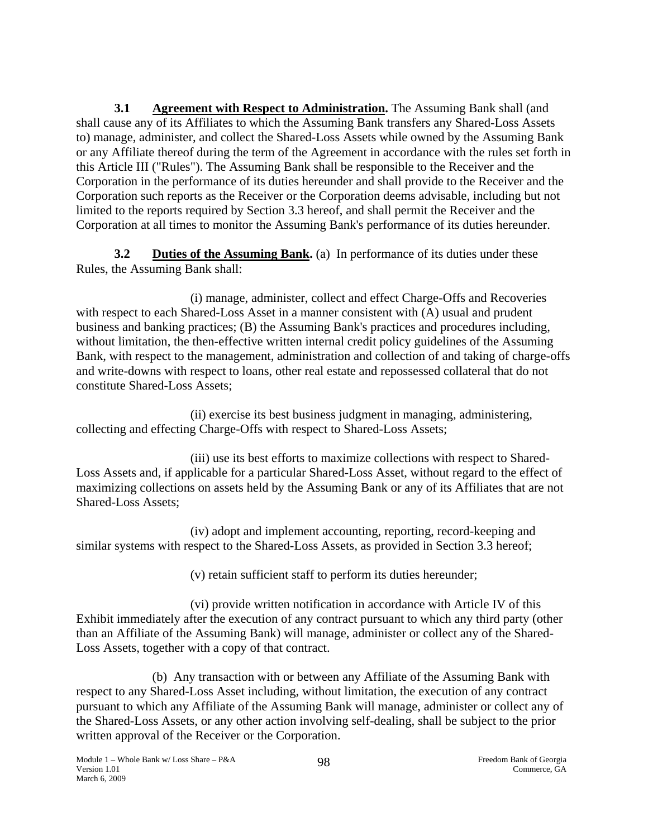**3.1 Agreement with Respect to Administration.** The Assuming Bank shall (and shall cause any of its Affiliates to which the Assuming Bank transfers any Shared-Loss Assets to) manage, administer, and collect the Shared-Loss Assets while owned by the Assuming Bank or any Affiliate thereof during the term of the Agreement in accordance with the rules set forth in this Article III ("Rules"). The Assuming Bank shall be responsible to the Receiver and the Corporation in the performance of its duties hereunder and shall provide to the Receiver and the Corporation such reports as the Receiver or the Corporation deems advisable, including but not limited to the reports required by Section 3.3 hereof, and shall permit the Receiver and the Corporation at all times to monitor the Assuming Bank's performance of its duties hereunder.

**3.2 Duties of the Assuming Bank.** (a) In performance of its duties under these Rules, the Assuming Bank shall:

(i) manage, administer, collect and effect Charge-Offs and Recoveries with respect to each Shared-Loss Asset in a manner consistent with  $(A)$  usual and prudent business and banking practices; (B) the Assuming Bank's practices and procedures including, without limitation, the then-effective written internal credit policy guidelines of the Assuming Bank, with respect to the management, administration and collection of and taking of charge-offs and write-downs with respect to loans, other real estate and repossessed collateral that do not constitute Shared-Loss Assets;

(ii) exercise its best business judgment in managing, administering, collecting and effecting Charge-Offs with respect to Shared-Loss Assets;

(iii) use its best efforts to maximize collections with respect to Shared-Loss Assets and, if applicable for a particular Shared-Loss Asset, without regard to the effect of maximizing collections on assets held by the Assuming Bank or any of its Affiliates that are not Shared-Loss Assets;

(iv) adopt and implement accounting, reporting, record-keeping and similar systems with respect to the Shared-Loss Assets, as provided in Section 3.3 hereof;

(v) retain sufficient staff to perform its duties hereunder;

(vi) provide written notification in accordance with Article IV of this Exhibit immediately after the execution of any contract pursuant to which any third party (other than an Affiliate of the Assuming Bank) will manage, administer or collect any of the Shared-Loss Assets, together with a copy of that contract.

(b) Any transaction with or between any Affiliate of the Assuming Bank with respect to any Shared-Loss Asset including, without limitation, the execution of any contract pursuant to which any Affiliate of the Assuming Bank will manage, administer or collect any of the Shared-Loss Assets, or any other action involving self-dealing, shall be subject to the prior written approval of the Receiver or the Corporation.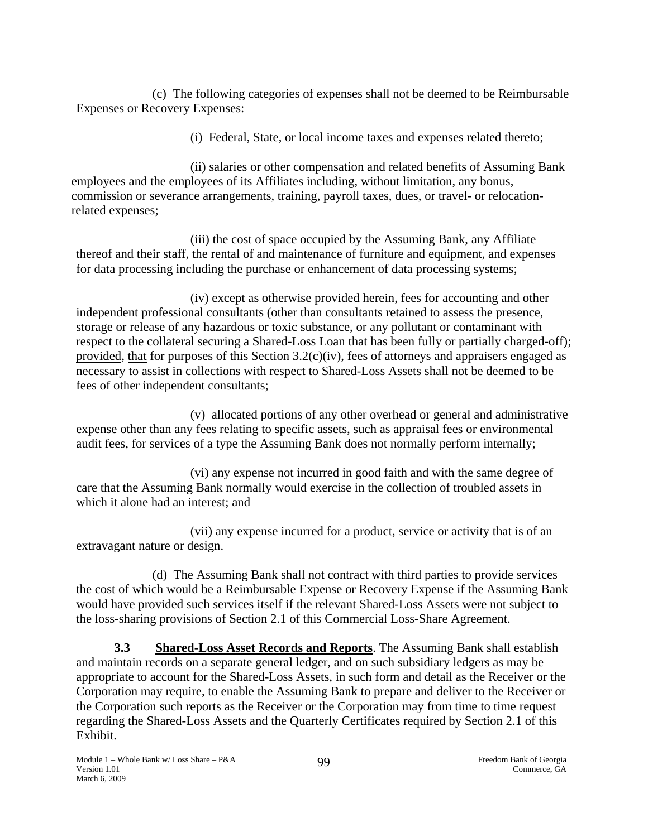(c) The following categories of expenses shall not be deemed to be Reimbursable Expenses or Recovery Expenses:

(i) Federal, State, or local income taxes and expenses related thereto;

(ii) salaries or other compensation and related benefits of Assuming Bank employees and the employees of its Affiliates including, without limitation, any bonus, commission or severance arrangements, training, payroll taxes, dues, or travel- or relocationrelated expenses;

(iii) the cost of space occupied by the Assuming Bank, any Affiliate thereof and their staff, the rental of and maintenance of furniture and equipment, and expenses for data processing including the purchase or enhancement of data processing systems;

(iv) except as otherwise provided herein, fees for accounting and other independent professional consultants (other than consultants retained to assess the presence, storage or release of any hazardous or toxic substance, or any pollutant or contaminant with respect to the collateral securing a Shared-Loss Loan that has been fully or partially charged-off); provided, that for purposes of this Section 3.2(c)(iv), fees of attorneys and appraisers engaged as necessary to assist in collections with respect to Shared-Loss Assets shall not be deemed to be fees of other independent consultants;

(v) allocated portions of any other overhead or general and administrative expense other than any fees relating to specific assets, such as appraisal fees or environmental audit fees, for services of a type the Assuming Bank does not normally perform internally;

(vi) any expense not incurred in good faith and with the same degree of care that the Assuming Bank normally would exercise in the collection of troubled assets in which it alone had an interest; and

(vii) any expense incurred for a product, service or activity that is of an extravagant nature or design.

(d) The Assuming Bank shall not contract with third parties to provide services the cost of which would be a Reimbursable Expense or Recovery Expense if the Assuming Bank would have provided such services itself if the relevant Shared-Loss Assets were not subject to the loss-sharing provisions of Section 2.1 of this Commercial Loss-Share Agreement.

**3.3 Shared-Loss Asset Records and Reports**. The Assuming Bank shall establish and maintain records on a separate general ledger, and on such subsidiary ledgers as may be appropriate to account for the Shared-Loss Assets, in such form and detail as the Receiver or the Corporation may require, to enable the Assuming Bank to prepare and deliver to the Receiver or the Corporation such reports as the Receiver or the Corporation may from time to time request regarding the Shared-Loss Assets and the Quarterly Certificates required by Section 2.1 of this Exhibit.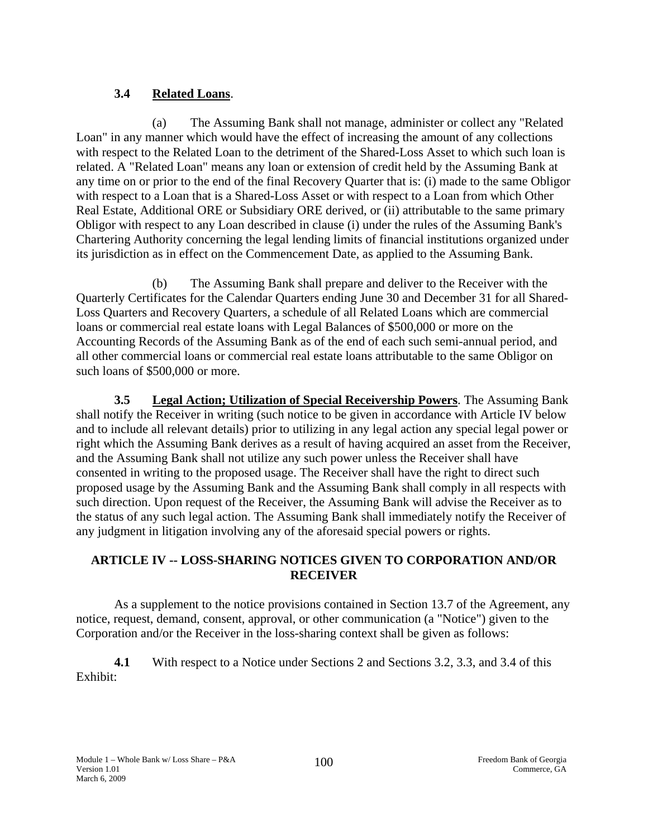# **3.4 Related Loans**.

(a) The Assuming Bank shall not manage, administer or collect any "Related Loan" in any manner which would have the effect of increasing the amount of any collections with respect to the Related Loan to the detriment of the Shared-Loss Asset to which such loan is related. A "Related Loan" means any loan or extension of credit held by the Assuming Bank at any time on or prior to the end of the final Recovery Quarter that is: (i) made to the same Obligor with respect to a Loan that is a Shared-Loss Asset or with respect to a Loan from which Other Real Estate, Additional ORE or Subsidiary ORE derived, or (ii) attributable to the same primary Obligor with respect to any Loan described in clause (i) under the rules of the Assuming Bank's Chartering Authority concerning the legal lending limits of financial institutions organized under its jurisdiction as in effect on the Commencement Date, as applied to the Assuming Bank.

(b) The Assuming Bank shall prepare and deliver to the Receiver with the Quarterly Certificates for the Calendar Quarters ending June 30 and December 31 for all Shared-Loss Quarters and Recovery Quarters, a schedule of all Related Loans which are commercial loans or commercial real estate loans with Legal Balances of \$500,000 or more on the Accounting Records of the Assuming Bank as of the end of each such semi-annual period, and all other commercial loans or commercial real estate loans attributable to the same Obligor on such loans of \$500,000 or more.

**3.5 Legal Action; Utilization of Special Receivership Powers**. The Assuming Bank shall notify the Receiver in writing (such notice to be given in accordance with Article IV below and to include all relevant details) prior to utilizing in any legal action any special legal power or right which the Assuming Bank derives as a result of having acquired an asset from the Receiver, and the Assuming Bank shall not utilize any such power unless the Receiver shall have consented in writing to the proposed usage. The Receiver shall have the right to direct such proposed usage by the Assuming Bank and the Assuming Bank shall comply in all respects with such direction. Upon request of the Receiver, the Assuming Bank will advise the Receiver as to the status of any such legal action. The Assuming Bank shall immediately notify the Receiver of any judgment in litigation involving any of the aforesaid special powers or rights.

# **ARTICLE IV -- LOSS-SHARING NOTICES GIVEN TO CORPORATION AND/OR RECEIVER**

As a supplement to the notice provisions contained in Section 13.7 of the Agreement, any notice, request, demand, consent, approval, or other communication (a "Notice") given to the Corporation and/or the Receiver in the loss-sharing context shall be given as follows:

**4.1** With respect to a Notice under Sections 2 and Sections 3.2, 3.3, and 3.4 of this Exhibit: